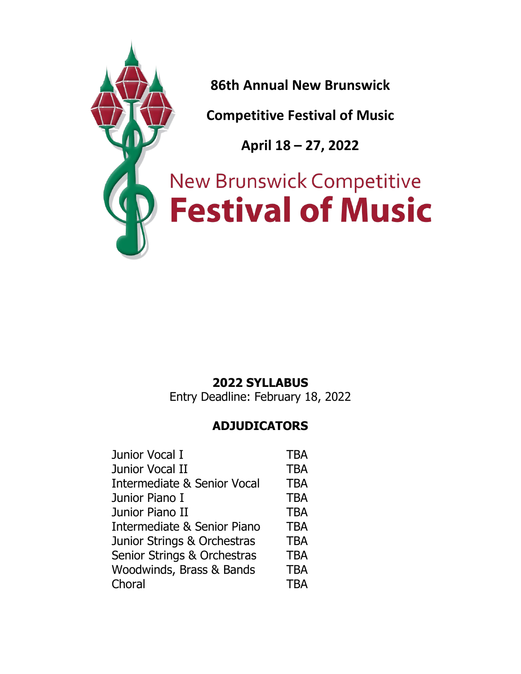

# **2022 SYLLABUS**

Entry Deadline: February 18, 2022

# **ADJUDICATORS**

| Junior Vocal I                         | <b>TBA</b> |
|----------------------------------------|------------|
| Junior Vocal II                        | <b>TBA</b> |
| <b>Intermediate &amp; Senior Vocal</b> | <b>TBA</b> |
| Junior Piano I                         | <b>TBA</b> |
| Junior Piano II                        | <b>TBA</b> |
| Intermediate & Senior Piano            | <b>TBA</b> |
| Junior Strings & Orchestras            | <b>TBA</b> |
| Senior Strings & Orchestras            | <b>TBA</b> |
| Woodwinds, Brass & Bands               | <b>TBA</b> |
| Choral                                 | <b>TBA</b> |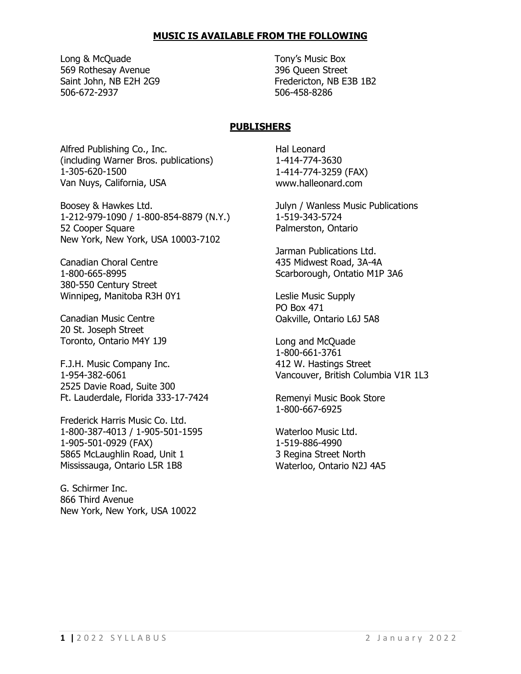#### **MUSIC IS AVAILABLE FROM THE FOLLOWING**

Long & McQuade Tony's Music Box 569 Rothesay Avenue 396 Queen Street 506-672-2937 506-458-8286

Saint John, NB E2H 2G9 Fredericton, NB E3B 1B2

#### **PUBLISHERS**

Alfred Publishing Co., Inc. (including Warner Bros. publications) 1-305-620-1500 Van Nuys, California, USA

Boosey & Hawkes Ltd. 1-212-979-1090 / 1-800-854-8879 (N.Y.) 52 Cooper Square New York, New York, USA 10003-7102

Canadian Choral Centre 1-800-665-8995 380-550 Century Street Winnipeg, Manitoba R3H 0Y1

Canadian Music Centre 20 St. Joseph Street Toronto, Ontario M4Y 1J9

F.J.H. Music Company Inc. 1-954-382-6061 2525 Davie Road, Suite 300 Ft. Lauderdale, Florida 333-17-7424

Frederick Harris Music Co. Ltd. 1-800-387-4013 / 1-905-501-1595 1-905-501-0929 (FAX) 5865 McLaughlin Road, Unit 1 Mississauga, Ontario L5R 1B8

G. Schirmer Inc. 866 Third Avenue New York, New York, USA 10022 Hal Leonard 1-414-774-3630 1-414-774-3259 (FAX) www.halleonard.com

Julyn / Wanless Music Publications 1-519-343-5724 Palmerston, Ontario

Jarman Publications Ltd. 435 Midwest Road, 3A-4A Scarborough, Ontatio M1P 3A6

Leslie Music Supply PO Box 471 Oakville, Ontario L6J 5A8

Long and McQuade 1-800-661-3761 412 W. Hastings Street Vancouver, British Columbia V1R 1L3

Remenyi Music Book Store 1-800-667-6925

Waterloo Music Ltd. 1-519-886-4990 3 Regina Street North Waterloo, Ontario N2J 4A5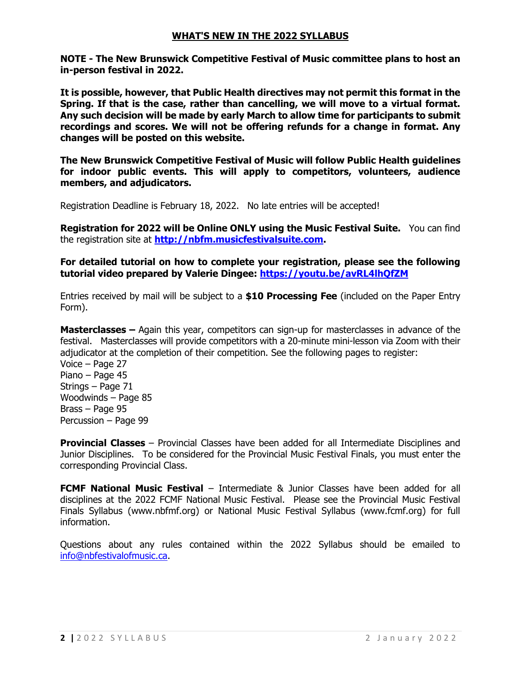#### **WHAT'S NEW IN THE 2022 SYLLABUS**

**NOTE - The New Brunswick Competitive Festival of Music committee plans to host an in-person festival in 2022.** 

**It is possible, however, that Public Health directives may not permit this format in the Spring. If that is the case, rather than cancelling, we will move to a virtual format. Any such decision will be made by early March to allow time for participants to submit recordings and scores. We will not be offering refunds for a change in format. Any changes will be posted on this website.** 

**The New Brunswick Competitive Festival of Music will follow Public Health guidelines for indoor public events. This will apply to competitors, volunteers, audience members, and adjudicators.**

Registration Deadline is February 18, 2022. No late entries will be accepted!

**Registration for 2022 will be Online ONLY using the Music Festival Suite.** You can find the registration site at **[http://nbfm.musicfestivalsuite.com.](http://nbfm.musicfestivalsuite.com/)**

**For detailed tutorial on how to complete your registration, please see the following tutorial video prepared by Valerie Dingee:<https://youtu.be/avRL4lhQfZM>**

Entries received by mail will be subject to a **\$10 Processing Fee** (included on the Paper Entry Form).

**Masterclasses –** Again this year, competitors can sign-up for masterclasses in advance of the festival. Masterclasses will provide competitors with a 20-minute mini-lesson via Zoom with their adjudicator at the completion of their competition. See the following pages to register: Voice – Page 27 Piano – Page 45 Strings – Page 71 Woodwinds – Page 85 Brass – Page 95 Percussion – Page 99

**Provincial Classes** – Provincial Classes have been added for all Intermediate Disciplines and Junior Disciplines. To be considered for the Provincial Music Festival Finals, you must enter the corresponding Provincial Class.

**FCMF National Music Festival** – Intermediate & Junior Classes have been added for all disciplines at the 2022 FCMF National Music Festival. Please see the Provincial Music Festival Finals Syllabus (www.nbfmf.org) or National Music Festival Syllabus (www.fcmf.org) for full information.

Questions about any rules contained within the 2022 Syllabus should be emailed to [info@nbfestivalofmusic.ca.](mailto:info@nbfestivalofmusic.ca)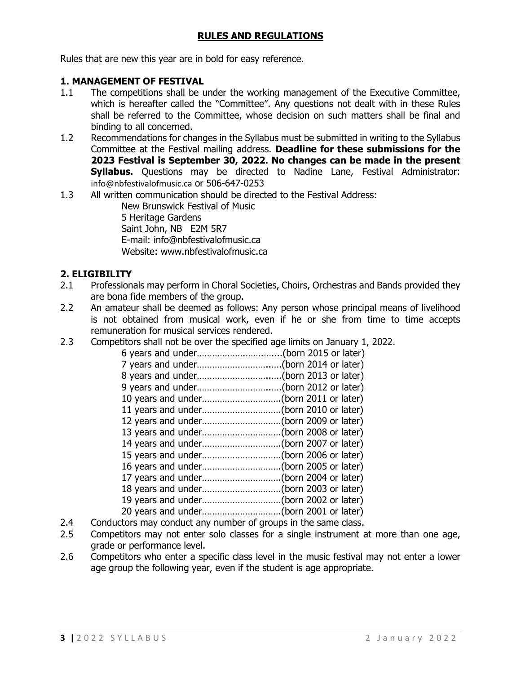## **RULES AND REGULATIONS**

Rules that are new this year are in bold for easy reference.

## **1. MANAGEMENT OF FESTIVAL**

- 1.1 The competitions shall be under the working management of the Executive Committee, which is hereafter called the "Committee". Any questions not dealt with in these Rules shall be referred to the Committee, whose decision on such matters shall be final and binding to all concerned.
- 1.2 Recommendations for changes in the Syllabus must be submitted in writing to the Syllabus Committee at the Festival mailing address. **Deadline for these submissions for the 2023 Festival is September 30, 2022. No changes can be made in the present Syllabus.** Questions may be directed to Nadine Lane, Festival Administrator: [info@nbfestivalofmusic.ca](mailto:info@nbfestivalofmusic.ca) or 506-647-0253
- 1.3 All written communication should be directed to the Festival Address:

New Brunswick Festival of Music 5 Heritage Gardens Saint John, NB E2M 5R7 E-mail: info@nbfestivalofmusic.ca Website: www.nbfestivalofmusic.ca

## **2. ELIGIBILITY**

- 2.1 Professionals may perform in Choral Societies, Choirs, Orchestras and Bands provided they are bona fide members of the group.
- 2.2 An amateur shall be deemed as follows: Any person whose principal means of livelihood is not obtained from musical work, even if he or she from time to time accepts remuneration for musical services rendered.
- 2.3 Competitors shall not be over the specified age limits on January 1, 2022.

| 9 years and under(born 2012 or later) |  |
|---------------------------------------|--|
|                                       |  |
|                                       |  |
|                                       |  |
|                                       |  |
|                                       |  |
|                                       |  |
|                                       |  |
|                                       |  |
|                                       |  |
|                                       |  |
|                                       |  |

- 2.4 Conductors may conduct any number of groups in the same class.<br>2.5 Competitors may not enter solo classes for a single instrument a
- Competitors may not enter solo classes for a single instrument at more than one age, grade or performance level.
- 2.6 Competitors who enter a specific class level in the music festival may not enter a lower age group the following year, even if the student is age appropriate.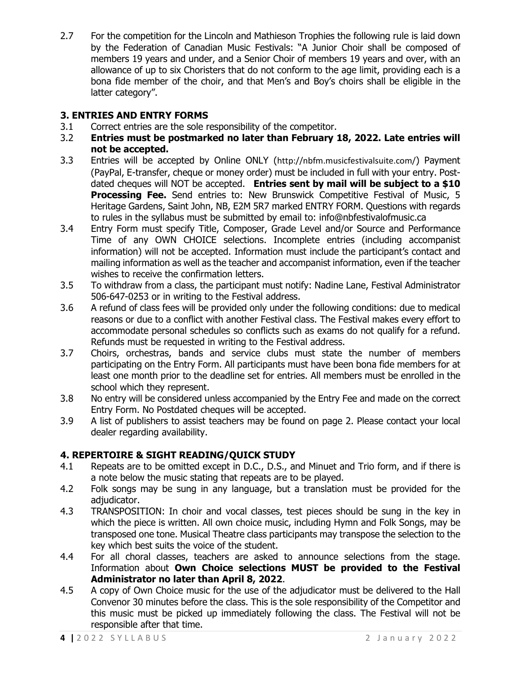2.7 For the competition for the Lincoln and Mathieson Trophies the following rule is laid down by the Federation of Canadian Music Festivals: "A Junior Choir shall be composed of members 19 years and under, and a Senior Choir of members 19 years and over, with an allowance of up to six Choristers that do not conform to the age limit, providing each is a bona fide member of the choir, and that Men's and Boy's choirs shall be eligible in the latter category".

## **3. ENTRIES AND ENTRY FORMS**

- 3.1 Correct entries are the sole responsibility of the competitor.
- 3.2 **Entries must be postmarked no later than February 18, 2022. Late entries will not be accepted.**
- 3.3 Entries will be accepted by Online ONLY (<http://nbfm.musicfestivalsuite.com/>) Payment (PayPal, E-transfer, cheque or money order) must be included in full with your entry. Postdated cheques will NOT be accepted. **Entries sent by mail will be subject to a \$10 Processing Fee.** Send entries to: New Brunswick Competitive Festival of Music, 5 Heritage Gardens, Saint John, NB, E2M 5R7 marked ENTRY FORM. Questions with regards to rules in the syllabus must be submitted by email to: info@nbfestivalofmusic.ca
- 3.4 Entry Form must specify Title, Composer, Grade Level and/or Source and Performance Time of any OWN CHOICE selections. Incomplete entries (including accompanist information) will not be accepted. Information must include the participant's contact and mailing information as well as the teacher and accompanist information, even if the teacher wishes to receive the confirmation letters.
- 3.5 To withdraw from a class, the participant must notify: Nadine Lane, Festival Administrator 506-647-0253 or in writing to the Festival address.
- 3.6 A refund of class fees will be provided only under the following conditions: due to medical reasons or due to a conflict with another Festival class. The Festival makes every effort to accommodate personal schedules so conflicts such as exams do not qualify for a refund. Refunds must be requested in writing to the Festival address.
- 3.7 Choirs, orchestras, bands and service clubs must state the number of members participating on the Entry Form. All participants must have been bona fide members for at least one month prior to the deadline set for entries. All members must be enrolled in the school which they represent.
- 3.8 No entry will be considered unless accompanied by the Entry Fee and made on the correct Entry Form. No Postdated cheques will be accepted.
- 3.9 A list of publishers to assist teachers may be found on page 2. Please contact your local dealer regarding availability.

## **4. REPERTOIRE & SIGHT READING/QUICK STUDY**

- 4.1 Repeats are to be omitted except in D.C., D.S., and Minuet and Trio form, and if there is a note below the music stating that repeats are to be played.
- 4.2 Folk songs may be sung in any language, but a translation must be provided for the adjudicator.
- 4.3 TRANSPOSITION: In choir and vocal classes, test pieces should be sung in the key in which the piece is written. All own choice music, including Hymn and Folk Songs, may be transposed one tone. Musical Theatre class participants may transpose the selection to the key which best suits the voice of the student.
- 4.4 For all choral classes, teachers are asked to announce selections from the stage. Information about **Own Choice selections MUST be provided to the Festival Administrator no later than April 8, 2022**.
- 4.5 A copy of Own Choice music for the use of the adjudicator must be delivered to the Hall Convenor 30 minutes before the class. This is the sole responsibility of the Competitor and this music must be picked up immediately following the class. The Festival will not be responsible after that time.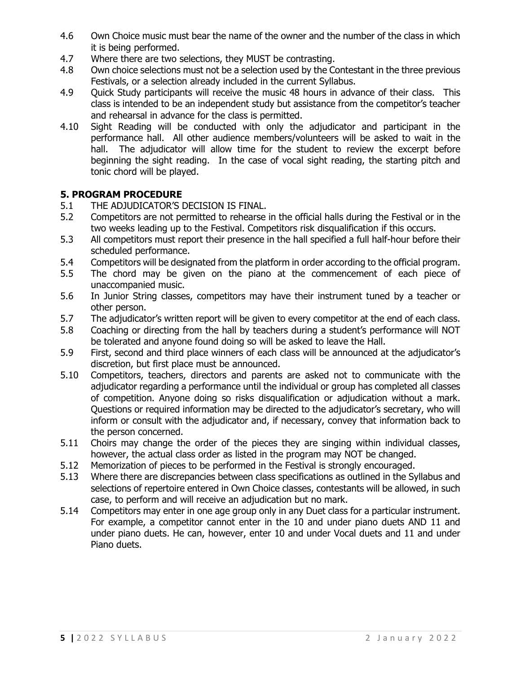- 4.6 Own Choice music must bear the name of the owner and the number of the class in which it is being performed.
- 4.7 Where there are two selections, they MUST be contrasting.
- 4.8 Own choice selections must not be a selection used by the Contestant in the three previous Festivals, or a selection already included in the current Syllabus.
- 4.9 Quick Study participants will receive the music 48 hours in advance of their class. This class is intended to be an independent study but assistance from the competitor's teacher and rehearsal in advance for the class is permitted.
- 4.10 Sight Reading will be conducted with only the adjudicator and participant in the performance hall. All other audience members/volunteers will be asked to wait in the hall. The adjudicator will allow time for the student to review the excerpt before beginning the sight reading. In the case of vocal sight reading, the starting pitch and tonic chord will be played.

## **5. PROGRAM PROCEDURE**

- 5.1 THE ADJUDICATOR'S DECISION IS FINAL.
- 5.2 Competitors are not permitted to rehearse in the official halls during the Festival or in the two weeks leading up to the Festival. Competitors risk disqualification if this occurs.
- 5.3 All competitors must report their presence in the hall specified a full half-hour before their scheduled performance.
- 5.4 Competitors will be designated from the platform in order according to the official program.<br>5.5 The chord may be given on the piano at the commencement of each piece of
- The chord may be given on the piano at the commencement of each piece of unaccompanied music.
- 5.6 In Junior String classes, competitors may have their instrument tuned by a teacher or other person.
- 5.7 The adjudicator's written report will be given to every competitor at the end of each class.
- 5.8 Coaching or directing from the hall by teachers during a student's performance will NOT be tolerated and anyone found doing so will be asked to leave the Hall.
- 5.9 First, second and third place winners of each class will be announced at the adjudicator's discretion, but first place must be announced.
- 5.10 Competitors, teachers, directors and parents are asked not to communicate with the adjudicator regarding a performance until the individual or group has completed all classes of competition. Anyone doing so risks disqualification or adjudication without a mark. Questions or required information may be directed to the adjudicator's secretary, who will inform or consult with the adjudicator and, if necessary, convey that information back to the person concerned.
- 5.11 Choirs may change the order of the pieces they are singing within individual classes, however, the actual class order as listed in the program may NOT be changed.
- 5.12 Memorization of pieces to be performed in the Festival is strongly encouraged.
- 5.13 Where there are discrepancies between class specifications as outlined in the Syllabus and selections of repertoire entered in Own Choice classes, contestants will be allowed, in such case, to perform and will receive an adjudication but no mark.
- 5.14 Competitors may enter in one age group only in any Duet class for a particular instrument. For example, a competitor cannot enter in the 10 and under piano duets AND 11 and under piano duets. He can, however, enter 10 and under Vocal duets and 11 and under Piano duets.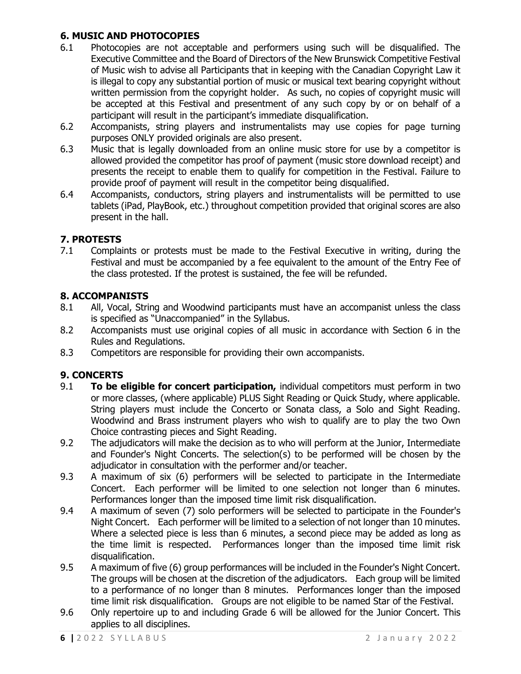## **6. MUSIC AND PHOTOCOPIES**

- 6.1 Photocopies are not acceptable and performers using such will be disqualified. The Executive Committee and the Board of Directors of the New Brunswick Competitive Festival of Music wish to advise all Participants that in keeping with the Canadian Copyright Law it is illegal to copy any substantial portion of music or musical text bearing copyright without written permission from the copyright holder. As such, no copies of copyright music will be accepted at this Festival and presentment of any such copy by or on behalf of a participant will result in the participant's immediate disqualification.
- 6.2 Accompanists, string players and instrumentalists may use copies for page turning purposes ONLY provided originals are also present.
- 6.3 Music that is legally downloaded from an online music store for use by a competitor is allowed provided the competitor has proof of payment (music store download receipt) and presents the receipt to enable them to qualify for competition in the Festival. Failure to provide proof of payment will result in the competitor being disqualified.
- 6.4 Accompanists, conductors, string players and instrumentalists will be permitted to use tablets (iPad, PlayBook, etc.) throughout competition provided that original scores are also present in the hall.

## **7. PROTESTS**

7.1 Complaints or protests must be made to the Festival Executive in writing, during the Festival and must be accompanied by a fee equivalent to the amount of the Entry Fee of the class protested. If the protest is sustained, the fee will be refunded.

## **8. ACCOMPANISTS**

- 8.1 All, Vocal, String and Woodwind participants must have an accompanist unless the class is specified as "Unaccompanied" in the Syllabus.
- 8.2 Accompanists must use original copies of all music in accordance with Section 6 in the Rules and Regulations.
- 8.3 Competitors are responsible for providing their own accompanists.

## **9. CONCERTS**

- 9.1 **To be eligible for concert participation,** individual competitors must perform in two or more classes, (where applicable) PLUS Sight Reading or Quick Study, where applicable. String players must include the Concerto or Sonata class, a Solo and Sight Reading. Woodwind and Brass instrument players who wish to qualify are to play the two Own Choice contrasting pieces and Sight Reading.
- 9.2 The adjudicators will make the decision as to who will perform at the Junior, Intermediate and Founder's Night Concerts. The selection(s) to be performed will be chosen by the adjudicator in consultation with the performer and/or teacher.
- 9.3 A maximum of six (6) performers will be selected to participate in the Intermediate Concert. Each performer will be limited to one selection not longer than 6 minutes. Performances longer than the imposed time limit risk disqualification.
- 9.4 A maximum of seven (7) solo performers will be selected to participate in the Founder's Night Concert. Each performer will be limited to a selection of not longer than 10 minutes. Where a selected piece is less than 6 minutes, a second piece may be added as long as the time limit is respected. Performances longer than the imposed time limit risk disqualification.
- 9.5 A maximum of five (6) group performances will be included in the Founder's Night Concert. The groups will be chosen at the discretion of the adjudicators. Each group will be limited to a performance of no longer than 8 minutes. Performances longer than the imposed time limit risk disqualification. Groups are not eligible to be named Star of the Festival.
- 9.6 Only repertoire up to and including Grade 6 will be allowed for the Junior Concert. This applies to all disciplines.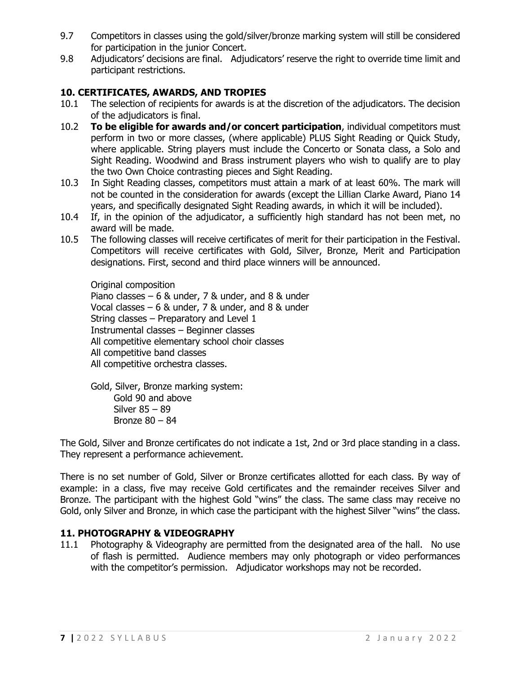- 9.7 Competitors in classes using the gold/silver/bronze marking system will still be considered for participation in the junior Concert.
- 9.8 Adjudicators' decisions are final. Adjudicators' reserve the right to override time limit and participant restrictions.

## **10. CERTIFICATES, AWARDS, AND TROPIES**

- 10.1 The selection of recipients for awards is at the discretion of the adjudicators. The decision of the adjudicators is final.
- 10.2 **To be eligible for awards and/or concert participation**, individual competitors must perform in two or more classes, (where applicable) PLUS Sight Reading or Quick Study, where applicable. String players must include the Concerto or Sonata class, a Solo and Sight Reading. Woodwind and Brass instrument players who wish to qualify are to play the two Own Choice contrasting pieces and Sight Reading.
- 10.3 In Sight Reading classes, competitors must attain a mark of at least 60%. The mark will not be counted in the consideration for awards (except the Lillian Clarke Award, Piano 14 years, and specifically designated Sight Reading awards, in which it will be included).
- 10.4 If, in the opinion of the adjudicator, a sufficiently high standard has not been met, no award will be made.
- 10.5 The following classes will receive certificates of merit for their participation in the Festival. Competitors will receive certificates with Gold, Silver, Bronze, Merit and Participation designations. First, second and third place winners will be announced.

Original composition Piano classes – 6 & under, 7 & under, and 8 & under Vocal classes – 6 & under, 7 & under, and 8 & under String classes – Preparatory and Level 1 Instrumental classes – Beginner classes All competitive elementary school choir classes All competitive band classes All competitive orchestra classes.

Gold, Silver, Bronze marking system: Gold 90 and above Silver 85 – 89 Bronze 80 – 84

The Gold, Silver and Bronze certificates do not indicate a 1st, 2nd or 3rd place standing in a class. They represent a performance achievement.

There is no set number of Gold, Silver or Bronze certificates allotted for each class. By way of example: in a class, five may receive Gold certificates and the remainder receives Silver and Bronze. The participant with the highest Gold "wins" the class. The same class may receive no Gold, only Silver and Bronze, in which case the participant with the highest Silver "wins" the class.

## **11. PHOTOGRAPHY & VIDEOGRAPHY**

11.1 Photography & Videography are permitted from the designated area of the hall. No use of flash is permitted. Audience members may only photograph or video performances with the competitor's permission. Adjudicator workshops may not be recorded.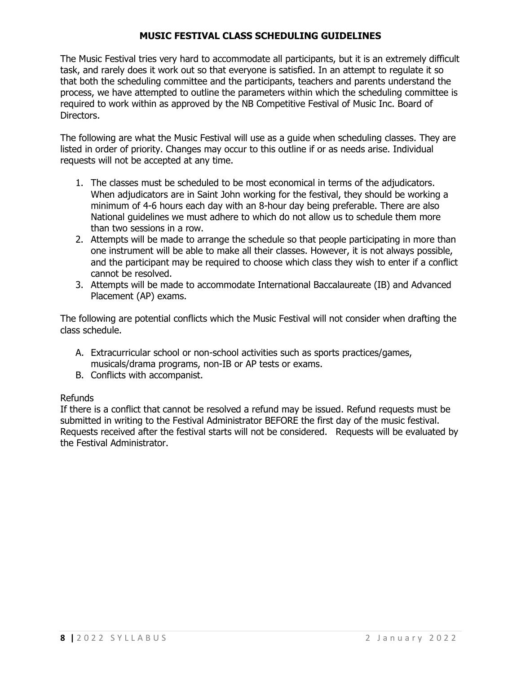## **MUSIC FESTIVAL CLASS SCHEDULING GUIDELINES**

The Music Festival tries very hard to accommodate all participants, but it is an extremely difficult task, and rarely does it work out so that everyone is satisfied. In an attempt to regulate it so that both the scheduling committee and the participants, teachers and parents understand the process, we have attempted to outline the parameters within which the scheduling committee is required to work within as approved by the NB Competitive Festival of Music Inc. Board of Directors.

The following are what the Music Festival will use as a guide when scheduling classes. They are listed in order of priority. Changes may occur to this outline if or as needs arise. Individual requests will not be accepted at any time.

- 1. The classes must be scheduled to be most economical in terms of the adjudicators. When adjudicators are in Saint John working for the festival, they should be working a minimum of 4-6 hours each day with an 8-hour day being preferable. There are also National guidelines we must adhere to which do not allow us to schedule them more than two sessions in a row.
- 2. Attempts will be made to arrange the schedule so that people participating in more than one instrument will be able to make all their classes. However, it is not always possible, and the participant may be required to choose which class they wish to enter if a conflict cannot be resolved.
- 3. Attempts will be made to accommodate International Baccalaureate (IB) and Advanced Placement (AP) exams.

The following are potential conflicts which the Music Festival will not consider when drafting the class schedule.

- A. Extracurricular school or non-school activities such as sports practices/games, musicals/drama programs, non-IB or AP tests or exams.
- B. Conflicts with accompanist.

## Refunds

If there is a conflict that cannot be resolved a refund may be issued. Refund requests must be submitted in writing to the Festival Administrator BEFORE the first day of the music festival. Requests received after the festival starts will not be considered. Requests will be evaluated by the Festival Administrator.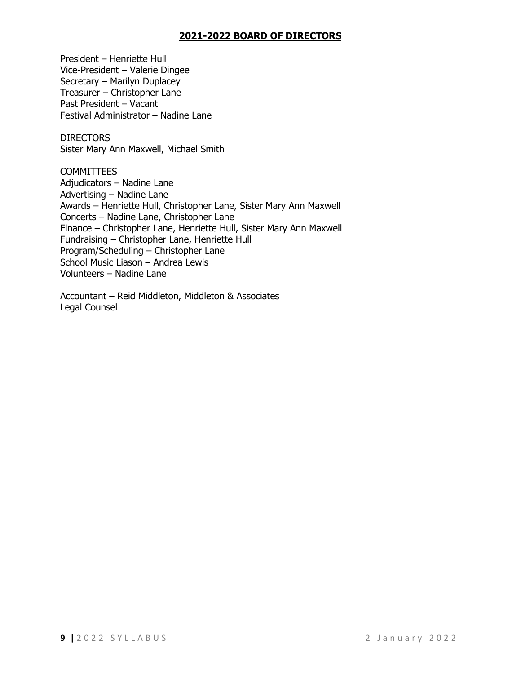## **2021-2022 BOARD OF DIRECTORS**

President – Henriette Hull Vice-President – Valerie Dingee Secretary – Marilyn Duplacey Treasurer – Christopher Lane Past President – Vacant Festival Administrator – Nadine Lane

**DIRECTORS** Sister Mary Ann Maxwell, Michael Smith

COMMITTEES Adjudicators – Nadine Lane Advertising – Nadine Lane Awards – Henriette Hull, Christopher Lane, Sister Mary Ann Maxwell Concerts – Nadine Lane, Christopher Lane Finance – Christopher Lane, Henriette Hull, Sister Mary Ann Maxwell Fundraising – Christopher Lane, Henriette Hull Program/Scheduling – Christopher Lane School Music Liason – Andrea Lewis Volunteers – Nadine Lane

Accountant – Reid Middleton, Middleton & Associates Legal Counsel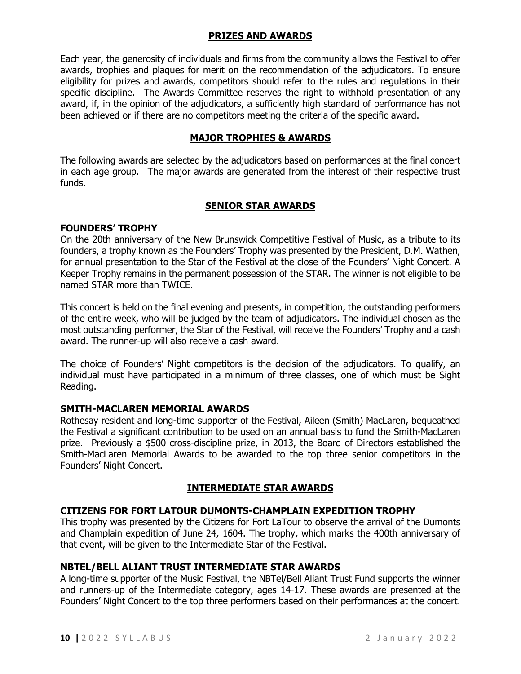## **PRIZES AND AWARDS**

Each year, the generosity of individuals and firms from the community allows the Festival to offer awards, trophies and plaques for merit on the recommendation of the adjudicators. To ensure eligibility for prizes and awards, competitors should refer to the rules and regulations in their specific discipline. The Awards Committee reserves the right to withhold presentation of any award, if, in the opinion of the adjudicators, a sufficiently high standard of performance has not been achieved or if there are no competitors meeting the criteria of the specific award.

## **MAJOR TROPHIES & AWARDS**

The following awards are selected by the adjudicators based on performances at the final concert in each age group. The major awards are generated from the interest of their respective trust funds.

## **SENIOR STAR AWARDS**

#### **FOUNDERS' TROPHY**

On the 20th anniversary of the New Brunswick Competitive Festival of Music, as a tribute to its founders, a trophy known as the Founders' Trophy was presented by the President, D.M. Wathen, for annual presentation to the Star of the Festival at the close of the Founders' Night Concert. A Keeper Trophy remains in the permanent possession of the STAR. The winner is not eligible to be named STAR more than TWICE.

This concert is held on the final evening and presents, in competition, the outstanding performers of the entire week, who will be judged by the team of adjudicators. The individual chosen as the most outstanding performer, the Star of the Festival, will receive the Founders' Trophy and a cash award. The runner-up will also receive a cash award.

The choice of Founders' Night competitors is the decision of the adjudicators. To qualify, an individual must have participated in a minimum of three classes, one of which must be Sight Reading.

#### **SMITH-MACLAREN MEMORIAL AWARDS**

Rothesay resident and long-time supporter of the Festival, Aileen (Smith) MacLaren, bequeathed the Festival a significant contribution to be used on an annual basis to fund the Smith-MacLaren prize. Previously a \$500 cross-discipline prize, in 2013, the Board of Directors established the Smith-MacLaren Memorial Awards to be awarded to the top three senior competitors in the Founders' Night Concert.

## **INTERMEDIATE STAR AWARDS**

## **CITIZENS FOR FORT LATOUR DUMONTS-CHAMPLAIN EXPEDITION TROPHY**

This trophy was presented by the Citizens for Fort LaTour to observe the arrival of the Dumonts and Champlain expedition of June 24, 1604. The trophy, which marks the 400th anniversary of that event, will be given to the Intermediate Star of the Festival.

#### **NBTEL/BELL ALIANT TRUST INTERMEDIATE STAR AWARDS**

A long-time supporter of the Music Festival, the NBTel/Bell Aliant Trust Fund supports the winner and runners-up of the Intermediate category, ages 14-17. These awards are presented at the Founders' Night Concert to the top three performers based on their performances at the concert.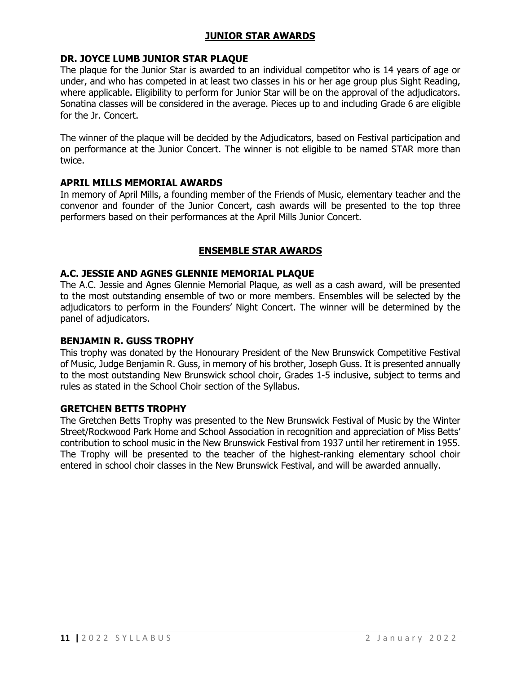## **JUNIOR STAR AWARDS**

#### **DR. JOYCE LUMB JUNIOR STAR PLAQUE**

The plaque for the Junior Star is awarded to an individual competitor who is 14 years of age or under, and who has competed in at least two classes in his or her age group plus Sight Reading, where applicable. Eligibility to perform for Junior Star will be on the approval of the adjudicators. Sonatina classes will be considered in the average. Pieces up to and including Grade 6 are eligible for the Jr. Concert.

The winner of the plaque will be decided by the Adjudicators, based on Festival participation and on performance at the Junior Concert. The winner is not eligible to be named STAR more than twice.

#### **APRIL MILLS MEMORIAL AWARDS**

In memory of April Mills, a founding member of the Friends of Music, elementary teacher and the convenor and founder of the Junior Concert, cash awards will be presented to the top three performers based on their performances at the April Mills Junior Concert.

## **ENSEMBLE STAR AWARDS**

#### **A.C. JESSIE AND AGNES GLENNIE MEMORIAL PLAQUE**

The A.C. Jessie and Agnes Glennie Memorial Plaque, as well as a cash award, will be presented to the most outstanding ensemble of two or more members. Ensembles will be selected by the adjudicators to perform in the Founders' Night Concert. The winner will be determined by the panel of adjudicators.

#### **BENJAMIN R. GUSS TROPHY**

This trophy was donated by the Honourary President of the New Brunswick Competitive Festival of Music, Judge Benjamin R. Guss, in memory of his brother, Joseph Guss. It is presented annually to the most outstanding New Brunswick school choir, Grades 1-5 inclusive, subject to terms and rules as stated in the School Choir section of the Syllabus.

#### **GRETCHEN BETTS TROPHY**

The Gretchen Betts Trophy was presented to the New Brunswick Festival of Music by the Winter Street/Rockwood Park Home and School Association in recognition and appreciation of Miss Betts' contribution to school music in the New Brunswick Festival from 1937 until her retirement in 1955. The Trophy will be presented to the teacher of the highest-ranking elementary school choir entered in school choir classes in the New Brunswick Festival, and will be awarded annually.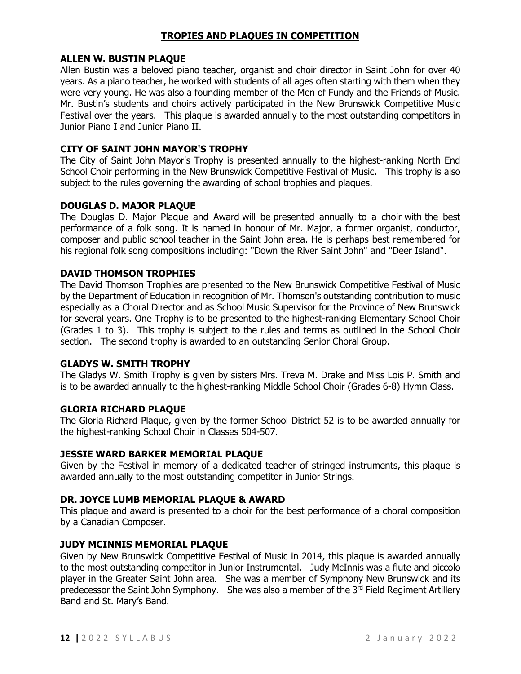## **TROPIES AND PLAQUES IN COMPETITION**

#### **ALLEN W. BUSTIN PLAQUE**

Allen Bustin was a beloved piano teacher, organist and choir director in Saint John for over 40 years. As a piano teacher, he worked with students of all ages often starting with them when they were very young. He was also a founding member of the Men of Fundy and the Friends of Music. Mr. Bustin's students and choirs actively participated in the New Brunswick Competitive Music Festival over the years. This plaque is awarded annually to the most outstanding competitors in Junior Piano I and Junior Piano II.

### **CITY OF SAINT JOHN MAYOR'S TROPHY**

The City of Saint John Mayor's Trophy is presented annually to the highest-ranking North End School Choir performing in the New Brunswick Competitive Festival of Music. This trophy is also subject to the rules governing the awarding of school trophies and plaques.

#### **DOUGLAS D. MAJOR PLAQUE**

The Douglas D. Major Plaque and Award will be presented annually to a choir with the best performance of a folk song. It is named in honour of Mr. Major, a former organist, conductor, composer and public school teacher in the Saint John area. He is perhaps best remembered for his regional folk song compositions including: "Down the River Saint John" and "Deer Island".

## **DAVID THOMSON TROPHIES**

The David Thomson Trophies are presented to the New Brunswick Competitive Festival of Music by the Department of Education in recognition of Mr. Thomson's outstanding contribution to music especially as a Choral Director and as School Music Supervisor for the Province of New Brunswick for several years. One Trophy is to be presented to the highest-ranking Elementary School Choir (Grades 1 to 3). This trophy is subject to the rules and terms as outlined in the School Choir section. The second trophy is awarded to an outstanding Senior Choral Group.

#### **GLADYS W. SMITH TROPHY**

The Gladys W. Smith Trophy is given by sisters Mrs. Treva M. Drake and Miss Lois P. Smith and is to be awarded annually to the highest-ranking Middle School Choir (Grades 6-8) Hymn Class.

#### **GLORIA RICHARD PLAQUE**

The Gloria Richard Plaque, given by the former School District 52 is to be awarded annually for the highest-ranking School Choir in Classes 504-507.

#### **JESSIE WARD BARKER MEMORIAL PLAQUE**

Given by the Festival in memory of a dedicated teacher of stringed instruments, this plaque is awarded annually to the most outstanding competitor in Junior Strings.

#### **DR. JOYCE LUMB MEMORIAL PLAQUE & AWARD**

This plaque and award is presented to a choir for the best performance of a choral composition by a Canadian Composer.

#### **JUDY MCINNIS MEMORIAL PLAQUE**

Given by New Brunswick Competitive Festival of Music in 2014, this plaque is awarded annually to the most outstanding competitor in Junior Instrumental. Judy McInnis was a flute and piccolo player in the Greater Saint John area. She was a member of Symphony New Brunswick and its predecessor the Saint John Symphony. She was also a member of the 3<sup>rd</sup> Field Regiment Artillery Band and St. Mary's Band.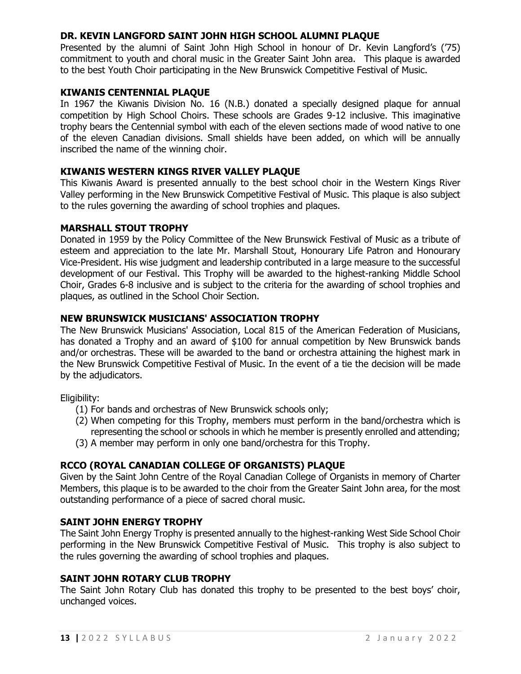## **DR. KEVIN LANGFORD SAINT JOHN HIGH SCHOOL ALUMNI PLAQUE**

Presented by the alumni of Saint John High School in honour of Dr. Kevin Langford's ('75) commitment to youth and choral music in the Greater Saint John area. This plaque is awarded to the best Youth Choir participating in the New Brunswick Competitive Festival of Music.

## **KIWANIS CENTENNIAL PLAQUE**

In 1967 the Kiwanis Division No. 16 (N.B.) donated a specially designed plaque for annual competition by High School Choirs. These schools are Grades 9-12 inclusive. This imaginative trophy bears the Centennial symbol with each of the eleven sections made of wood native to one of the eleven Canadian divisions. Small shields have been added, on which will be annually inscribed the name of the winning choir.

## **KIWANIS WESTERN KINGS RIVER VALLEY PLAQUE**

This Kiwanis Award is presented annually to the best school choir in the Western Kings River Valley performing in the New Brunswick Competitive Festival of Music. This plaque is also subject to the rules governing the awarding of school trophies and plaques.

## **MARSHALL STOUT TROPHY**

Donated in 1959 by the Policy Committee of the New Brunswick Festival of Music as a tribute of esteem and appreciation to the late Mr. Marshall Stout, Honourary Life Patron and Honourary Vice-President. His wise judgment and leadership contributed in a large measure to the successful development of our Festival. This Trophy will be awarded to the highest-ranking Middle School Choir, Grades 6-8 inclusive and is subject to the criteria for the awarding of school trophies and plaques, as outlined in the School Choir Section.

## **NEW BRUNSWICK MUSICIANS' ASSOCIATION TROPHY**

The New Brunswick Musicians' Association, Local 815 of the American Federation of Musicians, has donated a Trophy and an award of \$100 for annual competition by New Brunswick bands and/or orchestras. These will be awarded to the band or orchestra attaining the highest mark in the New Brunswick Competitive Festival of Music. In the event of a tie the decision will be made by the adjudicators.

Eligibility:

- (1) For bands and orchestras of New Brunswick schools only;
- (2) When competing for this Trophy, members must perform in the band/orchestra which is representing the school or schools in which he member is presently enrolled and attending;
- (3) A member may perform in only one band/orchestra for this Trophy.

## **RCCO (ROYAL CANADIAN COLLEGE OF ORGANISTS) PLAQUE**

Given by the Saint John Centre of the Royal Canadian College of Organists in memory of Charter Members, this plaque is to be awarded to the choir from the Greater Saint John area, for the most outstanding performance of a piece of sacred choral music.

## **SAINT JOHN ENERGY TROPHY**

The Saint John Energy Trophy is presented annually to the highest-ranking West Side School Choir performing in the New Brunswick Competitive Festival of Music. This trophy is also subject to the rules governing the awarding of school trophies and plaques.

## **SAINT JOHN ROTARY CLUB TROPHY**

The Saint John Rotary Club has donated this trophy to be presented to the best boys' choir, unchanged voices.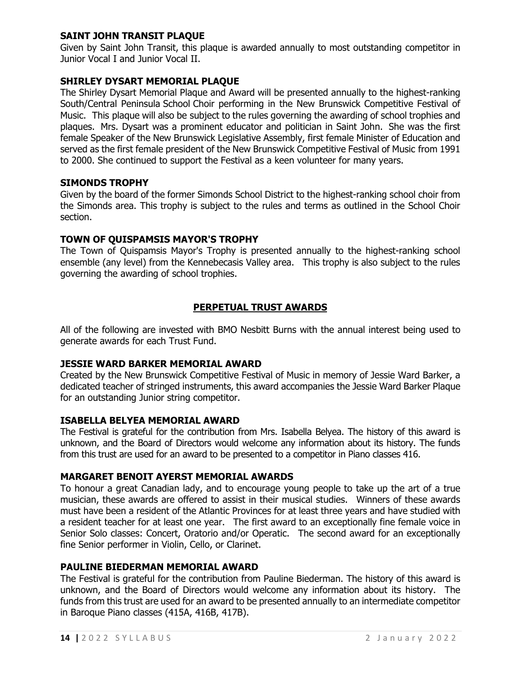## **SAINT JOHN TRANSIT PLAQUE**

Given by Saint John Transit, this plaque is awarded annually to most outstanding competitor in Junior Vocal I and Junior Vocal II.

## **SHIRLEY DYSART MEMORIAL PLAQUE**

The Shirley Dysart Memorial Plaque and Award will be presented annually to the highest-ranking South/Central Peninsula School Choir performing in the New Brunswick Competitive Festival of Music. This plaque will also be subject to the rules governing the awarding of school trophies and plaques. Mrs. Dysart was a prominent educator and politician in Saint John. She was the first female Speaker of the New Brunswick Legislative Assembly, first female Minister of Education and served as the first female president of the New Brunswick Competitive Festival of Music from 1991 to 2000. She continued to support the Festival as a keen volunteer for many years.

#### **SIMONDS TROPHY**

Given by the board of the former Simonds School District to the highest-ranking school choir from the Simonds area. This trophy is subject to the rules and terms as outlined in the School Choir section.

#### **TOWN OF QUISPAMSIS MAYOR'S TROPHY**

The Town of Quispamsis Mayor's Trophy is presented annually to the highest-ranking school ensemble (any level) from the Kennebecasis Valley area. This trophy is also subject to the rules governing the awarding of school trophies.

## **PERPETUAL TRUST AWARDS**

All of the following are invested with BMO Nesbitt Burns with the annual interest being used to generate awards for each Trust Fund.

#### **JESSIE WARD BARKER MEMORIAL AWARD**

Created by the New Brunswick Competitive Festival of Music in memory of Jessie Ward Barker, a dedicated teacher of stringed instruments, this award accompanies the Jessie Ward Barker Plaque for an outstanding Junior string competitor.

#### **ISABELLA BELYEA MEMORIAL AWARD**

The Festival is grateful for the contribution from Mrs. Isabella Belyea. The history of this award is unknown, and the Board of Directors would welcome any information about its history. The funds from this trust are used for an award to be presented to a competitor in Piano classes 416.

#### **MARGARET BENOIT AYERST MEMORIAL AWARDS**

To honour a great Canadian lady, and to encourage young people to take up the art of a true musician, these awards are offered to assist in their musical studies. Winners of these awards must have been a resident of the Atlantic Provinces for at least three years and have studied with a resident teacher for at least one year. The first award to an exceptionally fine female voice in Senior Solo classes: Concert, Oratorio and/or Operatic. The second award for an exceptionally fine Senior performer in Violin, Cello, or Clarinet.

#### **PAULINE BIEDERMAN MEMORIAL AWARD**

The Festival is grateful for the contribution from Pauline Biederman. The history of this award is unknown, and the Board of Directors would welcome any information about its history. The funds from this trust are used for an award to be presented annually to an intermediate competitor in Baroque Piano classes (415A, 416B, 417B).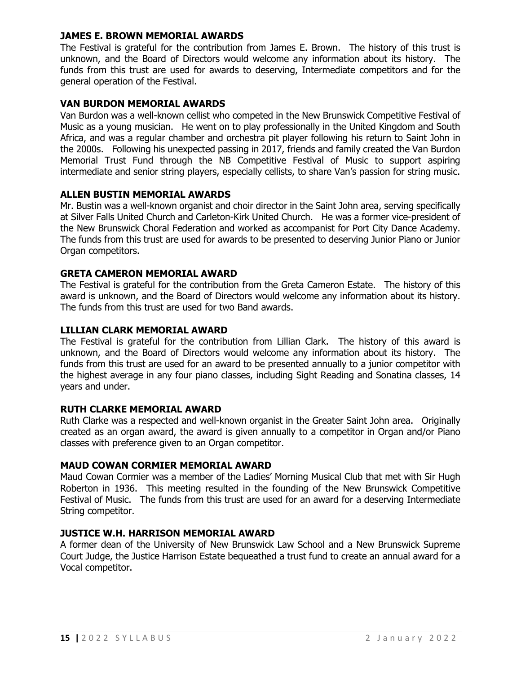#### **JAMES E. BROWN MEMORIAL AWARDS**

The Festival is grateful for the contribution from James E. Brown. The history of this trust is unknown, and the Board of Directors would welcome any information about its history. The funds from this trust are used for awards to deserving, Intermediate competitors and for the general operation of the Festival.

## **VAN BURDON MEMORIAL AWARDS**

Van Burdon was a well-known cellist who competed in the New Brunswick Competitive Festival of Music as a young musician. He went on to play professionally in the United Kingdom and South Africa, and was a regular chamber and orchestra pit player following his return to Saint John in the 2000s. Following his unexpected passing in 2017, friends and family created the Van Burdon Memorial Trust Fund through the NB Competitive Festival of Music to support aspiring intermediate and senior string players, especially cellists, to share Van's passion for string music.

## **ALLEN BUSTIN MEMORIAL AWARDS**

Mr. Bustin was a well-known organist and choir director in the Saint John area, serving specifically at Silver Falls United Church and Carleton-Kirk United Church. He was a former vice-president of the New Brunswick Choral Federation and worked as accompanist for Port City Dance Academy. The funds from this trust are used for awards to be presented to deserving Junior Piano or Junior Organ competitors.

## **GRETA CAMERON MEMORIAL AWARD**

The Festival is grateful for the contribution from the Greta Cameron Estate. The history of this award is unknown, and the Board of Directors would welcome any information about its history. The funds from this trust are used for two Band awards.

## **LILLIAN CLARK MEMORIAL AWARD**

The Festival is grateful for the contribution from Lillian Clark. The history of this award is unknown, and the Board of Directors would welcome any information about its history. The funds from this trust are used for an award to be presented annually to a junior competitor with the highest average in any four piano classes, including Sight Reading and Sonatina classes, 14 years and under.

#### **RUTH CLARKE MEMORIAL AWARD**

Ruth Clarke was a respected and well-known organist in the Greater Saint John area. Originally created as an organ award, the award is given annually to a competitor in Organ and/or Piano classes with preference given to an Organ competitor.

## **MAUD COWAN CORMIER MEMORIAL AWARD**

Maud Cowan Cormier was a member of the Ladies' Morning Musical Club that met with Sir Hugh Roberton in 1936. This meeting resulted in the founding of the New Brunswick Competitive Festival of Music. The funds from this trust are used for an award for a deserving Intermediate String competitor.

## **JUSTICE W.H. HARRISON MEMORIAL AWARD**

A former dean of the University of New Brunswick Law School and a New Brunswick Supreme Court Judge, the Justice Harrison Estate bequeathed a trust fund to create an annual award for a Vocal competitor.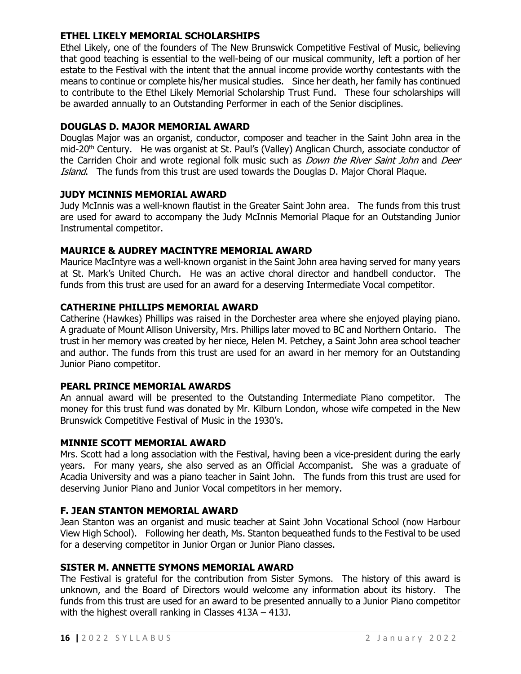## **ETHEL LIKELY MEMORIAL SCHOLARSHIPS**

Ethel Likely, one of the founders of The New Brunswick Competitive Festival of Music, believing that good teaching is essential to the well-being of our musical community, left a portion of her estate to the Festival with the intent that the annual income provide worthy contestants with the means to continue or complete his/her musical studies. Since her death, her family has continued to contribute to the Ethel Likely Memorial Scholarship Trust Fund. These four scholarships will be awarded annually to an Outstanding Performer in each of the Senior disciplines.

## **DOUGLAS D. MAJOR MEMORIAL AWARD**

Douglas Major was an organist, conductor, composer and teacher in the Saint John area in the mid-20<sup>th</sup> Century. He was organist at St. Paul's (Valley) Anglican Church, associate conductor of the Carriden Choir and wrote regional folk music such as *Down the River Saint John* and *Deer* Island. The funds from this trust are used towards the Douglas D. Major Choral Plaque.

## **JUDY MCINNIS MEMORIAL AWARD**

Judy McInnis was a well-known flautist in the Greater Saint John area. The funds from this trust are used for award to accompany the Judy McInnis Memorial Plaque for an Outstanding Junior Instrumental competitor.

## **MAURICE & AUDREY MACINTYRE MEMORIAL AWARD**

Maurice MacIntyre was a well-known organist in the Saint John area having served for many years at St. Mark's United Church. He was an active choral director and handbell conductor. The funds from this trust are used for an award for a deserving Intermediate Vocal competitor.

#### **CATHERINE PHILLIPS MEMORIAL AWARD**

Catherine (Hawkes) Phillips was raised in the Dorchester area where she enjoyed playing piano. A graduate of Mount Allison University, Mrs. Phillips later moved to BC and Northern Ontario. The trust in her memory was created by her niece, Helen M. Petchey, a Saint John area school teacher and author. The funds from this trust are used for an award in her memory for an Outstanding Junior Piano competitor.

#### **PEARL PRINCE MEMORIAL AWARDS**

An annual award will be presented to the Outstanding Intermediate Piano competitor. The money for this trust fund was donated by Mr. Kilburn London, whose wife competed in the New Brunswick Competitive Festival of Music in the 1930's.

## **MINNIE SCOTT MEMORIAL AWARD**

Mrs. Scott had a long association with the Festival, having been a vice-president during the early years. For many years, she also served as an Official Accompanist. She was a graduate of Acadia University and was a piano teacher in Saint John. The funds from this trust are used for deserving Junior Piano and Junior Vocal competitors in her memory.

#### **F. JEAN STANTON MEMORIAL AWARD**

Jean Stanton was an organist and music teacher at Saint John Vocational School (now Harbour View High School). Following her death, Ms. Stanton bequeathed funds to the Festival to be used for a deserving competitor in Junior Organ or Junior Piano classes.

#### **SISTER M. ANNETTE SYMONS MEMORIAL AWARD**

The Festival is grateful for the contribution from Sister Symons. The history of this award is unknown, and the Board of Directors would welcome any information about its history. The funds from this trust are used for an award to be presented annually to a Junior Piano competitor with the highest overall ranking in Classes 413A – 413J.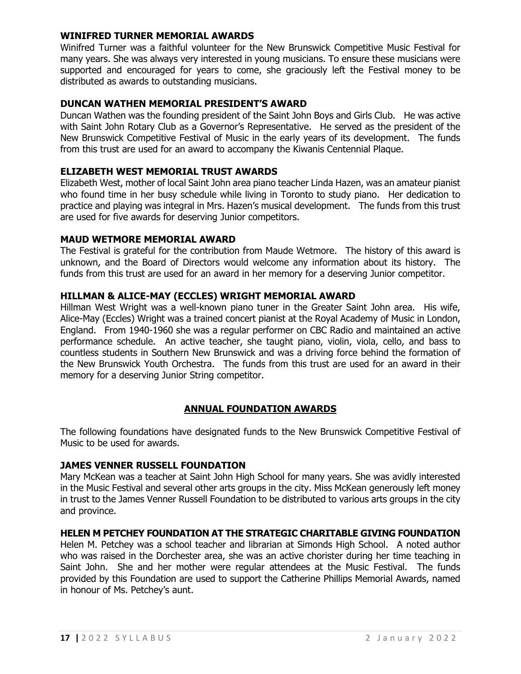#### **WINIFRED TURNER MEMORIAL AWARDS**

Winifred Turner was a faithful volunteer for the New Brunswick Competitive Music Festival for many years. She was always very interested in young musicians. To ensure these musicians were supported and encouraged for years to come, she graciously left the Festival money to be distributed as awards to outstanding musicians.

#### **DUNCAN WATHEN MEMORIAL PRESIDENT'S AWARD**

Duncan Wathen was the founding president of the Saint John Boys and Girls Club. He was active with Saint John Rotary Club as a Governor's Representative. He served as the president of the New Brunswick Competitive Festival of Music in the early years of its development. The funds from this trust are used for an award to accompany the Kiwanis Centennial Plaque.

#### **ELIZABETH WEST MEMORIAL TRUST AWARDS**

Elizabeth West, mother of local Saint John area piano teacher Linda Hazen, was an amateur pianist who found time in her busy schedule while living in Toronto to study piano. Her dedication to practice and playing was integral in Mrs. Hazen's musical development. The funds from this trust are used for five awards for deserving Junior competitors.

#### **MAUD WETMORE MEMORIAL AWARD**

The Festival is grateful for the contribution from Maude Wetmore. The history of this award is unknown, and the Board of Directors would welcome any information about its history. The funds from this trust are used for an award in her memory for a deserving Junior competitor.

#### **HILLMAN & ALICE-MAY (ECCLES) WRIGHT MEMORIAL AWARD**

Hillman West Wright was a well-known piano tuner in the Greater Saint John area. His wife, Alice-May (Eccles) Wright was a trained concert pianist at the Royal Academy of Music in London, England. From 1940-1960 she was a regular performer on CBC Radio and maintained an active performance schedule. An active teacher, she taught piano, violin, viola, cello, and bass to countless students in Southern New Brunswick and was a driving force behind the formation of the New Brunswick Youth Orchestra. The funds from this trust are used for an award in their memory for a deserving Junior String competitor.

#### **ANNUAL FOUNDATION AWARDS**

The following foundations have designated funds to the New Brunswick Competitive Festival of Music to be used for awards.

#### **JAMES VENNER RUSSELL FOUNDATION**

Mary McKean was a teacher at Saint John High School for many years. She was avidly interested in the Music Festival and several other arts groups in the city. Miss McKean generously left money in trust to the James Venner Russell Foundation to be distributed to various arts groups in the city and province.

#### **HELEN M PETCHEY FOUNDATION AT THE STRATEGIC CHARITABLE GIVING FOUNDATION**

Helen M. Petchey was a school teacher and librarian at Simonds High School. A noted author who was raised in the Dorchester area, she was an active chorister during her time teaching in Saint John. She and her mother were regular attendees at the Music Festival. The funds provided by this Foundation are used to support the Catherine Phillips Memorial Awards, named in honour of Ms. Petchey's aunt.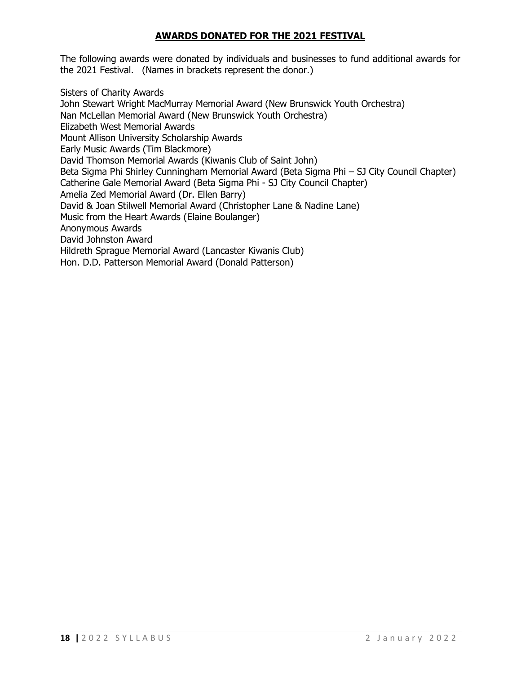## **AWARDS DONATED FOR THE 2021 FESTIVAL**

The following awards were donated by individuals and businesses to fund additional awards for the 2021 Festival. (Names in brackets represent the donor.)

Sisters of Charity Awards John Stewart Wright MacMurray Memorial Award (New Brunswick Youth Orchestra) Nan McLellan Memorial Award (New Brunswick Youth Orchestra) Elizabeth West Memorial Awards Mount Allison University Scholarship Awards Early Music Awards (Tim Blackmore) David Thomson Memorial Awards (Kiwanis Club of Saint John) Beta Sigma Phi Shirley Cunningham Memorial Award (Beta Sigma Phi – SJ City Council Chapter) Catherine Gale Memorial Award (Beta Sigma Phi - SJ City Council Chapter) Amelia Zed Memorial Award (Dr. Ellen Barry) David & Joan Stilwell Memorial Award (Christopher Lane & Nadine Lane) Music from the Heart Awards (Elaine Boulanger) Anonymous Awards David Johnston Award Hildreth Sprague Memorial Award (Lancaster Kiwanis Club) Hon. D.D. Patterson Memorial Award (Donald Patterson)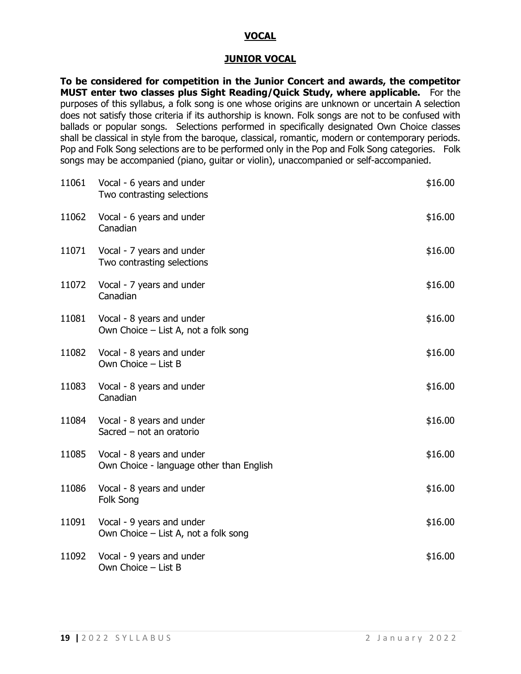### **VOCAL**

#### **JUNIOR VOCAL**

**To be considered for competition in the Junior Concert and awards, the competitor MUST enter two classes plus Sight Reading/Quick Study, where applicable.** For the purposes of this syllabus, a folk song is one whose origins are unknown or uncertain A selection does not satisfy those criteria if its authorship is known. Folk songs are not to be confused with ballads or popular songs. Selections performed in specifically designated Own Choice classes shall be classical in style from the baroque, classical, romantic, modern or contemporary periods. Pop and Folk Song selections are to be performed only in the Pop and Folk Song categories. Folk songs may be accompanied (piano, guitar or violin), unaccompanied or self-accompanied.

| 11061 | Vocal - 6 years and under<br>Two contrasting selections               | \$16.00 |
|-------|-----------------------------------------------------------------------|---------|
| 11062 | Vocal - 6 years and under<br>Canadian                                 | \$16.00 |
| 11071 | Vocal - 7 years and under<br>Two contrasting selections               | \$16.00 |
| 11072 | Vocal - 7 years and under<br>Canadian                                 | \$16.00 |
| 11081 | Vocal - 8 years and under<br>Own Choice – List A, not a folk song     | \$16.00 |
| 11082 | Vocal - 8 years and under<br>Own Choice - List B                      | \$16.00 |
| 11083 | Vocal - 8 years and under<br>Canadian                                 | \$16.00 |
| 11084 | Vocal - 8 years and under<br>Sacred - not an oratorio                 | \$16.00 |
| 11085 | Vocal - 8 years and under<br>Own Choice - language other than English | \$16.00 |
| 11086 | Vocal - 8 years and under<br>Folk Song                                | \$16.00 |
| 11091 | Vocal - 9 years and under<br>Own Choice $-$ List A, not a folk song   | \$16.00 |
| 11092 | Vocal - 9 years and under<br>Own Choice - List B                      | \$16.00 |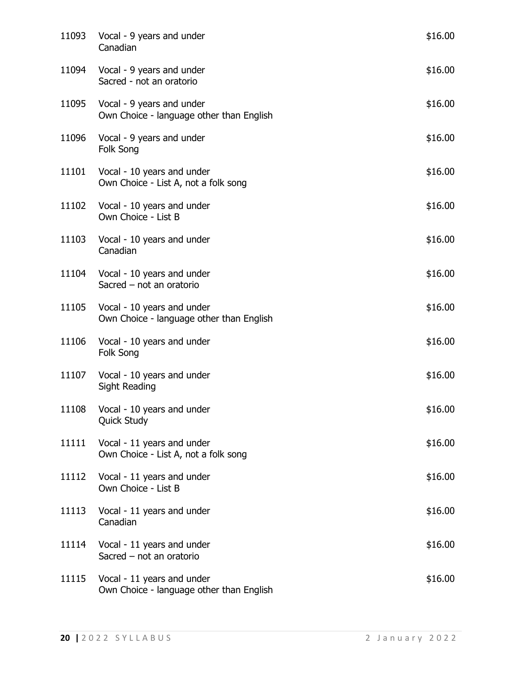| 11093 | Vocal - 9 years and under<br>Canadian                                  | \$16.00 |
|-------|------------------------------------------------------------------------|---------|
| 11094 | Vocal - 9 years and under<br>Sacred - not an oratorio                  | \$16.00 |
| 11095 | Vocal - 9 years and under<br>Own Choice - language other than English  | \$16.00 |
| 11096 | Vocal - 9 years and under<br>Folk Song                                 | \$16.00 |
| 11101 | Vocal - 10 years and under<br>Own Choice - List A, not a folk song     | \$16.00 |
|       | 11102 Vocal - 10 years and under<br>Own Choice - List B                | \$16.00 |
| 11103 | Vocal - 10 years and under<br>Canadian                                 | \$16.00 |
|       | 11104 Vocal - 10 years and under<br>Sacred - not an oratorio           | \$16.00 |
| 11105 | Vocal - 10 years and under<br>Own Choice - language other than English | \$16.00 |
| 11106 | Vocal - 10 years and under<br>Folk Song                                | \$16.00 |
|       | 11107 Vocal - 10 years and under<br>Sight Reading                      | \$16.00 |
|       | 11108 Vocal - 10 years and under<br>Quick Study                        | \$16.00 |
| 11111 | Vocal - 11 years and under<br>Own Choice - List A, not a folk song     | \$16.00 |
| 11112 | Vocal - 11 years and under<br>Own Choice - List B                      | \$16.00 |
| 11113 | Vocal - 11 years and under<br>Canadian                                 | \$16.00 |
| 11114 | Vocal - 11 years and under<br>Sacred $-$ not an oratorio               | \$16.00 |
| 11115 | Vocal - 11 years and under<br>Own Choice - language other than English | \$16.00 |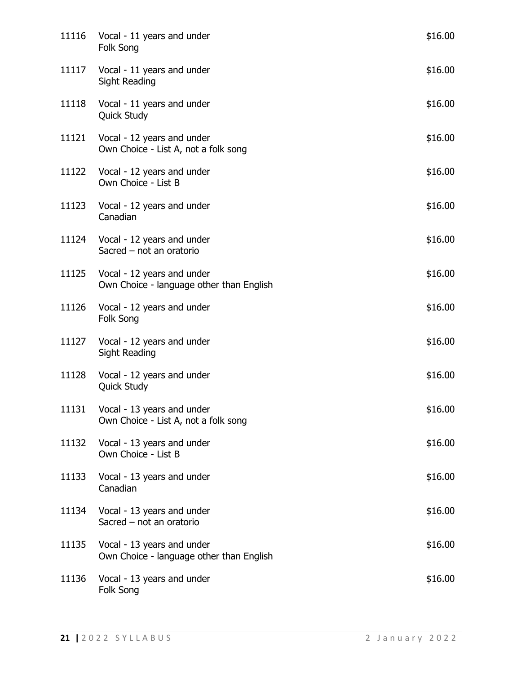| 11116 | Vocal - 11 years and under<br>Folk Song                                      | \$16.00 |
|-------|------------------------------------------------------------------------------|---------|
| 11117 | Vocal - 11 years and under<br>Sight Reading                                  | \$16.00 |
| 11118 | Vocal - 11 years and under<br><b>Quick Study</b>                             | \$16.00 |
| 11121 | Vocal - 12 years and under<br>Own Choice - List A, not a folk song           | \$16.00 |
|       | 11122 Vocal - 12 years and under<br>Own Choice - List B                      | \$16.00 |
| 11123 | Vocal - 12 years and under<br>Canadian                                       | \$16.00 |
| 11124 | Vocal - 12 years and under<br>Sacred - not an oratorio                       | \$16.00 |
|       | 11125 Vocal - 12 years and under<br>Own Choice - language other than English | \$16.00 |
| 11126 | Vocal - 12 years and under<br>Folk Song                                      | \$16.00 |
| 11127 | Vocal - 12 years and under<br>Sight Reading                                  | \$16.00 |
| 11128 | Vocal - 12 years and under<br><b>Quick Study</b>                             | \$16.00 |
|       | 11131 Vocal - 13 years and under<br>Own Choice - List A, not a folk song     | \$16.00 |
| 11132 | Vocal - 13 years and under<br>Own Choice - List B                            | \$16.00 |
| 11133 | Vocal - 13 years and under<br>Canadian                                       | \$16.00 |
| 11134 | Vocal - 13 years and under<br>Sacred - not an oratorio                       | \$16.00 |
| 11135 | Vocal - 13 years and under<br>Own Choice - language other than English       | \$16.00 |
| 11136 | Vocal - 13 years and under<br>Folk Song                                      | \$16.00 |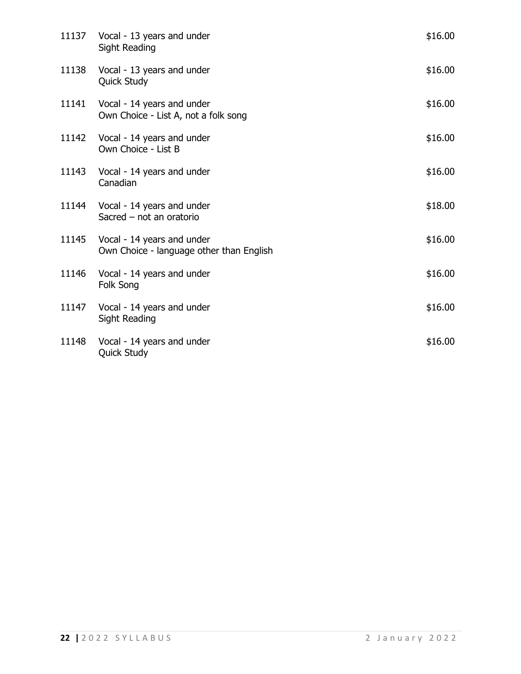|       | 11137 Vocal - 13 years and under<br><b>Sight Reading</b>               | \$16.00 |
|-------|------------------------------------------------------------------------|---------|
| 11138 | Vocal - 13 years and under<br>Quick Study                              | \$16.00 |
| 11141 | Vocal - 14 years and under<br>Own Choice - List A, not a folk song     | \$16.00 |
| 11142 | Vocal - 14 years and under<br>Own Choice - List B                      | \$16.00 |
| 11143 | Vocal - 14 years and under<br>Canadian                                 | \$16.00 |
| 11144 | Vocal - 14 years and under<br>Sacred - not an oratorio                 | \$18.00 |
| 11145 | Vocal - 14 years and under<br>Own Choice - language other than English | \$16.00 |
| 11146 | Vocal - 14 years and under<br>Folk Song                                | \$16.00 |
| 11147 | Vocal - 14 years and under<br>Sight Reading                            | \$16.00 |
| 11148 | Vocal - 14 years and under<br>Quick Study                              | \$16.00 |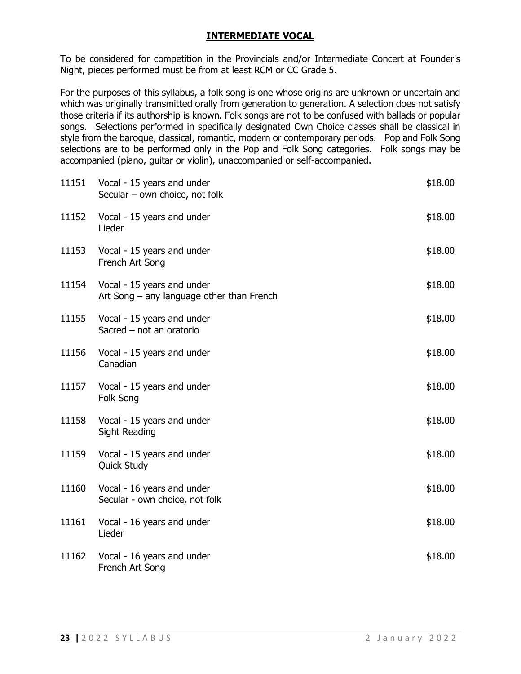## **INTERMEDIATE VOCAL**

To be considered for competition in the Provincials and/or Intermediate Concert at Founder's Night, pieces performed must be from at least RCM or CC Grade 5.

For the purposes of this syllabus, a folk song is one whose origins are unknown or uncertain and which was originally transmitted orally from generation to generation. A selection does not satisfy those criteria if its authorship is known. Folk songs are not to be confused with ballads or popular songs. Selections performed in specifically designated Own Choice classes shall be classical in style from the baroque, classical, romantic, modern or contemporary periods. Pop and Folk Song selections are to be performed only in the Pop and Folk Song categories. Folk songs may be accompanied (piano, guitar or violin), unaccompanied or self-accompanied.

| 11151 | Vocal - 15 years and under<br>Secular - own choice, not folk            | \$18.00 |
|-------|-------------------------------------------------------------------------|---------|
| 11152 | Vocal - 15 years and under<br>Lieder                                    | \$18.00 |
| 11153 | Vocal - 15 years and under<br>French Art Song                           | \$18.00 |
| 11154 | Vocal - 15 years and under<br>Art Song – any language other than French | \$18.00 |
| 11155 | Vocal - 15 years and under<br>Sacred - not an oratorio                  | \$18.00 |
| 11156 | Vocal - 15 years and under<br>Canadian                                  | \$18.00 |
| 11157 | Vocal - 15 years and under<br>Folk Song                                 | \$18.00 |
| 11158 | Vocal - 15 years and under<br><b>Sight Reading</b>                      | \$18.00 |
| 11159 | Vocal - 15 years and under<br><b>Quick Study</b>                        | \$18.00 |
| 11160 | Vocal - 16 years and under<br>Secular - own choice, not folk            | \$18.00 |
| 11161 | Vocal - 16 years and under<br>Lieder                                    | \$18.00 |
| 11162 | Vocal - 16 years and under<br>French Art Song                           | \$18.00 |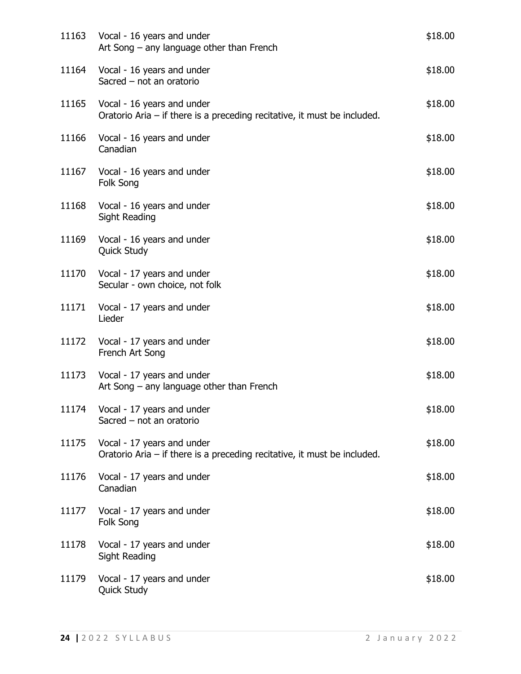| 11163 | Vocal - 16 years and under<br>Art Song $-$ any language other than French                                | \$18.00 |
|-------|----------------------------------------------------------------------------------------------------------|---------|
|       | 11164 Vocal - 16 years and under<br>Sacred - not an oratorio                                             | \$18.00 |
| 11165 | Vocal - 16 years and under<br>Oratorio Aria $-$ if there is a preceding recitative, it must be included. | \$18.00 |
| 11166 | Vocal - 16 years and under<br>Canadian                                                                   | \$18.00 |
| 11167 | Vocal - 16 years and under<br>Folk Song                                                                  | \$18.00 |
| 11168 | Vocal - 16 years and under<br>Sight Reading                                                              | \$18.00 |
| 11169 | Vocal - 16 years and under<br><b>Quick Study</b>                                                         | \$18.00 |
| 11170 | Vocal - 17 years and under<br>Secular - own choice, not folk                                             | \$18.00 |
| 11171 | Vocal - 17 years and under<br>Lieder                                                                     | \$18.00 |
| 11172 | Vocal - 17 years and under<br>French Art Song                                                            | \$18.00 |
|       | 11173 Vocal - 17 years and under<br>Art Song $-$ any language other than French                          | \$18.00 |
|       | 11174 Vocal - 17 years and under<br>Sacred - not an oratorio                                             | \$18.00 |
| 11175 | Vocal - 17 years and under<br>Oratorio Aria $-$ if there is a preceding recitative, it must be included. | \$18.00 |
| 11176 | Vocal - 17 years and under<br>Canadian                                                                   | \$18.00 |
| 11177 | Vocal - 17 years and under<br>Folk Song                                                                  | \$18.00 |
| 11178 | Vocal - 17 years and under<br>Sight Reading                                                              | \$18.00 |
| 11179 | Vocal - 17 years and under<br>Quick Study                                                                | \$18.00 |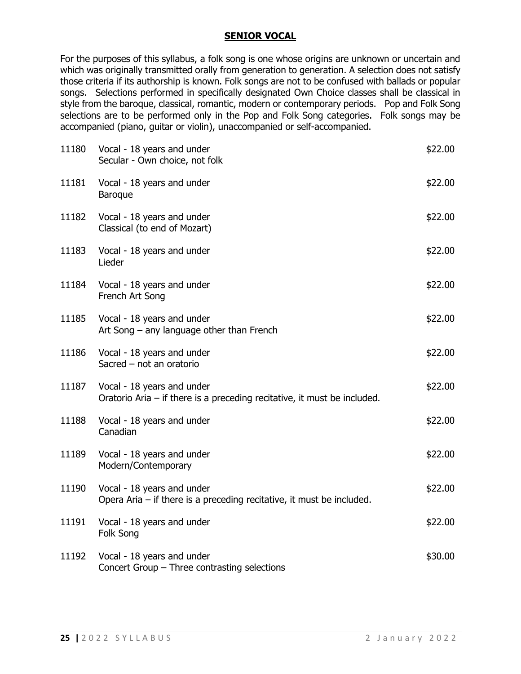### **SENIOR VOCAL**

For the purposes of this syllabus, a folk song is one whose origins are unknown or uncertain and which was originally transmitted orally from generation to generation. A selection does not satisfy those criteria if its authorship is known. Folk songs are not to be confused with ballads or popular songs. Selections performed in specifically designated Own Choice classes shall be classical in style from the baroque, classical, romantic, modern or contemporary periods. Pop and Folk Song selections are to be performed only in the Pop and Folk Song categories. Folk songs may be accompanied (piano, guitar or violin), unaccompanied or self-accompanied.

| 11180 | Vocal - 18 years and under<br>Secular - Own choice, not folk                                           | \$22.00 |
|-------|--------------------------------------------------------------------------------------------------------|---------|
| 11181 | Vocal - 18 years and under<br><b>Baroque</b>                                                           | \$22.00 |
| 11182 | Vocal - 18 years and under<br>Classical (to end of Mozart)                                             | \$22.00 |
| 11183 | Vocal - 18 years and under<br>Lieder                                                                   | \$22.00 |
| 11184 | Vocal - 18 years and under<br>French Art Song                                                          | \$22.00 |
| 11185 | Vocal - 18 years and under<br>Art Song – any language other than French                                | \$22.00 |
| 11186 | Vocal - 18 years and under<br>Sacred - not an oratorio                                                 | \$22.00 |
| 11187 | Vocal - 18 years and under<br>Oratorio Aria - if there is a preceding recitative, it must be included. | \$22.00 |
| 11188 | Vocal - 18 years and under<br>Canadian                                                                 | \$22.00 |
| 11189 | Vocal - 18 years and under<br>Modern/Contemporary                                                      | \$22.00 |
| 11190 | Vocal - 18 years and under<br>Opera Aria $-$ if there is a preceding recitative, it must be included.  | \$22.00 |
| 11191 | Vocal - 18 years and under<br>Folk Song                                                                | \$22.00 |
| 11192 | Vocal - 18 years and under<br>Concert Group - Three contrasting selections                             | \$30.00 |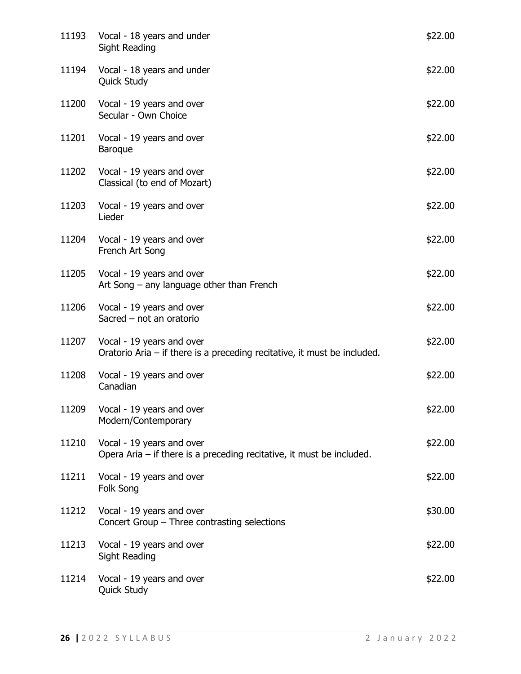| 11193 | Vocal - 18 years and under<br>Sight Reading                                                             | \$22.00 |
|-------|---------------------------------------------------------------------------------------------------------|---------|
| 11194 | Vocal - 18 years and under<br><b>Quick Study</b>                                                        | \$22.00 |
| 11200 | Vocal - 19 years and over<br>Secular - Own Choice                                                       | \$22.00 |
| 11201 | Vocal - 19 years and over<br><b>Baroque</b>                                                             | \$22.00 |
|       | 11202 Vocal - 19 years and over<br>Classical (to end of Mozart)                                         | \$22.00 |
| 11203 | Vocal - 19 years and over<br>Lieder                                                                     | \$22.00 |
| 11204 | Vocal - 19 years and over<br>French Art Song                                                            | \$22.00 |
|       | 11205 Vocal - 19 years and over<br>Art Song $-$ any language other than French                          | \$22.00 |
| 11206 | Vocal - 19 years and over<br>Sacred - not an oratorio                                                   | \$22.00 |
| 11207 | Vocal - 19 years and over<br>Oratorio Aria $-$ if there is a preceding recitative, it must be included. | \$22.00 |
| 11208 | Vocal - 19 years and over<br>Canadian                                                                   | \$22.00 |
|       | 11209 Vocal - 19 years and over<br>Modern/Contemporary                                                  | \$22.00 |
| 11210 | Vocal - 19 years and over<br>Opera Aria $-$ if there is a preceding recitative, it must be included.    | \$22.00 |
| 11211 | Vocal - 19 years and over<br>Folk Song                                                                  | \$22.00 |
| 11212 | Vocal - 19 years and over<br>Concert Group - Three contrasting selections                               | \$30.00 |
| 11213 | Vocal - 19 years and over<br><b>Sight Reading</b>                                                       | \$22.00 |
| 11214 | Vocal - 19 years and over<br>Quick Study                                                                | \$22.00 |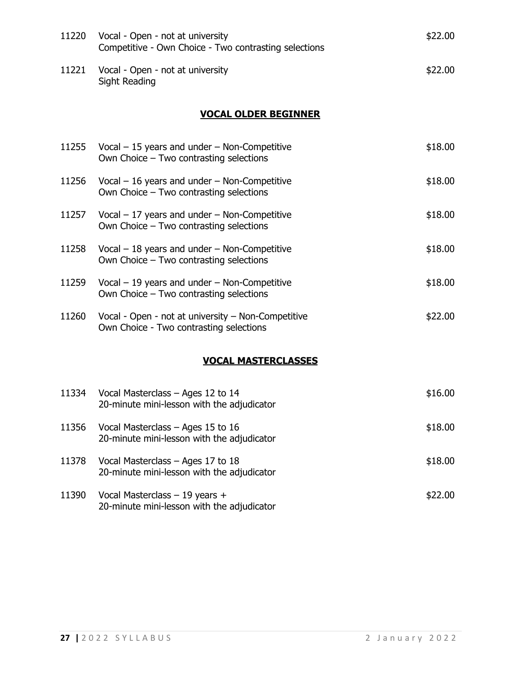| 11220 | Vocal - Open - not at university<br>Competitive - Own Choice - Two contrasting selections     | \$22.00 |  |
|-------|-----------------------------------------------------------------------------------------------|---------|--|
| 11221 | Vocal - Open - not at university<br>Sight Reading                                             | \$22.00 |  |
|       | <b>VOCAL OLDER BEGINNER</b>                                                                   |         |  |
| 11255 | Vocal $-15$ years and under $-$ Non-Competitive<br>Own Choice - Two contrasting selections    | \$18.00 |  |
| 11256 | Vocal $-16$ years and under $-$ Non-Competitive<br>Own Choice - Two contrasting selections    | \$18.00 |  |
| 11257 | Vocal $-17$ years and under $-$ Non-Competitive<br>Own Choice - Two contrasting selections    | \$18.00 |  |
| 11258 | Vocal $-18$ years and under $-$ Non-Competitive<br>Own Choice - Two contrasting selections    | \$18.00 |  |
| 11259 | Vocal $-19$ years and under $-$ Non-Competitive<br>Own Choice - Two contrasting selections    | \$18.00 |  |
| 11260 | Vocal - Open - not at university - Non-Competitive<br>Own Choice - Two contrasting selections | \$22.00 |  |
|       | <b>VOCAL MASTERCLASSES</b>                                                                    |         |  |
| 11334 | Vocal Masterclass – Ages 12 to 14<br>20-minute mini-lesson with the adjudicator               | \$16.00 |  |
| 11356 | Vocal Masterclass - Ages 15 to 16<br>20-minute mini-lesson with the adjudicator               | \$18.00 |  |
| 11378 | Vocal Masterclass - Ages 17 to 18<br>20-minute mini-lesson with the adjudicator               | \$18.00 |  |

 $11390$  Vocal Masterclass – 19 years +  $$22.00$ 20-minute mini-lesson with the adjudicator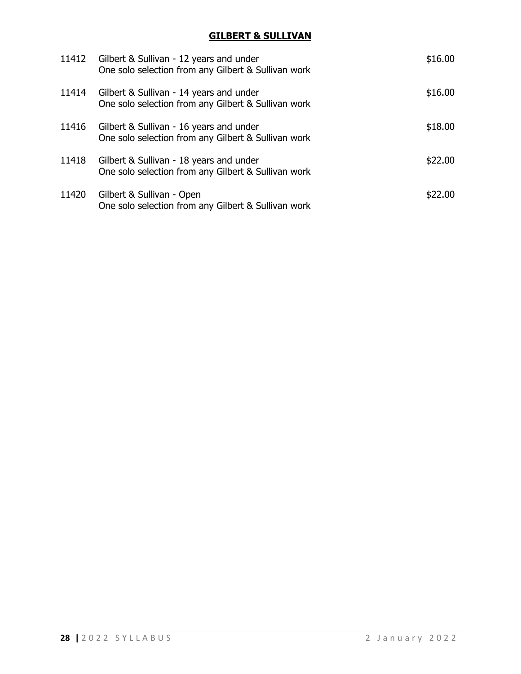## **GILBERT & SULLIVAN**

| 11412 | Gilbert & Sullivan - 12 years and under<br>One solo selection from any Gilbert & Sullivan work | \$16.00 |
|-------|------------------------------------------------------------------------------------------------|---------|
| 11414 | Gilbert & Sullivan - 14 years and under<br>One solo selection from any Gilbert & Sullivan work | \$16.00 |
| 11416 | Gilbert & Sullivan - 16 years and under<br>One solo selection from any Gilbert & Sullivan work | \$18.00 |
| 11418 | Gilbert & Sullivan - 18 years and under<br>One solo selection from any Gilbert & Sullivan work | \$22.00 |
| 11420 | Gilbert & Sullivan - Open<br>One solo selection from any Gilbert & Sullivan work               | \$22.00 |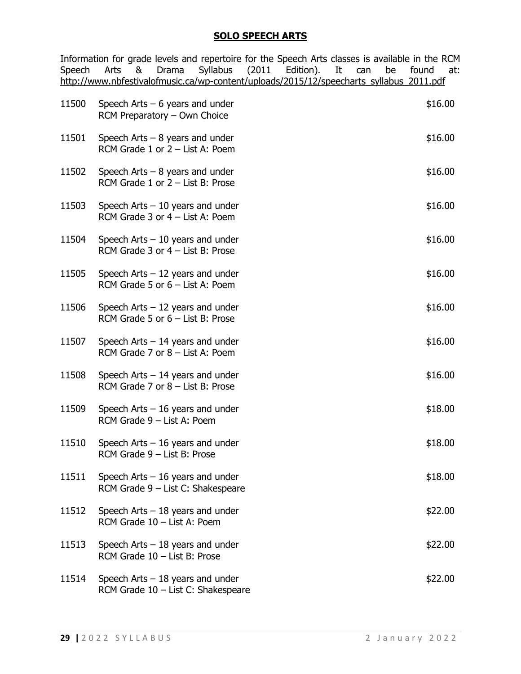#### **SOLO SPEECH ARTS**

Information for grade levels and repertoire for the Speech Arts classes is available in the RCM<br>Speech Arts & Drama Syllabus (2011 Edition). It can be found at: Drama Syllabus (2011 Edition). It can be found at: [http://www.nbfestivalofmusic.ca/wp-content/uploads/2015/12/speecharts\\_syllabus\\_2011.pdf](http://www.nbfestivalofmusic.ca/wp-content/uploads/2015/12/speecharts_syllabus_2011.pdf)

| 11500 | Speech Arts $-6$ years and under<br>RCM Preparatory - Own Choice        | \$16.00 |
|-------|-------------------------------------------------------------------------|---------|
| 11501 | Speech Arts $-8$ years and under<br>RCM Grade 1 or 2 - List A: Poem     | \$16.00 |
| 11502 | Speech Arts $-8$ years and under<br>RCM Grade 1 or 2 - List B: Prose    | \$16.00 |
| 11503 | Speech Arts $-10$ years and under<br>RCM Grade 3 or 4 - List A: Poem    | \$16.00 |
| 11504 | Speech Arts $-10$ years and under<br>RCM Grade 3 or 4 - List B: Prose   | \$16.00 |
| 11505 | Speech Arts $-12$ years and under<br>RCM Grade 5 or $6 -$ List A: Poem  | \$16.00 |
| 11506 | Speech Arts $-12$ years and under<br>RCM Grade 5 or $6$ – List B: Prose | \$16.00 |
| 11507 | Speech Arts $-14$ years and under<br>RCM Grade 7 or 8 - List A: Poem    | \$16.00 |
| 11508 | Speech Arts $-14$ years and under<br>RCM Grade 7 or 8 - List B: Prose   | \$16.00 |
| 11509 | Speech Arts $-16$ years and under<br>RCM Grade 9 - List A: Poem         | \$18.00 |
| 11510 | Speech Arts $-16$ years and under<br>RCM Grade 9 - List B: Prose        | \$18.00 |
| 11511 | Speech Arts $-16$ years and under<br>RCM Grade 9 - List C: Shakespeare  | \$18.00 |
| 11512 | Speech Arts $-18$ years and under<br>RCM Grade 10 - List A: Poem        | \$22.00 |
| 11513 | Speech Arts $-18$ years and under<br>RCM Grade 10 - List B: Prose       | \$22.00 |
| 11514 | Speech Arts $-18$ years and under<br>RCM Grade 10 - List C: Shakespeare | \$22.00 |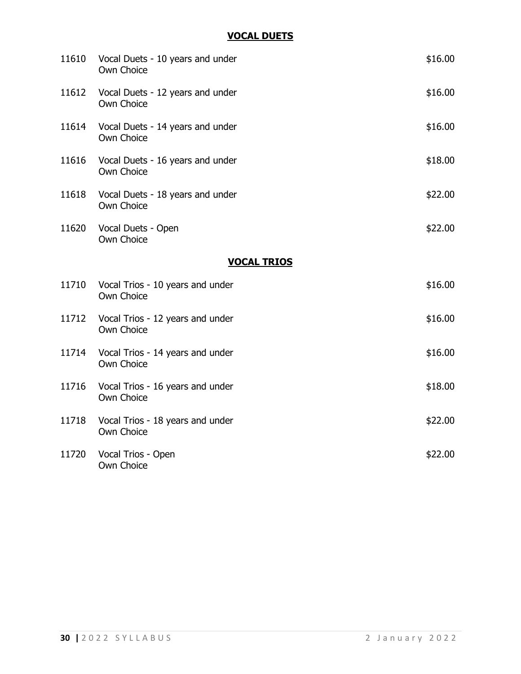## **VOCAL DUETS**

|       | 11610 Vocal Duets - 10 years and under<br>Own Choice | \$16.00 |
|-------|------------------------------------------------------|---------|
| 11612 | Vocal Duets - 12 years and under<br>Own Choice       | \$16.00 |
| 11614 | Vocal Duets - 14 years and under<br>Own Choice       | \$16.00 |
| 11616 | Vocal Duets - 16 years and under<br>Own Choice       | \$18.00 |
| 11618 | Vocal Duets - 18 years and under<br>Own Choice       | \$22.00 |
| 11620 | Vocal Duets - Open<br>Own Choice                     | \$22.00 |
|       | <b>VOCAL TRIOS</b>                                   |         |
| 11710 | Vocal Trios - 10 years and under<br>Own Choice       | \$16.00 |
|       | 11712 Vocal Trios - 12 years and under<br>Own Choice | \$16.00 |
|       | 11714 Vocal Trios - 14 years and under<br>Own Choice | \$16.00 |
|       | 11716 Vocal Trios - 16 years and under<br>Own Choice | \$18.00 |
|       | 11718 Vocal Trios - 18 years and under<br>Own Choice | \$22.00 |
| 11720 | Vocal Trios - Open<br>Own Choice                     | \$22.00 |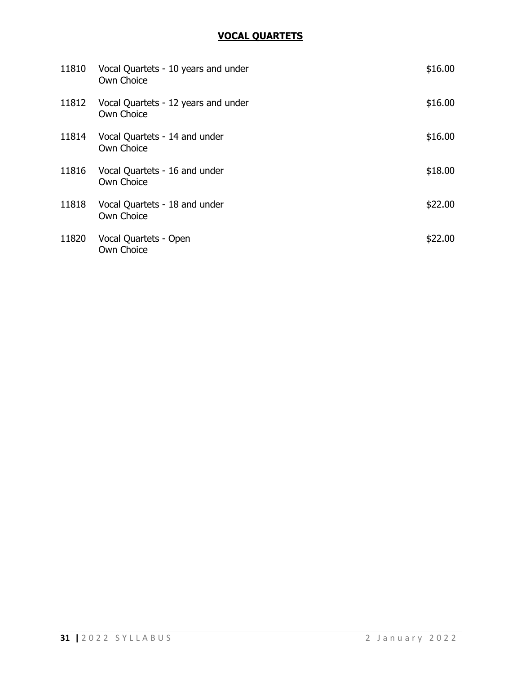## **VOCAL QUARTETS**

| 11810 | Vocal Quartets - 10 years and under<br>Own Choice | \$16.00 |
|-------|---------------------------------------------------|---------|
| 11812 | Vocal Quartets - 12 years and under<br>Own Choice | \$16.00 |
| 11814 | Vocal Quartets - 14 and under<br>Own Choice       | \$16.00 |
| 11816 | Vocal Quartets - 16 and under<br>Own Choice       | \$18.00 |
| 11818 | Vocal Quartets - 18 and under<br>Own Choice       | \$22.00 |
| 11820 | Vocal Quartets - Open<br>Own Choice               | \$22.00 |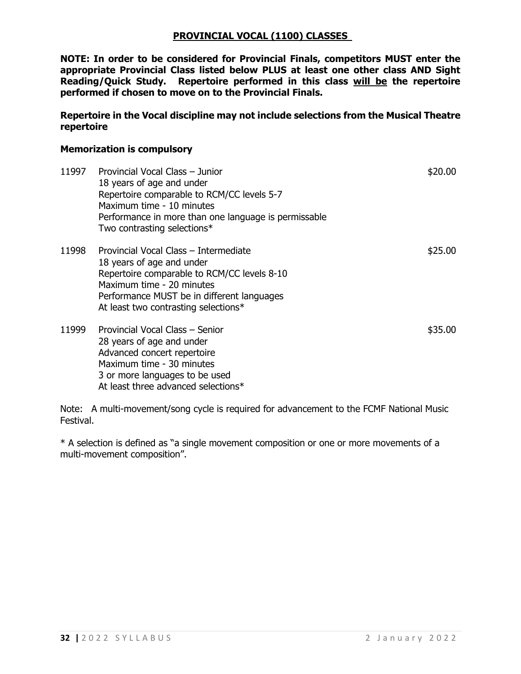## **PROVINCIAL VOCAL (1100) CLASSES**

**NOTE: In order to be considered for Provincial Finals, competitors MUST enter the appropriate Provincial Class listed below PLUS at least one other class AND Sight Reading/Quick Study. Repertoire performed in this class will be the repertoire performed if chosen to move on to the Provincial Finals.**

**Repertoire in the Vocal discipline may not include selections from the Musical Theatre repertoire**

#### **Memorization is compulsory**

| 11997 | Provincial Vocal Class - Junior<br>18 years of age and under<br>Repertoire comparable to RCM/CC levels 5-7<br>Maximum time - 10 minutes<br>Performance in more than one language is permissable<br>Two contrasting selections*       | \$20.00 |
|-------|--------------------------------------------------------------------------------------------------------------------------------------------------------------------------------------------------------------------------------------|---------|
| 11998 | Provincial Vocal Class - Intermediate<br>18 years of age and under<br>Repertoire comparable to RCM/CC levels 8-10<br>Maximum time - 20 minutes<br>Performance MUST be in different languages<br>At least two contrasting selections* | \$25.00 |
| 11999 | Provincial Vocal Class - Senior<br>28 years of age and under<br>Advanced concert repertoire<br>Maximum time - 30 minutes<br>3 or more languages to be used<br>At least three advanced selections*                                    | \$35.00 |

Note: A multi-movement/song cycle is required for advancement to the FCMF National Music Festival.

\* A selection is defined as "a single movement composition or one or more movements of a multi-movement composition".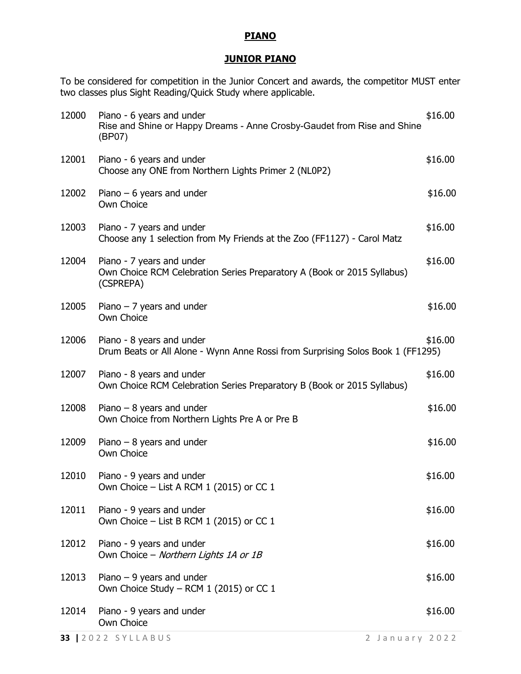#### **PIANO**

## **JUNIOR PIANO**

To be considered for competition in the Junior Concert and awards, the competitor MUST enter two classes plus Sight Reading/Quick Study where applicable.

|                | Own Choice                                                                                                        |                    |
|----------------|-------------------------------------------------------------------------------------------------------------------|--------------------|
| 12013<br>12014 | Piano $-9$ years and under<br>Own Choice Study - RCM 1 (2015) or CC 1<br>Piano - 9 years and under                | \$16.00<br>\$16.00 |
|                | 12012 Piano - 9 years and under<br>Own Choice - Northern Lights 1A or 1B                                          | \$16.00            |
| 12011          | Piano - 9 years and under<br>Own Choice – List B RCM 1 (2015) or CC 1                                             | \$16.00            |
| 12010          | Piano - 9 years and under<br>Own Choice – List A RCM 1 (2015) or CC 1                                             | \$16.00            |
| 12009          | Piano $-8$ years and under<br>Own Choice                                                                          | \$16.00            |
| 12008          | Piano $-8$ years and under<br>Own Choice from Northern Lights Pre A or Pre B                                      | \$16.00            |
| 12007          | Piano - 8 years and under<br>Own Choice RCM Celebration Series Preparatory B (Book or 2015 Syllabus)              | \$16.00            |
| 12006          | Piano - 8 years and under<br>Drum Beats or All Alone - Wynn Anne Rossi from Surprising Solos Book 1 (FF1295)      | \$16.00            |
| 12005          | Piano $-7$ years and under<br>Own Choice                                                                          | \$16.00            |
| 12004          | Piano - 7 years and under<br>Own Choice RCM Celebration Series Preparatory A (Book or 2015 Syllabus)<br>(CSPREPA) | \$16.00            |
| 12003          | Piano - 7 years and under<br>Choose any 1 selection from My Friends at the Zoo (FF1127) - Carol Matz              | \$16.00            |
| 12002          | Piano $-6$ years and under<br>Own Choice                                                                          | \$16.00            |
| 12001          | Piano - 6 years and under<br>Choose any ONE from Northern Lights Primer 2 (NL0P2)                                 | \$16.00            |
| 12000          | Piano - 6 years and under<br>Rise and Shine or Happy Dreams - Anne Crosby-Gaudet from Rise and Shine<br>(BP07)    | \$16.00            |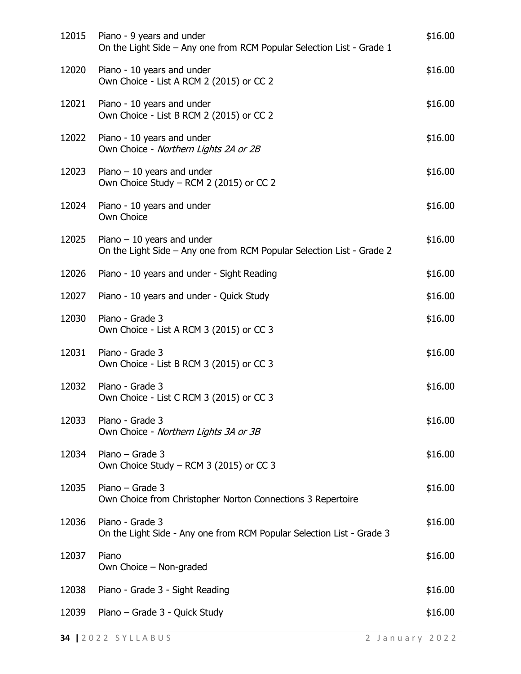| 12015 | Piano - 9 years and under<br>On the Light Side - Any one from RCM Popular Selection List - Grade 1   | \$16.00 |
|-------|------------------------------------------------------------------------------------------------------|---------|
| 12020 | Piano - 10 years and under<br>Own Choice - List A RCM 2 (2015) or CC 2                               | \$16.00 |
| 12021 | Piano - 10 years and under<br>Own Choice - List B RCM 2 (2015) or CC 2                               | \$16.00 |
| 12022 | Piano - 10 years and under<br>Own Choice - Northern Lights 2A or 2B                                  | \$16.00 |
| 12023 | Piano $-10$ years and under<br>Own Choice Study - RCM 2 (2015) or CC 2                               | \$16.00 |
| 12024 | Piano - 10 years and under<br>Own Choice                                                             | \$16.00 |
| 12025 | Piano $-10$ years and under<br>On the Light Side - Any one from RCM Popular Selection List - Grade 2 | \$16.00 |
| 12026 | Piano - 10 years and under - Sight Reading                                                           | \$16.00 |
| 12027 | Piano - 10 years and under - Quick Study                                                             | \$16.00 |
| 12030 | Piano - Grade 3<br>Own Choice - List A RCM 3 (2015) or CC 3                                          | \$16.00 |
| 12031 | Piano - Grade 3<br>Own Choice - List B RCM 3 (2015) or CC 3                                          | \$16.00 |
| 12032 | Piano - Grade 3<br>Own Choice - List C RCM 3 (2015) or CC 3                                          | \$16.00 |
| 12033 | Piano - Grade 3<br>Own Choice - Northern Lights 3A or 3B                                             | \$16.00 |
| 12034 | Piano – Grade $3$<br>Own Choice Study – RCM 3 (2015) or CC 3                                         | \$16.00 |
| 12035 | Piano - Grade 3<br>Own Choice from Christopher Norton Connections 3 Repertoire                       | \$16.00 |
| 12036 | Piano - Grade 3<br>On the Light Side - Any one from RCM Popular Selection List - Grade 3             | \$16.00 |
| 12037 | Piano<br>Own Choice - Non-graded                                                                     | \$16.00 |
| 12038 | Piano - Grade 3 - Sight Reading                                                                      | \$16.00 |
| 12039 | Piano – Grade 3 - Quick Study                                                                        | \$16.00 |
|       |                                                                                                      |         |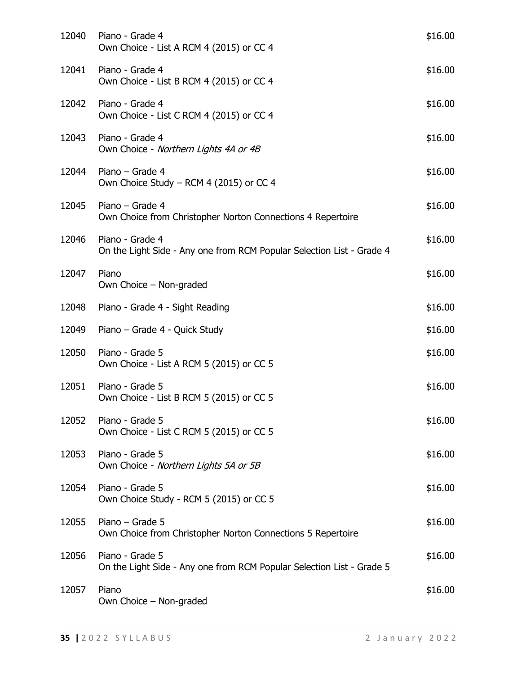| 12040 | Piano - Grade 4<br>Own Choice - List A RCM 4 (2015) or CC 4                              | \$16.00 |
|-------|------------------------------------------------------------------------------------------|---------|
| 12041 | Piano - Grade 4<br>Own Choice - List B RCM 4 (2015) or CC 4                              | \$16.00 |
| 12042 | Piano - Grade 4<br>Own Choice - List C RCM 4 (2015) or CC 4                              | \$16.00 |
| 12043 | Piano - Grade 4<br>Own Choice - Northern Lights 4A or 4B                                 | \$16.00 |
| 12044 | Piano - Grade 4<br>Own Choice Study – RCM 4 (2015) or CC 4                               | \$16.00 |
| 12045 | Piano - Grade 4<br>Own Choice from Christopher Norton Connections 4 Repertoire           | \$16.00 |
| 12046 | Piano - Grade 4<br>On the Light Side - Any one from RCM Popular Selection List - Grade 4 | \$16.00 |
| 12047 | Piano<br>Own Choice - Non-graded                                                         | \$16.00 |
| 12048 | Piano - Grade 4 - Sight Reading                                                          | \$16.00 |
| 12049 | Piano – Grade 4 - Quick Study                                                            | \$16.00 |
| 12050 | Piano - Grade 5<br>Own Choice - List A RCM 5 (2015) or CC 5                              | \$16.00 |
| 12051 | Piano - Grade 5<br>Own Choice - List B RCM 5 (2015) or CC 5                              | \$16.00 |
| 12052 | Piano - Grade 5<br>Own Choice - List C RCM 5 (2015) or CC 5                              | \$16.00 |
| 12053 | Piano - Grade 5<br>Own Choice - Northern Lights 5A or 5B                                 | \$16.00 |
| 12054 | Piano - Grade 5<br>Own Choice Study - RCM 5 (2015) or CC 5                               | \$16.00 |
| 12055 | Piano - Grade 5<br>Own Choice from Christopher Norton Connections 5 Repertoire           | \$16.00 |
| 12056 | Piano - Grade 5<br>On the Light Side - Any one from RCM Popular Selection List - Grade 5 | \$16.00 |
| 12057 | Piano<br>Own Choice - Non-graded                                                         | \$16.00 |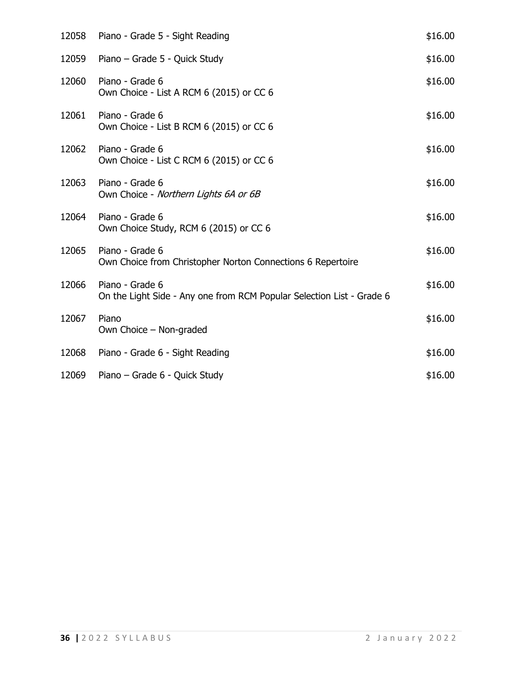| 12058 | Piano - Grade 5 - Sight Reading                                                          | \$16.00 |
|-------|------------------------------------------------------------------------------------------|---------|
| 12059 | Piano – Grade 5 - Quick Study                                                            | \$16.00 |
| 12060 | Piano - Grade 6<br>Own Choice - List A RCM 6 (2015) or CC 6                              | \$16.00 |
| 12061 | Piano - Grade 6<br>Own Choice - List B RCM 6 (2015) or CC 6                              | \$16.00 |
| 12062 | Piano - Grade 6<br>Own Choice - List C RCM 6 (2015) or CC 6                              | \$16.00 |
| 12063 | Piano - Grade 6<br>Own Choice - Northern Lights 6A or 6B                                 | \$16.00 |
| 12064 | Piano - Grade 6<br>Own Choice Study, RCM 6 (2015) or CC 6                                | \$16.00 |
| 12065 | Piano - Grade 6<br>Own Choice from Christopher Norton Connections 6 Repertoire           | \$16.00 |
| 12066 | Piano - Grade 6<br>On the Light Side - Any one from RCM Popular Selection List - Grade 6 | \$16.00 |
| 12067 | Piano<br>Own Choice – Non-graded                                                         | \$16.00 |
| 12068 | Piano - Grade 6 - Sight Reading                                                          | \$16.00 |
| 12069 | Piano - Grade 6 - Quick Study                                                            | \$16.00 |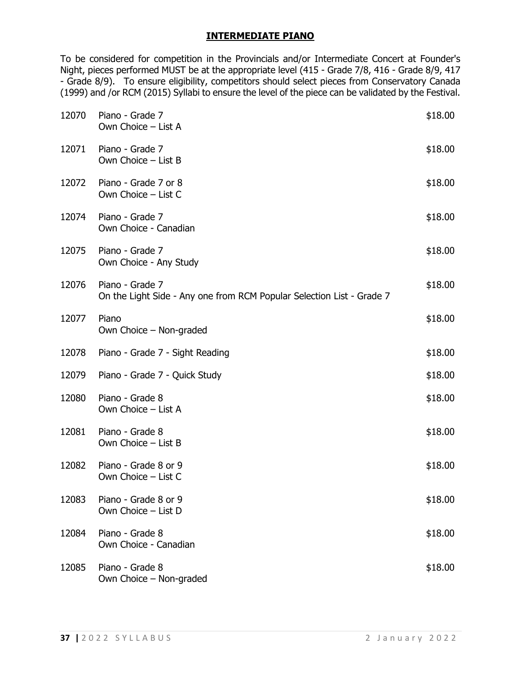### **INTERMEDIATE PIANO**

To be considered for competition in the Provincials and/or Intermediate Concert at Founder's Night, pieces performed MUST be at the appropriate level (415 - Grade 7/8, 416 - Grade 8/9, 417 - Grade 8/9). To ensure eligibility, competitors should select pieces from Conservatory Canada (1999) and /or RCM (2015) Syllabi to ensure the level of the piece can be validated by the Festival.

| 12070 | Piano - Grade 7<br>Own Choice - List A                                                   | \$18.00 |
|-------|------------------------------------------------------------------------------------------|---------|
| 12071 | Piano - Grade 7<br>Own Choice - List B                                                   | \$18.00 |
| 12072 | Piano - Grade 7 or 8<br>Own Choice - List C                                              | \$18.00 |
| 12074 | Piano - Grade 7<br>Own Choice - Canadian                                                 | \$18.00 |
| 12075 | Piano - Grade 7<br>Own Choice - Any Study                                                | \$18.00 |
| 12076 | Piano - Grade 7<br>On the Light Side - Any one from RCM Popular Selection List - Grade 7 | \$18.00 |
| 12077 | Piano<br>Own Choice - Non-graded                                                         | \$18.00 |
| 12078 | Piano - Grade 7 - Sight Reading                                                          | \$18.00 |
| 12079 | Piano - Grade 7 - Quick Study                                                            | \$18.00 |
| 12080 | Piano - Grade 8<br>Own Choice - List A                                                   | \$18.00 |
| 12081 | Piano - Grade 8<br>Own Choice - List B                                                   | \$18.00 |
| 12082 | Piano - Grade 8 or 9<br>Own Choice - List C                                              | \$18.00 |
| 12083 | Piano - Grade 8 or 9<br>Own Choice - List D                                              | \$18.00 |
| 12084 | Piano - Grade 8<br>Own Choice - Canadian                                                 | \$18.00 |
| 12085 | Piano - Grade 8<br>Own Choice - Non-graded                                               | \$18.00 |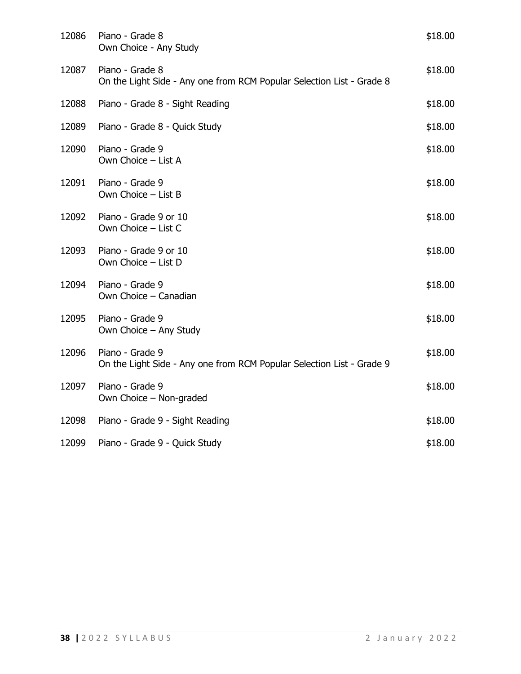| 12086 | Piano - Grade 8<br>Own Choice - Any Study                                                | \$18.00 |
|-------|------------------------------------------------------------------------------------------|---------|
| 12087 | Piano - Grade 8<br>On the Light Side - Any one from RCM Popular Selection List - Grade 8 | \$18.00 |
| 12088 | Piano - Grade 8 - Sight Reading                                                          | \$18.00 |
| 12089 | Piano - Grade 8 - Quick Study                                                            | \$18.00 |
| 12090 | Piano - Grade 9<br>Own Choice - List A                                                   | \$18.00 |
| 12091 | Piano - Grade 9<br>Own Choice - List B                                                   | \$18.00 |
| 12092 | Piano - Grade 9 or 10<br>Own Choice - List C                                             | \$18.00 |
| 12093 | Piano - Grade 9 or 10<br>Own Choice - List D                                             | \$18.00 |
| 12094 | Piano - Grade 9<br>Own Choice - Canadian                                                 | \$18.00 |
| 12095 | Piano - Grade 9<br>Own Choice - Any Study                                                | \$18.00 |
| 12096 | Piano - Grade 9<br>On the Light Side - Any one from RCM Popular Selection List - Grade 9 | \$18.00 |
| 12097 | Piano - Grade 9<br>Own Choice - Non-graded                                               | \$18.00 |
| 12098 | Piano - Grade 9 - Sight Reading                                                          | \$18.00 |
| 12099 | Piano - Grade 9 - Quick Study                                                            | \$18.00 |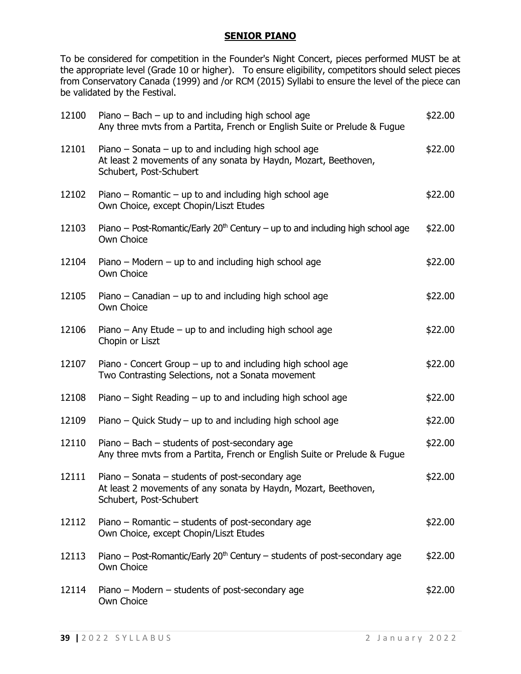#### **SENIOR PIANO**

To be considered for competition in the Founder's Night Concert, pieces performed MUST be at the appropriate level (Grade 10 or higher). To ensure eligibility, competitors should select pieces from Conservatory Canada (1999) and /or RCM (2015) Syllabi to ensure the level of the piece can be validated by the Festival.

| 12100 | Piano $-$ Bach $-$ up to and including high school age<br>Any three myts from a Partita, French or English Suite or Prelude & Fugue                | \$22.00 |
|-------|----------------------------------------------------------------------------------------------------------------------------------------------------|---------|
| 12101 | Piano – Sonata – up to and including high school age<br>At least 2 movements of any sonata by Haydn, Mozart, Beethoven,<br>Schubert, Post-Schubert | \$22.00 |
| 12102 | Piano – Romantic – up to and including high school age<br>Own Choice, except Chopin/Liszt Etudes                                                   | \$22.00 |
| 12103 | Piano – Post-Romantic/Early $20th$ Century – up to and including high school age<br>Own Choice                                                     | \$22.00 |
| 12104 | Piano – Modern – up to and including high school age<br>Own Choice                                                                                 | \$22.00 |
| 12105 | Piano – Canadian – up to and including high school age<br>Own Choice                                                                               | \$22.00 |
| 12106 | Piano $-$ Any Etude $-$ up to and including high school age<br>Chopin or Liszt                                                                     | \$22.00 |
| 12107 | Piano - Concert Group – up to and including high school age<br>Two Contrasting Selections, not a Sonata movement                                   | \$22.00 |
| 12108 | Piano $-$ Sight Reading $-$ up to and including high school age                                                                                    | \$22.00 |
| 12109 | Piano – Quick Study – up to and including high school age                                                                                          | \$22.00 |
| 12110 | Piano - Bach - students of post-secondary age<br>Any three myts from a Partita, French or English Suite or Prelude & Fugue                         | \$22.00 |
| 12111 | Piano $-$ Sonata $-$ students of post-secondary age<br>At least 2 movements of any sonata by Haydn, Mozart, Beethoven,<br>Schubert, Post-Schubert  | \$22.00 |
| 12112 | Piano – Romantic – students of post-secondary age<br>Own Choice, except Chopin/Liszt Etudes                                                        | \$22.00 |
| 12113 | Piano - Post-Romantic/Early $20th$ Century - students of post-secondary age<br>Own Choice                                                          | \$22.00 |
| 12114 | Piano – Modern – students of post-secondary age<br>Own Choice                                                                                      | \$22.00 |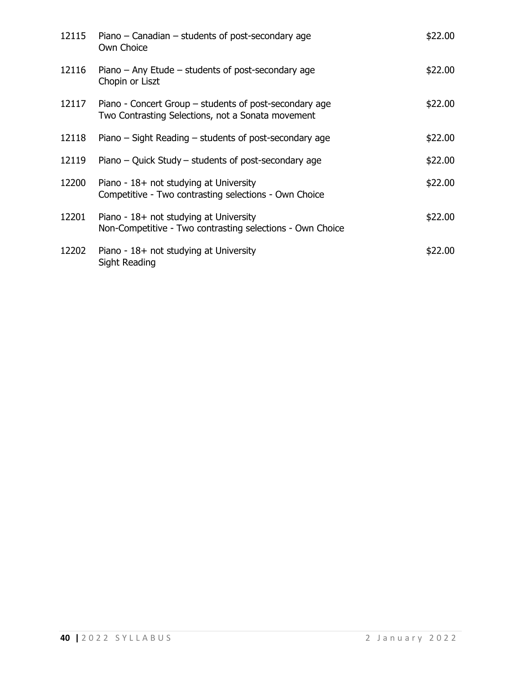| 12115 | Piano – Canadian – students of post-secondary age<br>Own Choice                                             | \$22.00 |
|-------|-------------------------------------------------------------------------------------------------------------|---------|
| 12116 | Piano $-$ Any Etude $-$ students of post-secondary age<br>Chopin or Liszt                                   | \$22.00 |
| 12117 | Piano - Concert Group – students of post-secondary age<br>Two Contrasting Selections, not a Sonata movement | \$22.00 |
| 12118 | Piano $-$ Sight Reading $-$ students of post-secondary age                                                  | \$22.00 |
| 12119 | Piano – Quick Study – students of post-secondary age                                                        | \$22.00 |
| 12200 | Piano - 18+ not studying at University<br>Competitive - Two contrasting selections - Own Choice             | \$22.00 |
| 12201 | Piano - 18+ not studying at University<br>Non-Competitive - Two contrasting selections - Own Choice         | \$22.00 |
| 12202 | Piano - $18+$ not studying at University<br>Sight Reading                                                   | \$22.00 |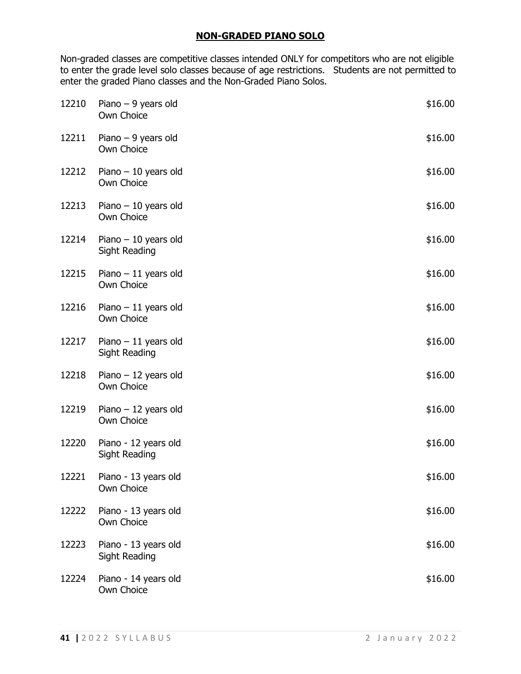## **NON-GRADED PIANO SOLO**

Non-graded classes are competitive classes intended ONLY for competitors who are not eligible to enter the grade level solo classes because of age restrictions. Students are not permitted to enter the graded Piano classes and the Non-Graded Piano Solos.

| 12210 | Piano $-9$ years old<br>Own Choice            | \$16.00 |
|-------|-----------------------------------------------|---------|
| 12211 | Piano $-9$ years old<br>Own Choice            | \$16.00 |
| 12212 | Piano $-10$ years old<br>Own Choice           | \$16.00 |
| 12213 | Piano $-10$ years old<br>Own Choice           | \$16.00 |
| 12214 | Piano $-10$ years old<br><b>Sight Reading</b> | \$16.00 |
| 12215 | Piano $-11$ years old<br>Own Choice           | \$16.00 |
| 12216 | Piano $-11$ years old<br>Own Choice           | \$16.00 |
| 12217 | Piano $-11$ years old<br><b>Sight Reading</b> | \$16.00 |
| 12218 | Piano $-12$ years old<br>Own Choice           | \$16.00 |
| 12219 | Piano $-12$ years old<br>Own Choice           | \$16.00 |
| 12220 | Piano - 12 years old<br><b>Sight Reading</b>  | \$16.00 |
| 12221 | Piano - 13 years old<br>Own Choice            | \$16.00 |
| 12222 | Piano - 13 years old<br>Own Choice            | \$16.00 |
| 12223 | Piano - 13 years old<br>Sight Reading         | \$16.00 |
| 12224 | Piano - 14 years old<br>Own Choice            | \$16.00 |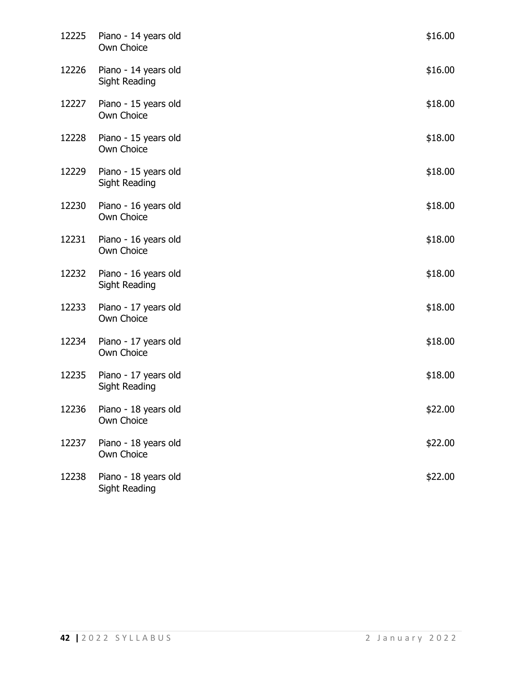| 12225 | Piano - 14 years old<br>Own Choice           | \$16.00 |
|-------|----------------------------------------------|---------|
| 12226 | Piano - 14 years old<br><b>Sight Reading</b> | \$16.00 |
| 12227 | Piano - 15 years old<br>Own Choice           | \$18.00 |
| 12228 | Piano - 15 years old<br>Own Choice           | \$18.00 |
| 12229 | Piano - 15 years old<br>Sight Reading        | \$18.00 |
| 12230 | Piano - 16 years old<br>Own Choice           | \$18.00 |
| 12231 | Piano - 16 years old<br>Own Choice           | \$18.00 |
| 12232 | Piano - 16 years old<br>Sight Reading        | \$18.00 |
| 12233 | Piano - 17 years old<br>Own Choice           | \$18.00 |
| 12234 | Piano - 17 years old<br>Own Choice           | \$18.00 |
| 12235 | Piano - 17 years old<br><b>Sight Reading</b> | \$18.00 |
| 12236 | Piano - 18 years old<br>Own Choice           | \$22.00 |
| 12237 | Piano - 18 years old<br>Own Choice           | \$22.00 |
| 12238 | Piano - 18 years old<br>Sight Reading        | \$22.00 |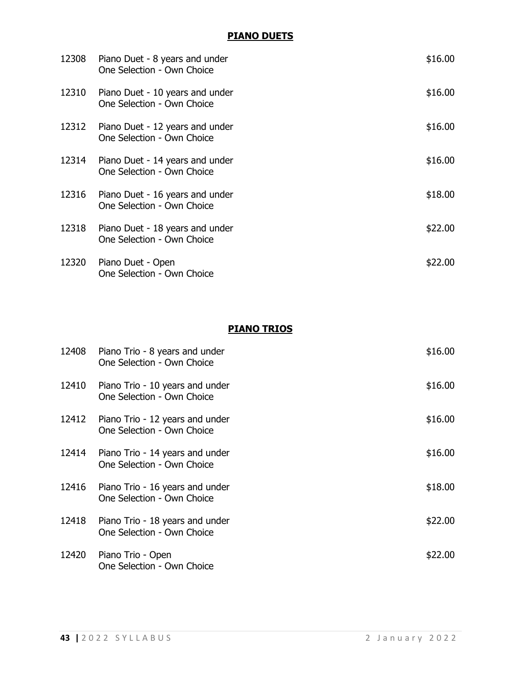## **PIANO DUETS**

| 12308 | Piano Duet - 8 years and under<br>One Selection - Own Choice  | \$16.00 |
|-------|---------------------------------------------------------------|---------|
| 12310 | Piano Duet - 10 years and under<br>One Selection - Own Choice | \$16.00 |
| 12312 | Piano Duet - 12 years and under<br>One Selection - Own Choice | \$16.00 |
| 12314 | Piano Duet - 14 years and under<br>One Selection - Own Choice | \$16.00 |
| 12316 | Piano Duet - 16 years and under<br>One Selection - Own Choice | \$18.00 |
| 12318 | Piano Duet - 18 years and under<br>One Selection - Own Choice | \$22.00 |
| 12320 | Piano Duet - Open<br>One Selection - Own Choice               | \$22.00 |

# **PIANO TRIOS**

| 12408 | Piano Trio - 8 years and under<br>One Selection - Own Choice  | \$16.00 |
|-------|---------------------------------------------------------------|---------|
| 12410 | Piano Trio - 10 years and under<br>One Selection - Own Choice | \$16.00 |
| 12412 | Piano Trio - 12 years and under<br>One Selection - Own Choice | \$16.00 |
| 12414 | Piano Trio - 14 years and under<br>One Selection - Own Choice | \$16.00 |
| 12416 | Piano Trio - 16 years and under<br>One Selection - Own Choice | \$18.00 |
| 12418 | Piano Trio - 18 years and under<br>One Selection - Own Choice | \$22.00 |
| 12420 | Piano Trio - Open<br>One Selection - Own Choice               | \$22.00 |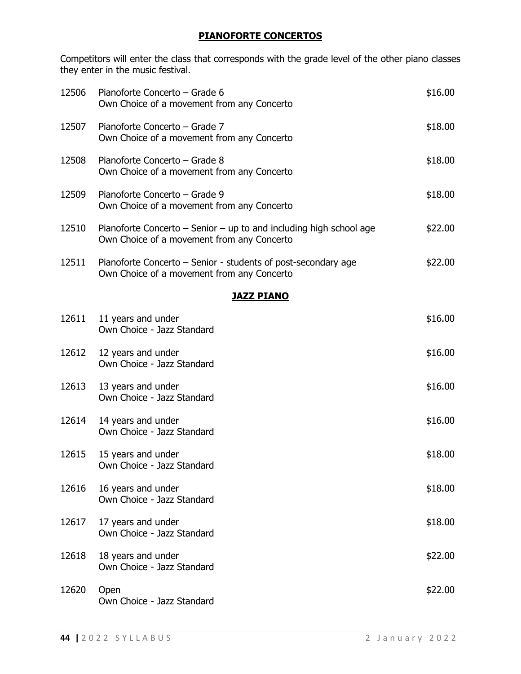## **PIANOFORTE CONCERTOS**

Competitors will enter the class that corresponds with the grade level of the other piano classes they enter in the music festival.

| 12506 | Pianoforte Concerto - Grade 6<br>Own Choice of a movement from any Concerto                                          | \$16.00 |
|-------|----------------------------------------------------------------------------------------------------------------------|---------|
| 12507 | Pianoforte Concerto - Grade 7<br>Own Choice of a movement from any Concerto                                          | \$18.00 |
| 12508 | Pianoforte Concerto - Grade 8<br>Own Choice of a movement from any Concerto                                          | \$18.00 |
| 12509 | Pianoforte Concerto - Grade 9<br>Own Choice of a movement from any Concerto                                          | \$18.00 |
| 12510 | Pianoforte Concerto $-$ Senior $-$ up to and including high school age<br>Own Choice of a movement from any Concerto | \$22.00 |
| 12511 | Pianoforte Concerto – Senior - students of post-secondary age<br>Own Choice of a movement from any Concerto          | \$22.00 |
|       | <b>JAZZ PIANO</b>                                                                                                    |         |
| 12611 | 11 years and under<br>Own Choice - Jazz Standard                                                                     | \$16.00 |
| 12612 | 12 years and under<br>Own Choice - Jazz Standard                                                                     | \$16.00 |
| 12613 | 13 years and under<br>Own Choice - Jazz Standard                                                                     | \$16.00 |
| 12614 | 14 years and under<br>Own Choice - Jazz Standard                                                                     | \$16.00 |
| 12615 | 15 years and under<br>Own Choice - Jazz Standard                                                                     | \$18.00 |
| 12616 | 16 years and under<br>Own Choice - Jazz Standard                                                                     | \$18.00 |
| 12617 | 17 years and under<br>Own Choice - Jazz Standard                                                                     | \$18.00 |
| 12618 | 18 years and under<br>Own Choice - Jazz Standard                                                                     | \$22.00 |
| 12620 | Open<br>Own Choice - Jazz Standard                                                                                   | \$22.00 |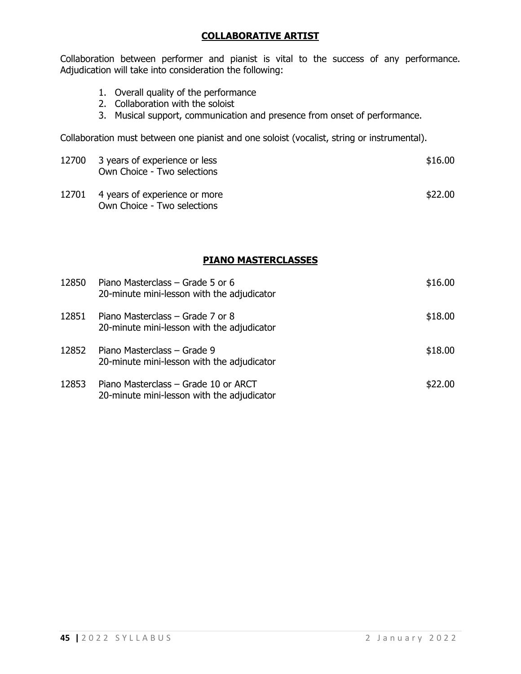## **COLLABORATIVE ARTIST**

Collaboration between performer and pianist is vital to the success of any performance. Adjudication will take into consideration the following:

- 1. Overall quality of the performance
- 2. Collaboration with the soloist
- 3. Musical support, communication and presence from onset of performance.

Collaboration must between one pianist and one soloist (vocalist, string or instrumental).

|       | 12700 3 years of experience or less<br>Own Choice - Two selections | \$16.00  |
|-------|--------------------------------------------------------------------|----------|
| 17701 | A voore of overvieren or more                                      | $+22.00$ |

12701 4 years of experience or more **\$22.00** Own Choice - Two selections

## **PIANO MASTERCLASSES**

| 12850 | Piano Masterclass – Grade 5 or 6<br>20-minute mini-lesson with the adjudicator     | \$16.00 |
|-------|------------------------------------------------------------------------------------|---------|
| 12851 | Piano Masterclass – Grade 7 or 8<br>20-minute mini-lesson with the adjudicator     | \$18.00 |
| 12852 | Piano Masterclass – Grade 9<br>20-minute mini-lesson with the adjudicator          | \$18.00 |
| 12853 | Piano Masterclass - Grade 10 or ARCT<br>20-minute mini-lesson with the adjudicator | \$22.00 |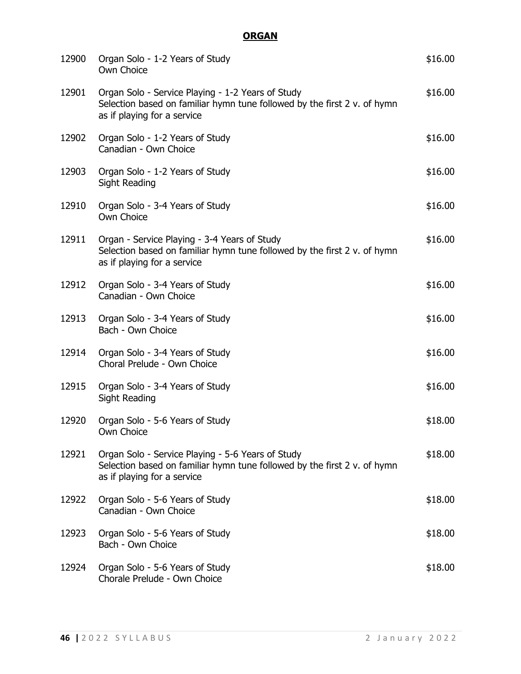# **ORGAN**

| 12900 | Organ Solo - 1-2 Years of Study<br>Own Choice                                                                                                                | \$16.00 |
|-------|--------------------------------------------------------------------------------------------------------------------------------------------------------------|---------|
| 12901 | Organ Solo - Service Playing - 1-2 Years of Study<br>Selection based on familiar hymn tune followed by the first 2 v. of hymn<br>as if playing for a service | \$16.00 |
| 12902 | Organ Solo - 1-2 Years of Study<br>Canadian - Own Choice                                                                                                     | \$16.00 |
| 12903 | Organ Solo - 1-2 Years of Study<br><b>Sight Reading</b>                                                                                                      | \$16.00 |
| 12910 | Organ Solo - 3-4 Years of Study<br>Own Choice                                                                                                                | \$16.00 |
| 12911 | Organ - Service Playing - 3-4 Years of Study<br>Selection based on familiar hymn tune followed by the first 2 v. of hymn<br>as if playing for a service      | \$16.00 |
| 12912 | Organ Solo - 3-4 Years of Study<br>Canadian - Own Choice                                                                                                     | \$16.00 |
| 12913 | Organ Solo - 3-4 Years of Study<br>Bach - Own Choice                                                                                                         | \$16.00 |
| 12914 | Organ Solo - 3-4 Years of Study<br>Choral Prelude - Own Choice                                                                                               | \$16.00 |
| 12915 | Organ Solo - 3-4 Years of Study<br>Sight Reading                                                                                                             | \$16.00 |
| 12920 | Organ Solo - 5-6 Years of Study<br>Own Choice                                                                                                                | \$18.00 |
| 12921 | Organ Solo - Service Playing - 5-6 Years of Study<br>Selection based on familiar hymn tune followed by the first 2 v. of hymn<br>as if playing for a service | \$18.00 |
| 12922 | Organ Solo - 5-6 Years of Study<br>Canadian - Own Choice                                                                                                     | \$18.00 |
| 12923 | Organ Solo - 5-6 Years of Study<br>Bach - Own Choice                                                                                                         | \$18.00 |
| 12924 | Organ Solo - 5-6 Years of Study<br>Chorale Prelude - Own Choice                                                                                              | \$18.00 |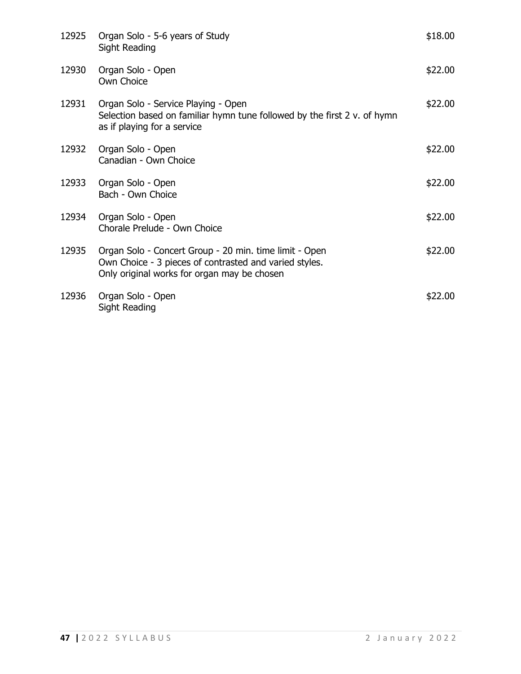| 12925 | Organ Solo - 5-6 years of Study<br>Sight Reading                                                                                                                | \$18.00 |
|-------|-----------------------------------------------------------------------------------------------------------------------------------------------------------------|---------|
| 12930 | Organ Solo - Open<br>Own Choice                                                                                                                                 | \$22.00 |
| 12931 | Organ Solo - Service Playing - Open<br>Selection based on familiar hymn tune followed by the first 2 v. of hymn<br>as if playing for a service                  | \$22.00 |
| 12932 | Organ Solo - Open<br>Canadian - Own Choice                                                                                                                      | \$22.00 |
| 12933 | Organ Solo - Open<br>Bach - Own Choice                                                                                                                          | \$22.00 |
| 12934 | Organ Solo - Open<br>Chorale Prelude - Own Choice                                                                                                               | \$22.00 |
| 12935 | Organ Solo - Concert Group - 20 min. time limit - Open<br>Own Choice - 3 pieces of contrasted and varied styles.<br>Only original works for organ may be chosen | \$22.00 |
| 12936 | Organ Solo - Open<br>Sight Reading                                                                                                                              | \$22.00 |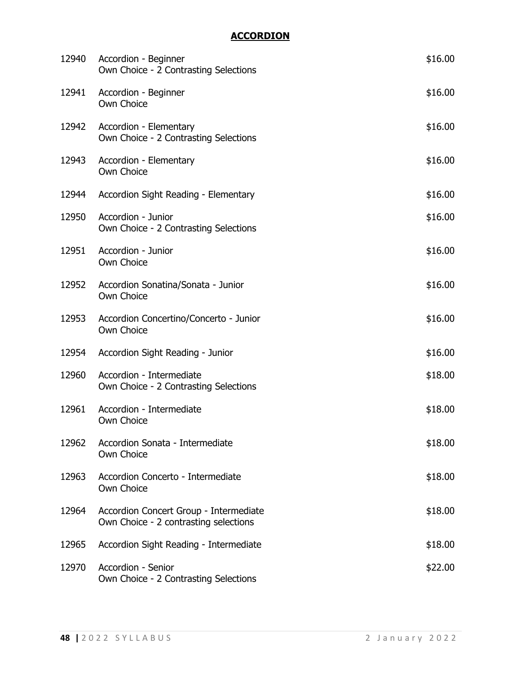# **ACCORDION**

| 12940 | Accordion - Beginner<br>Own Choice - 2 Contrasting Selections                   | \$16.00 |
|-------|---------------------------------------------------------------------------------|---------|
| 12941 | Accordion - Beginner<br>Own Choice                                              | \$16.00 |
| 12942 | Accordion - Elementary<br>Own Choice - 2 Contrasting Selections                 | \$16.00 |
| 12943 | Accordion - Elementary<br>Own Choice                                            | \$16.00 |
| 12944 | Accordion Sight Reading - Elementary                                            | \$16.00 |
| 12950 | Accordion - Junior<br>Own Choice - 2 Contrasting Selections                     | \$16.00 |
| 12951 | Accordion - Junior<br>Own Choice                                                | \$16.00 |
| 12952 | Accordion Sonatina/Sonata - Junior<br>Own Choice                                | \$16.00 |
| 12953 | Accordion Concertino/Concerto - Junior<br>Own Choice                            | \$16.00 |
| 12954 | Accordion Sight Reading - Junior                                                | \$16.00 |
| 12960 | Accordion - Intermediate<br>Own Choice - 2 Contrasting Selections               | \$18.00 |
| 12961 | Accordion - Intermediate<br>Own Choice                                          | \$18.00 |
| 12962 | Accordion Sonata - Intermediate<br>Own Choice                                   | \$18.00 |
| 12963 | Accordion Concerto - Intermediate<br>Own Choice                                 | \$18.00 |
| 12964 | Accordion Concert Group - Intermediate<br>Own Choice - 2 contrasting selections | \$18.00 |
| 12965 | Accordion Sight Reading - Intermediate                                          | \$18.00 |
| 12970 | Accordion - Senior<br>Own Choice - 2 Contrasting Selections                     | \$22.00 |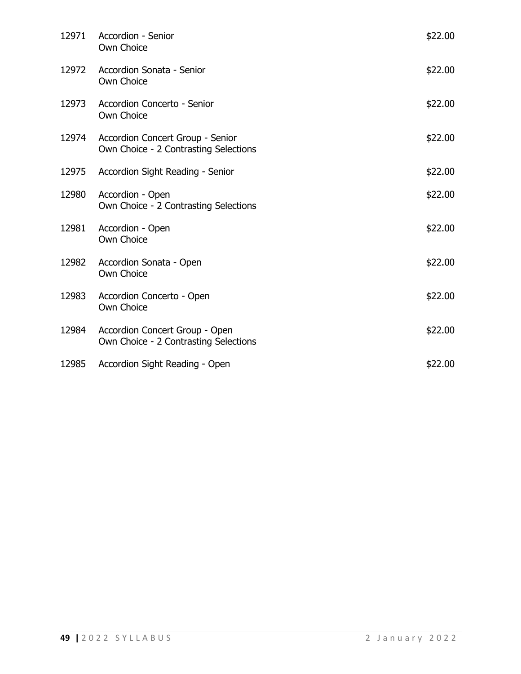| 12971 | Accordion - Senior<br>Own Choice                                          | \$22.00 |
|-------|---------------------------------------------------------------------------|---------|
| 12972 | Accordion Sonata - Senior<br>Own Choice                                   | \$22.00 |
| 12973 | Accordion Concerto - Senior<br>Own Choice                                 | \$22.00 |
| 12974 | Accordion Concert Group - Senior<br>Own Choice - 2 Contrasting Selections | \$22.00 |
| 12975 | Accordion Sight Reading - Senior                                          | \$22.00 |
| 12980 | Accordion - Open<br>Own Choice - 2 Contrasting Selections                 | \$22.00 |
| 12981 | Accordion - Open<br>Own Choice                                            | \$22.00 |
| 12982 | Accordion Sonata - Open<br>Own Choice                                     | \$22.00 |
| 12983 | Accordion Concerto - Open<br>Own Choice                                   | \$22.00 |
| 12984 | Accordion Concert Group - Open<br>Own Choice - 2 Contrasting Selections   | \$22.00 |
| 12985 | Accordion Sight Reading - Open                                            | \$22.00 |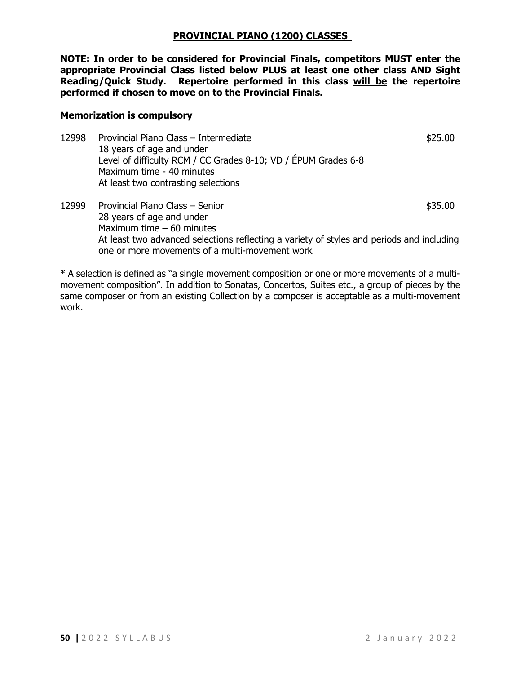#### **PROVINCIAL PIANO (1200) CLASSES**

**NOTE: In order to be considered for Provincial Finals, competitors MUST enter the appropriate Provincial Class listed below PLUS at least one other class AND Sight Reading/Quick Study. Repertoire performed in this class will be the repertoire performed if chosen to move on to the Provincial Finals.**

#### **Memorization is compulsory**

- 12998 Provincial Piano Class Intermediate **12998** Provincial Piano Class Intermediate 18 years of age and under Level of difficulty RCM / CC Grades 8-10; VD / ÉPUM Grades 6-8 Maximum time - 40 minutes At least two contrasting selections
- 12999 Provincial Piano Class Senior **\$35.00** \$35.00 28 years of age and under Maximum time – 60 minutes At least two advanced selections reflecting a variety of styles and periods and including one or more movements of a multi-movement work

\* A selection is defined as "a single movement composition or one or more movements of a multimovement composition". In addition to Sonatas, Concertos, Suites etc., a group of pieces by the same composer or from an existing Collection by a composer is acceptable as a multi-movement work.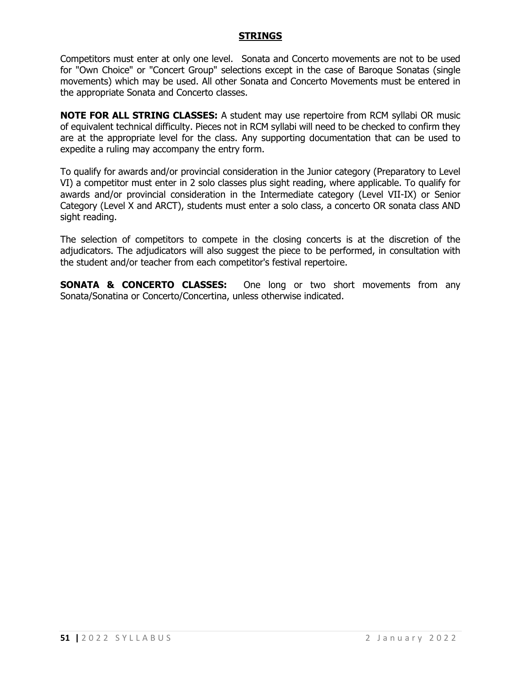### **STRINGS**

Competitors must enter at only one level. Sonata and Concerto movements are not to be used for "Own Choice" or "Concert Group" selections except in the case of Baroque Sonatas (single movements) which may be used. All other Sonata and Concerto Movements must be entered in the appropriate Sonata and Concerto classes.

**NOTE FOR ALL STRING CLASSES:** A student may use repertoire from RCM syllabi OR music of equivalent technical difficulty. Pieces not in RCM syllabi will need to be checked to confirm they are at the appropriate level for the class. Any supporting documentation that can be used to expedite a ruling may accompany the entry form.

To qualify for awards and/or provincial consideration in the Junior category (Preparatory to Level VI) a competitor must enter in 2 solo classes plus sight reading, where applicable. To qualify for awards and/or provincial consideration in the Intermediate category (Level VII-IX) or Senior Category (Level X and ARCT), students must enter a solo class, a concerto OR sonata class AND sight reading.

The selection of competitors to compete in the closing concerts is at the discretion of the adjudicators. The adjudicators will also suggest the piece to be performed, in consultation with the student and/or teacher from each competitor's festival repertoire.

**SONATA & CONCERTO CLASSES:** One long or two short movements from any Sonata/Sonatina or Concerto/Concertina, unless otherwise indicated.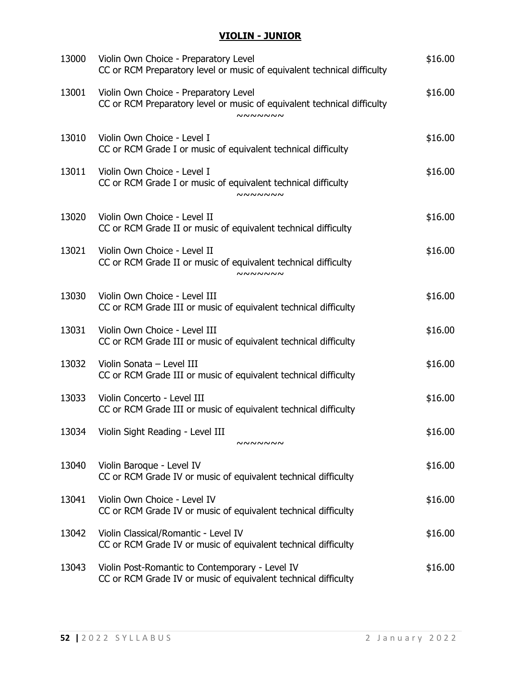# **VIOLIN - JUNIOR**

| 13000 | Violin Own Choice - Preparatory Level<br>CC or RCM Preparatory level or music of equivalent technical difficulty                   | \$16.00 |
|-------|------------------------------------------------------------------------------------------------------------------------------------|---------|
| 13001 | Violin Own Choice - Preparatory Level<br>CC or RCM Preparatory level or music of equivalent technical difficulty<br><b>NNNNNNN</b> | \$16.00 |
| 13010 | Violin Own Choice - Level I<br>CC or RCM Grade I or music of equivalent technical difficulty                                       | \$16.00 |
| 13011 | Violin Own Choice - Level I<br>CC or RCM Grade I or music of equivalent technical difficulty<br><b>NNNNNNN</b>                     | \$16.00 |
| 13020 | Violin Own Choice - Level II<br>CC or RCM Grade II or music of equivalent technical difficulty                                     | \$16.00 |
| 13021 | Violin Own Choice - Level II<br>CC or RCM Grade II or music of equivalent technical difficulty<br><b>NNNNNNN</b>                   | \$16.00 |
| 13030 | Violin Own Choice - Level III<br>CC or RCM Grade III or music of equivalent technical difficulty                                   | \$16.00 |
| 13031 | Violin Own Choice - Level III<br>CC or RCM Grade III or music of equivalent technical difficulty                                   | \$16.00 |
| 13032 | Violin Sonata - Level III<br>CC or RCM Grade III or music of equivalent technical difficulty                                       | \$16.00 |
| 13033 | Violin Concerto - Level III<br>CC or RCM Grade III or music of equivalent technical difficulty                                     | \$16.00 |
|       | 13034 Violin Sight Reading - Level III<br><b>NNNNNNN</b>                                                                           | \$16.00 |
| 13040 | Violin Baroque - Level IV<br>CC or RCM Grade IV or music of equivalent technical difficulty                                        | \$16.00 |
| 13041 | Violin Own Choice - Level IV<br>CC or RCM Grade IV or music of equivalent technical difficulty                                     | \$16.00 |
| 13042 | Violin Classical/Romantic - Level IV<br>CC or RCM Grade IV or music of equivalent technical difficulty                             | \$16.00 |
| 13043 | Violin Post-Romantic to Contemporary - Level IV<br>CC or RCM Grade IV or music of equivalent technical difficulty                  | \$16.00 |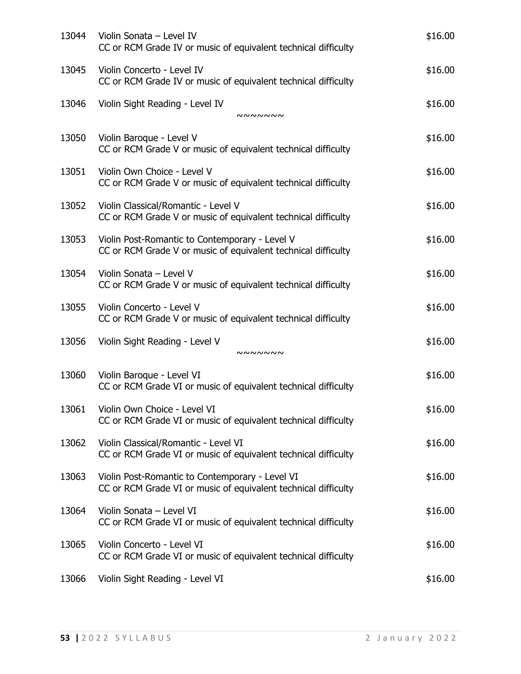| 13044 | Violin Sonata - Level IV<br>CC or RCM Grade IV or music of equivalent technical difficulty                        | \$16.00 |
|-------|-------------------------------------------------------------------------------------------------------------------|---------|
| 13045 | Violin Concerto - Level IV<br>CC or RCM Grade IV or music of equivalent technical difficulty                      | \$16.00 |
| 13046 | Violin Sight Reading - Level IV<br>nnnnnn                                                                         | \$16.00 |
| 13050 | Violin Baroque - Level V<br>CC or RCM Grade V or music of equivalent technical difficulty                         | \$16.00 |
| 13051 | Violin Own Choice - Level V<br>CC or RCM Grade V or music of equivalent technical difficulty                      | \$16.00 |
| 13052 | Violin Classical/Romantic - Level V<br>CC or RCM Grade V or music of equivalent technical difficulty              | \$16.00 |
| 13053 | Violin Post-Romantic to Contemporary - Level V<br>CC or RCM Grade V or music of equivalent technical difficulty   | \$16.00 |
| 13054 | Violin Sonata - Level V<br>CC or RCM Grade V or music of equivalent technical difficulty                          | \$16.00 |
| 13055 | Violin Concerto - Level V<br>CC or RCM Grade V or music of equivalent technical difficulty                        | \$16.00 |
| 13056 | Violin Sight Reading - Level V<br>nnnnnn                                                                          | \$16.00 |
| 13060 | Violin Baroque - Level VI<br>CC or RCM Grade VI or music of equivalent technical difficulty                       | \$16.00 |
| 13061 | Violin Own Choice - Level VI<br>CC or RCM Grade VI or music of equivalent technical difficulty                    | \$16.00 |
| 13062 | Violin Classical/Romantic - Level VI<br>CC or RCM Grade VI or music of equivalent technical difficulty            | \$16.00 |
| 13063 | Violin Post-Romantic to Contemporary - Level VI<br>CC or RCM Grade VI or music of equivalent technical difficulty | \$16.00 |
| 13064 | Violin Sonata - Level VI<br>CC or RCM Grade VI or music of equivalent technical difficulty                        | \$16.00 |
| 13065 | Violin Concerto - Level VI<br>CC or RCM Grade VI or music of equivalent technical difficulty                      | \$16.00 |
| 13066 | Violin Sight Reading - Level VI                                                                                   | \$16.00 |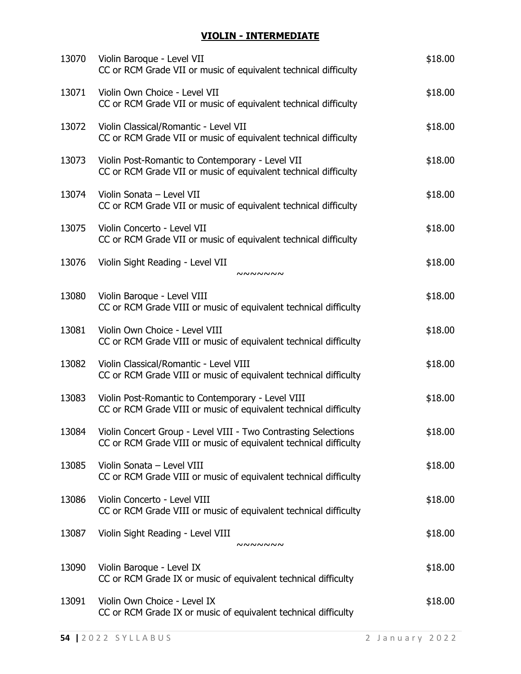# **VIOLIN - INTERMEDIATE**

| 13070 | Violin Baroque - Level VII<br>CC or RCM Grade VII or music of equivalent technical difficulty                                            | \$18.00 |
|-------|------------------------------------------------------------------------------------------------------------------------------------------|---------|
| 13071 | Violin Own Choice - Level VII<br>CC or RCM Grade VII or music of equivalent technical difficulty                                         | \$18.00 |
| 13072 | Violin Classical/Romantic - Level VII<br>CC or RCM Grade VII or music of equivalent technical difficulty                                 | \$18.00 |
| 13073 | Violin Post-Romantic to Contemporary - Level VII<br>CC or RCM Grade VII or music of equivalent technical difficulty                      | \$18.00 |
| 13074 | Violin Sonata - Level VII<br>CC or RCM Grade VII or music of equivalent technical difficulty                                             | \$18.00 |
| 13075 | Violin Concerto - Level VII<br>CC or RCM Grade VII or music of equivalent technical difficulty                                           | \$18.00 |
| 13076 | Violin Sight Reading - Level VII<br><b>NNNNNNN</b>                                                                                       | \$18.00 |
| 13080 | Violin Baroque - Level VIII<br>CC or RCM Grade VIII or music of equivalent technical difficulty                                          | \$18.00 |
| 13081 | Violin Own Choice - Level VIII<br>CC or RCM Grade VIII or music of equivalent technical difficulty                                       | \$18.00 |
| 13082 | Violin Classical/Romantic - Level VIII<br>CC or RCM Grade VIII or music of equivalent technical difficulty                               | \$18.00 |
| 13083 | Violin Post-Romantic to Contemporary - Level VIII<br>CC or RCM Grade VIII or music of equivalent technical difficulty                    | \$18.00 |
|       | 13084 Violin Concert Group - Level VIII - Two Contrasting Selections<br>CC or RCM Grade VIII or music of equivalent technical difficulty | \$18.00 |
| 13085 | Violin Sonata - Level VIII<br>CC or RCM Grade VIII or music of equivalent technical difficulty                                           | \$18.00 |
| 13086 | Violin Concerto - Level VIII<br>CC or RCM Grade VIII or music of equivalent technical difficulty                                         | \$18.00 |
| 13087 | Violin Sight Reading - Level VIII<br><b>NNNNNNN</b>                                                                                      | \$18.00 |
| 13090 | Violin Baroque - Level IX<br>CC or RCM Grade IX or music of equivalent technical difficulty                                              | \$18.00 |
| 13091 | Violin Own Choice - Level IX<br>CC or RCM Grade IX or music of equivalent technical difficulty                                           | \$18.00 |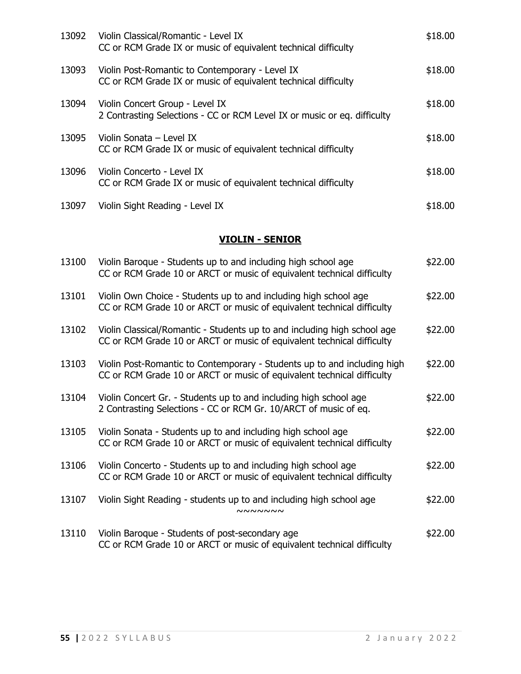| 13092 | Violin Classical/Romantic - Level IX<br>CC or RCM Grade IX or music of equivalent technical difficulty            | \$18.00 |
|-------|-------------------------------------------------------------------------------------------------------------------|---------|
| 13093 | Violin Post-Romantic to Contemporary - Level IX<br>CC or RCM Grade IX or music of equivalent technical difficulty | \$18.00 |
| 13094 | Violin Concert Group - Level IX<br>2 Contrasting Selections - CC or RCM Level IX or music or eq. difficulty       | \$18.00 |
| 13095 | Violin Sonata - Level IX<br>CC or RCM Grade IX or music of equivalent technical difficulty                        | \$18.00 |
| 13096 | Violin Concerto - Level IX<br>CC or RCM Grade IX or music of equivalent technical difficulty                      | \$18.00 |
| 13097 | Violin Sight Reading - Level IX                                                                                   | \$18.00 |

## **VIOLIN - SENIOR**

| 13100 | Violin Baroque - Students up to and including high school age<br>CC or RCM Grade 10 or ARCT or music of equivalent technical difficulty            | \$22.00 |
|-------|----------------------------------------------------------------------------------------------------------------------------------------------------|---------|
| 13101 | Violin Own Choice - Students up to and including high school age<br>CC or RCM Grade 10 or ARCT or music of equivalent technical difficulty         | \$22.00 |
| 13102 | Violin Classical/Romantic - Students up to and including high school age<br>CC or RCM Grade 10 or ARCT or music of equivalent technical difficulty | \$22.00 |
| 13103 | Violin Post-Romantic to Contemporary - Students up to and including high<br>CC or RCM Grade 10 or ARCT or music of equivalent technical difficulty | \$22.00 |
| 13104 | Violin Concert Gr. - Students up to and including high school age<br>2 Contrasting Selections - CC or RCM Gr. 10/ARCT of music of eq.              | \$22.00 |
| 13105 | Violin Sonata - Students up to and including high school age<br>CC or RCM Grade 10 or ARCT or music of equivalent technical difficulty             | \$22.00 |
| 13106 | Violin Concerto - Students up to and including high school age<br>CC or RCM Grade 10 or ARCT or music of equivalent technical difficulty           | \$22.00 |
| 13107 | Violin Sight Reading - students up to and including high school age<br><b>NNNNNNN</b>                                                              | \$22.00 |
| 13110 | Violin Baroque - Students of post-secondary age<br>CC or RCM Grade 10 or ARCT or music of equivalent technical difficulty                          | \$22.00 |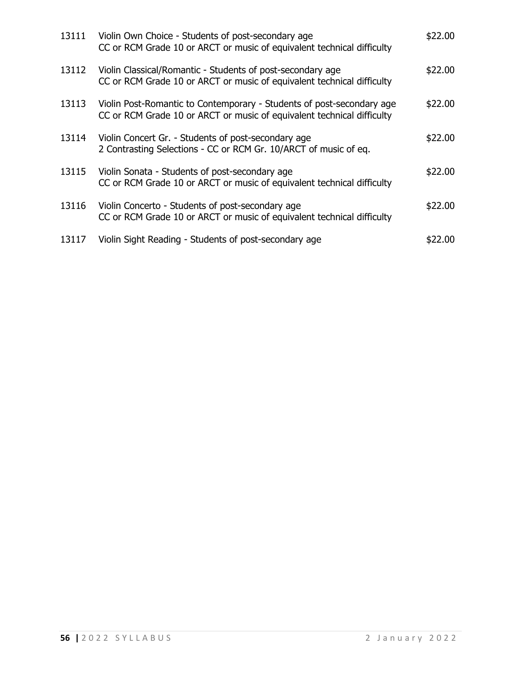| 13111 | Violin Own Choice - Students of post-secondary age<br>CC or RCM Grade 10 or ARCT or music of equivalent technical difficulty                    | \$22.00 |
|-------|-------------------------------------------------------------------------------------------------------------------------------------------------|---------|
| 13112 | Violin Classical/Romantic - Students of post-secondary age<br>CC or RCM Grade 10 or ARCT or music of equivalent technical difficulty            | \$22.00 |
| 13113 | Violin Post-Romantic to Contemporary - Students of post-secondary age<br>CC or RCM Grade 10 or ARCT or music of equivalent technical difficulty | \$22.00 |
| 13114 | Violin Concert Gr. - Students of post-secondary age<br>2 Contrasting Selections - CC or RCM Gr. 10/ARCT of music of eq.                         | \$22.00 |
| 13115 | Violin Sonata - Students of post-secondary age<br>CC or RCM Grade 10 or ARCT or music of equivalent technical difficulty                        | \$22.00 |
| 13116 | Violin Concerto - Students of post-secondary age<br>CC or RCM Grade 10 or ARCT or music of equivalent technical difficulty                      | \$22.00 |
| 13117 | Violin Sight Reading - Students of post-secondary age                                                                                           | \$22.00 |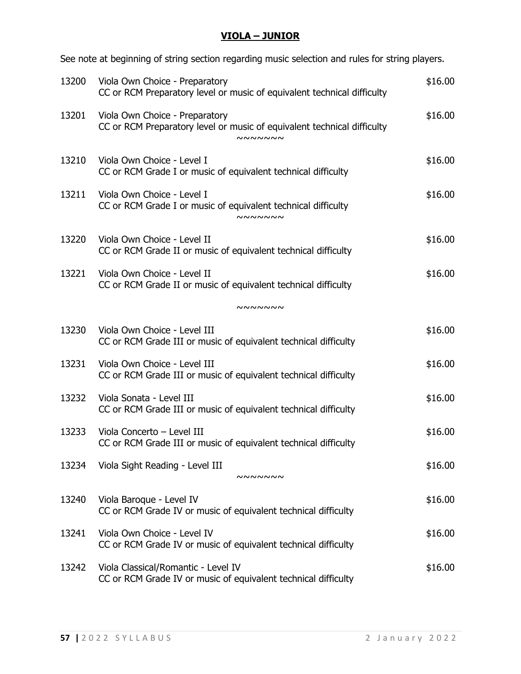# **VIOLA – JUNIOR**

See note at beginning of string section regarding music selection and rules for string players.

| 13200 | Viola Own Choice - Preparatory<br>CC or RCM Preparatory level or music of equivalent technical difficulty                   | \$16.00 |
|-------|-----------------------------------------------------------------------------------------------------------------------------|---------|
| 13201 | Viola Own Choice - Preparatory<br>CC or RCM Preparatory level or music of equivalent technical difficulty<br><b>NNNNNNN</b> | \$16.00 |
| 13210 | Viola Own Choice - Level I<br>CC or RCM Grade I or music of equivalent technical difficulty                                 | \$16.00 |
| 13211 | Viola Own Choice - Level I<br>CC or RCM Grade I or music of equivalent technical difficulty<br><b>NNNNNNN</b>               | \$16.00 |
| 13220 | Viola Own Choice - Level II<br>CC or RCM Grade II or music of equivalent technical difficulty                               | \$16.00 |
| 13221 | Viola Own Choice - Level II<br>CC or RCM Grade II or music of equivalent technical difficulty                               | \$16.00 |
|       | <b>NNNNNNN</b>                                                                                                              |         |
| 13230 | Viola Own Choice - Level III<br>CC or RCM Grade III or music of equivalent technical difficulty                             | \$16.00 |
| 13231 | Viola Own Choice - Level III<br>CC or RCM Grade III or music of equivalent technical difficulty                             | \$16.00 |
| 13232 | Viola Sonata - Level III<br>CC or RCM Grade III or music of equivalent technical difficulty                                 | \$16.00 |
| 13233 | Viola Concerto - Level III<br>CC or RCM Grade III or music of equivalent technical difficulty                               | \$16.00 |
| 13234 | Viola Sight Reading - Level III<br><b>NNNNNNN</b>                                                                           | \$16.00 |
| 13240 | Viola Baroque - Level IV<br>CC or RCM Grade IV or music of equivalent technical difficulty                                  | \$16.00 |
| 13241 | Viola Own Choice - Level IV<br>CC or RCM Grade IV or music of equivalent technical difficulty                               | \$16.00 |
| 13242 | Viola Classical/Romantic - Level IV<br>CC or RCM Grade IV or music of equivalent technical difficulty                       | \$16.00 |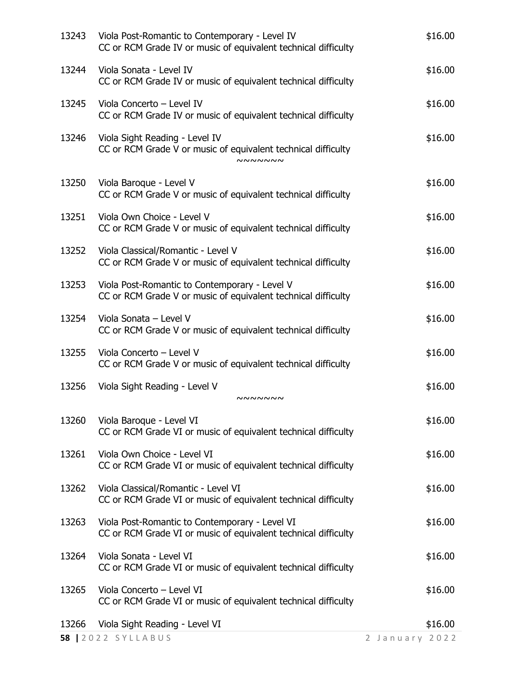|       | <b>58   2022 SYLLABUS</b>                                                                                         | 2 January 2022 |
|-------|-------------------------------------------------------------------------------------------------------------------|----------------|
| 13266 | Viola Sight Reading - Level VI                                                                                    | \$16.00        |
| 13265 | Viola Concerto - Level VI<br>CC or RCM Grade VI or music of equivalent technical difficulty                       | \$16.00        |
| 13264 | Viola Sonata - Level VI<br>CC or RCM Grade VI or music of equivalent technical difficulty                         | \$16.00        |
| 13263 | Viola Post-Romantic to Contemporary - Level VI<br>CC or RCM Grade VI or music of equivalent technical difficulty  | \$16.00        |
| 13262 | Viola Classical/Romantic - Level VI<br>CC or RCM Grade VI or music of equivalent technical difficulty             | \$16.00        |
| 13261 | Viola Own Choice - Level VI<br>CC or RCM Grade VI or music of equivalent technical difficulty                     | \$16.00        |
| 13260 | Viola Baroque - Level VI<br>CC or RCM Grade VI or music of equivalent technical difficulty                        | \$16.00        |
| 13256 | Viola Sight Reading - Level V<br><b>NNNNNNN</b>                                                                   | \$16.00        |
| 13255 | Viola Concerto - Level V<br>CC or RCM Grade V or music of equivalent technical difficulty                         | \$16.00        |
| 13254 | Viola Sonata - Level V<br>CC or RCM Grade V or music of equivalent technical difficulty                           | \$16.00        |
| 13253 | Viola Post-Romantic to Contemporary - Level V<br>CC or RCM Grade V or music of equivalent technical difficulty    | \$16.00        |
| 13252 | Viola Classical/Romantic - Level V<br>CC or RCM Grade V or music of equivalent technical difficulty               | \$16.00        |
| 13251 | Viola Own Choice - Level V<br>CC or RCM Grade V or music of equivalent technical difficulty                       | \$16.00        |
| 13250 | Viola Baroque - Level V<br>CC or RCM Grade V or music of equivalent technical difficulty                          | \$16.00        |
| 13246 | Viola Sight Reading - Level IV<br>CC or RCM Grade V or music of equivalent technical difficulty<br><b>NNNNNNN</b> | \$16.00        |
| 13245 | Viola Concerto - Level IV<br>CC or RCM Grade IV or music of equivalent technical difficulty                       | \$16.00        |
| 13244 | Viola Sonata - Level IV<br>CC or RCM Grade IV or music of equivalent technical difficulty                         | \$16.00        |
| 13243 | Viola Post-Romantic to Contemporary - Level IV<br>CC or RCM Grade IV or music of equivalent technical difficulty  | \$16.00        |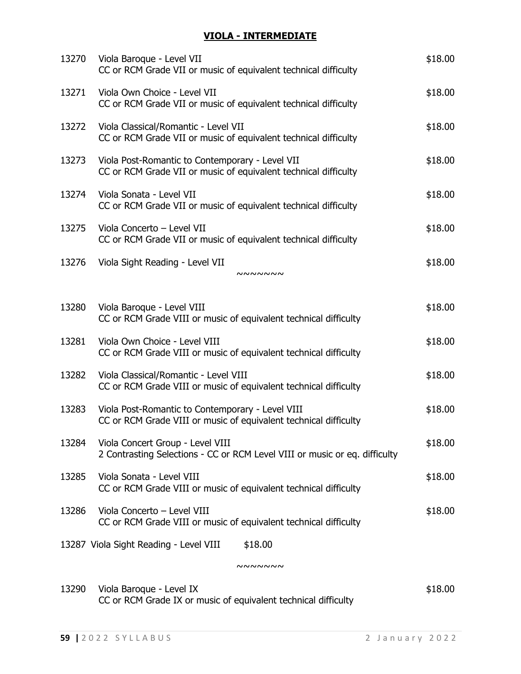## **VIOLA - INTERMEDIATE**

| 13270 | Viola Baroque - Level VII<br>CC or RCM Grade VII or music of equivalent technical difficulty                         | \$18.00 |
|-------|----------------------------------------------------------------------------------------------------------------------|---------|
| 13271 | Viola Own Choice - Level VII<br>CC or RCM Grade VII or music of equivalent technical difficulty                      | \$18.00 |
| 13272 | Viola Classical/Romantic - Level VII<br>CC or RCM Grade VII or music of equivalent technical difficulty              | \$18.00 |
| 13273 | Viola Post-Romantic to Contemporary - Level VII<br>CC or RCM Grade VII or music of equivalent technical difficulty   | \$18.00 |
| 13274 | Viola Sonata - Level VII<br>CC or RCM Grade VII or music of equivalent technical difficulty                          | \$18.00 |
| 13275 | Viola Concerto - Level VII<br>CC or RCM Grade VII or music of equivalent technical difficulty                        | \$18.00 |
| 13276 | Viola Sight Reading - Level VII<br>NNNNNN                                                                            | \$18.00 |
|       |                                                                                                                      |         |
| 13280 | Viola Baroque - Level VIII<br>CC or RCM Grade VIII or music of equivalent technical difficulty                       | \$18.00 |
| 13281 | Viola Own Choice - Level VIII<br>CC or RCM Grade VIII or music of equivalent technical difficulty                    | \$18.00 |
| 13282 | Viola Classical/Romantic - Level VIII<br>CC or RCM Grade VIII or music of equivalent technical difficulty            | \$18.00 |
| 13283 | Viola Post-Romantic to Contemporary - Level VIII<br>CC or RCM Grade VIII or music of equivalent technical difficulty | \$18.00 |
| 13284 | Viola Concert Group - Level VIII<br>2 Contrasting Selections - CC or RCM Level VIII or music or eq. difficulty       | \$18.00 |
| 13285 | Viola Sonata - Level VIII<br>CC or RCM Grade VIII or music of equivalent technical difficulty                        | \$18.00 |
| 13286 | Viola Concerto - Level VIII<br>CC or RCM Grade VIII or music of equivalent technical difficulty                      | \$18.00 |
|       |                                                                                                                      |         |
|       | 13287 Viola Sight Reading - Level VIII<br>\$18.00                                                                    |         |
|       | nnnnnn                                                                                                               |         |
|       | 12200 Viola Raroque Lovel IV                                                                                         | ሐ10 ሰበ  |

13290 Viola Baroque - Level IX  $$18.00$ CC or RCM Grade IX or music of equivalent technical difficulty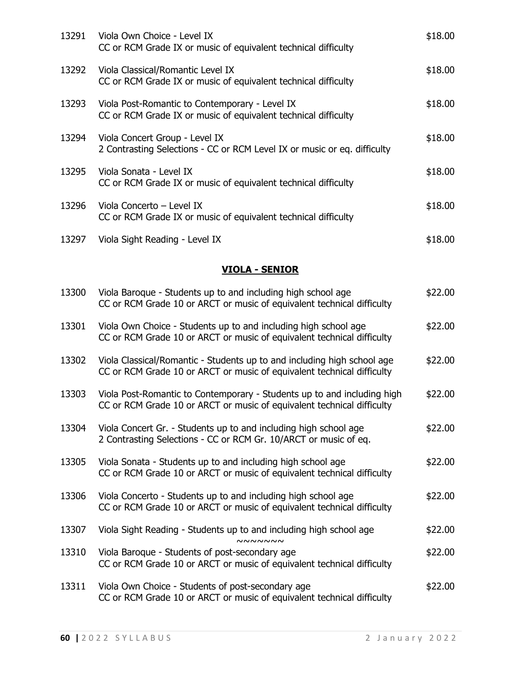| 13291 | Viola Own Choice - Level IX<br>CC or RCM Grade IX or music of equivalent technical difficulty                    | \$18.00 |
|-------|------------------------------------------------------------------------------------------------------------------|---------|
| 13292 | Viola Classical/Romantic Level IX<br>CC or RCM Grade IX or music of equivalent technical difficulty              | \$18.00 |
| 13293 | Viola Post-Romantic to Contemporary - Level IX<br>CC or RCM Grade IX or music of equivalent technical difficulty | \$18.00 |
| 13294 | Viola Concert Group - Level IX<br>2 Contrasting Selections - CC or RCM Level IX or music or eq. difficulty       | \$18.00 |
| 13295 | Viola Sonata - Level IX<br>CC or RCM Grade IX or music of equivalent technical difficulty                        | \$18.00 |
| 13296 | Viola Concerto - Level IX<br>CC or RCM Grade IX or music of equivalent technical difficulty                      | \$18.00 |
| 13297 | Viola Sight Reading - Level IX                                                                                   | \$18.00 |

# **VIOLA - SENIOR**

| 13300 | Viola Baroque - Students up to and including high school age<br>CC or RCM Grade 10 or ARCT or music of equivalent technical difficulty            | \$22.00 |
|-------|---------------------------------------------------------------------------------------------------------------------------------------------------|---------|
| 13301 | Viola Own Choice - Students up to and including high school age<br>CC or RCM Grade 10 or ARCT or music of equivalent technical difficulty         | \$22.00 |
| 13302 | Viola Classical/Romantic - Students up to and including high school age<br>CC or RCM Grade 10 or ARCT or music of equivalent technical difficulty | \$22.00 |
| 13303 | Viola Post-Romantic to Contemporary - Students up to and including high<br>CC or RCM Grade 10 or ARCT or music of equivalent technical difficulty | \$22.00 |
| 13304 | Viola Concert Gr. - Students up to and including high school age<br>2 Contrasting Selections - CC or RCM Gr. 10/ARCT or music of eq.              | \$22.00 |
| 13305 | Viola Sonata - Students up to and including high school age<br>CC or RCM Grade 10 or ARCT or music of equivalent technical difficulty             | \$22.00 |
| 13306 | Viola Concerto - Students up to and including high school age<br>CC or RCM Grade 10 or ARCT or music of equivalent technical difficulty           | \$22.00 |
| 13307 | Viola Sight Reading - Students up to and including high school age<br><b>NNNNNNN</b>                                                              | \$22.00 |
| 13310 | Viola Baroque - Students of post-secondary age<br>CC or RCM Grade 10 or ARCT or music of equivalent technical difficulty                          | \$22.00 |
| 13311 | Viola Own Choice - Students of post-secondary age<br>CC or RCM Grade 10 or ARCT or music of equivalent technical difficulty                       | \$22.00 |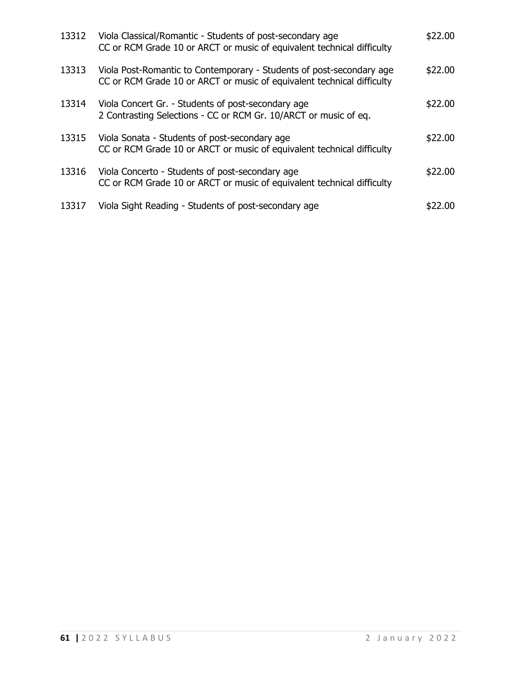| 13312 | Viola Classical/Romantic - Students of post-secondary age<br>CC or RCM Grade 10 or ARCT or music of equivalent technical difficulty            | \$22.00 |
|-------|------------------------------------------------------------------------------------------------------------------------------------------------|---------|
| 13313 | Viola Post-Romantic to Contemporary - Students of post-secondary age<br>CC or RCM Grade 10 or ARCT or music of equivalent technical difficulty | \$22.00 |
| 13314 | Viola Concert Gr. - Students of post-secondary age<br>2 Contrasting Selections - CC or RCM Gr. 10/ARCT or music of eq.                         | \$22.00 |
| 13315 | Viola Sonata - Students of post-secondary age<br>CC or RCM Grade 10 or ARCT or music of equivalent technical difficulty                        | \$22.00 |
| 13316 | Viola Concerto - Students of post-secondary age<br>CC or RCM Grade 10 or ARCT or music of equivalent technical difficulty                      | \$22.00 |
| 13317 | Viola Sight Reading - Students of post-secondary age                                                                                           | 2.00    |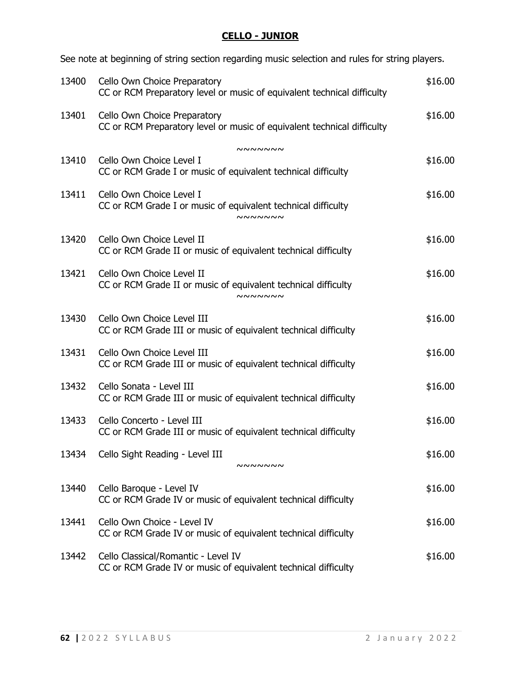# **CELLO - JUNIOR**

See note at beginning of string section regarding music selection and rules for string players.

| 13400 | Cello Own Choice Preparatory<br>CC or RCM Preparatory level or music of equivalent technical difficulty       | \$16.00 |
|-------|---------------------------------------------------------------------------------------------------------------|---------|
| 13401 | Cello Own Choice Preparatory<br>CC or RCM Preparatory level or music of equivalent technical difficulty       | \$16.00 |
|       | <b>NNNNNNN</b>                                                                                                |         |
| 13410 | Cello Own Choice Level I<br>CC or RCM Grade I or music of equivalent technical difficulty                     | \$16.00 |
| 13411 | Cello Own Choice Level I<br>CC or RCM Grade I or music of equivalent technical difficulty<br><b>NNNNNNN</b>   | \$16.00 |
| 13420 | Cello Own Choice Level II<br>CC or RCM Grade II or music of equivalent technical difficulty                   | \$16.00 |
| 13421 | Cello Own Choice Level II<br>CC or RCM Grade II or music of equivalent technical difficulty<br><b>NNNNNNN</b> | \$16.00 |
| 13430 | Cello Own Choice Level III<br>CC or RCM Grade III or music of equivalent technical difficulty                 | \$16.00 |
| 13431 | Cello Own Choice Level III<br>CC or RCM Grade III or music of equivalent technical difficulty                 | \$16.00 |
| 13432 | Cello Sonata - Level III<br>CC or RCM Grade III or music of equivalent technical difficulty                   | \$16.00 |
| 13433 | Cello Concerto - Level III<br>CC or RCM Grade III or music of equivalent technical difficulty                 | \$16.00 |
| 13434 | Cello Sight Reading - Level III<br><b>NNNNNNN</b>                                                             | \$16.00 |
| 13440 | Cello Baroque - Level IV<br>CC or RCM Grade IV or music of equivalent technical difficulty                    | \$16.00 |
| 13441 | Cello Own Choice - Level IV<br>CC or RCM Grade IV or music of equivalent technical difficulty                 | \$16.00 |
| 13442 | Cello Classical/Romantic - Level IV<br>CC or RCM Grade IV or music of equivalent technical difficulty         | \$16.00 |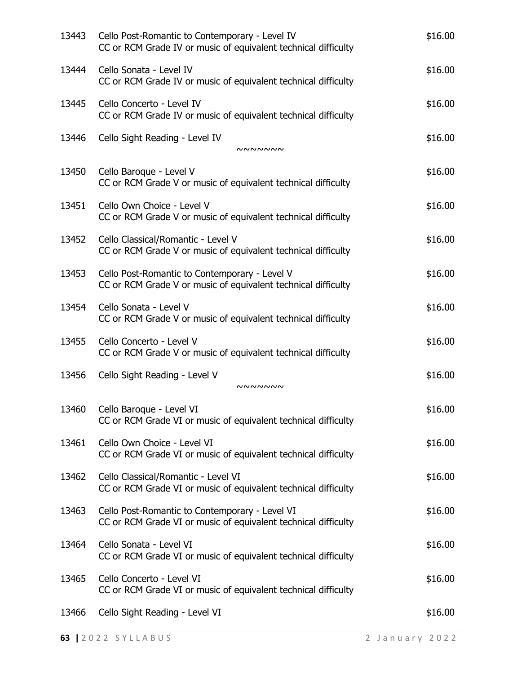| 13443 | Cello Post-Romantic to Contemporary - Level IV<br>CC or RCM Grade IV or music of equivalent technical difficulty | \$16.00 |
|-------|------------------------------------------------------------------------------------------------------------------|---------|
| 13444 | Cello Sonata - Level IV<br>CC or RCM Grade IV or music of equivalent technical difficulty                        | \$16.00 |
| 13445 | Cello Concerto - Level IV<br>CC or RCM Grade IV or music of equivalent technical difficulty                      | \$16.00 |
| 13446 | Cello Sight Reading - Level IV<br>nnnnnn                                                                         | \$16.00 |
| 13450 | Cello Baroque - Level V<br>CC or RCM Grade V or music of equivalent technical difficulty                         | \$16.00 |
| 13451 | Cello Own Choice - Level V<br>CC or RCM Grade V or music of equivalent technical difficulty                      | \$16.00 |
| 13452 | Cello Classical/Romantic - Level V<br>CC or RCM Grade V or music of equivalent technical difficulty              | \$16.00 |
| 13453 | Cello Post-Romantic to Contemporary - Level V<br>CC or RCM Grade V or music of equivalent technical difficulty   | \$16.00 |
| 13454 | Cello Sonata - Level V<br>CC or RCM Grade V or music of equivalent technical difficulty                          | \$16.00 |
| 13455 | Cello Concerto - Level V<br>CC or RCM Grade V or music of equivalent technical difficulty                        | \$16.00 |
| 13456 | Cello Sight Reading - Level V<br>៷៷៷៷៷៷៷                                                                         | \$16.00 |
| 13460 | Cello Baroque - Level VI<br>CC or RCM Grade VI or music of equivalent technical difficulty                       | \$16.00 |
| 13461 | Cello Own Choice - Level VI<br>CC or RCM Grade VI or music of equivalent technical difficulty                    | \$16.00 |
| 13462 | Cello Classical/Romantic - Level VI<br>CC or RCM Grade VI or music of equivalent technical difficulty            | \$16.00 |
| 13463 | Cello Post-Romantic to Contemporary - Level VI<br>CC or RCM Grade VI or music of equivalent technical difficulty | \$16.00 |
| 13464 | Cello Sonata - Level VI<br>CC or RCM Grade VI or music of equivalent technical difficulty                        | \$16.00 |
| 13465 | Cello Concerto - Level VI<br>CC or RCM Grade VI or music of equivalent technical difficulty                      | \$16.00 |
| 13466 | Cello Sight Reading - Level VI                                                                                   | \$16.00 |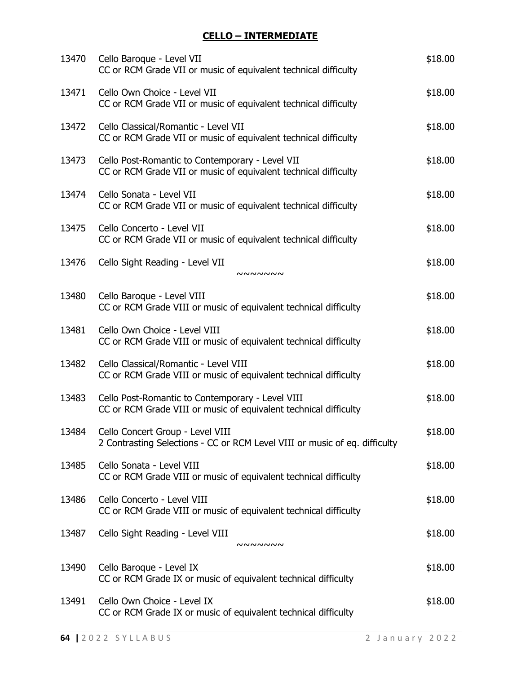# **CELLO – INTERMEDIATE**

| 13470 | Cello Baroque - Level VII<br>CC or RCM Grade VII or music of equivalent technical difficulty                         | \$18.00 |
|-------|----------------------------------------------------------------------------------------------------------------------|---------|
| 13471 | Cello Own Choice - Level VII<br>CC or RCM Grade VII or music of equivalent technical difficulty                      | \$18.00 |
| 13472 | Cello Classical/Romantic - Level VII<br>CC or RCM Grade VII or music of equivalent technical difficulty              | \$18.00 |
| 13473 | Cello Post-Romantic to Contemporary - Level VII<br>CC or RCM Grade VII or music of equivalent technical difficulty   | \$18.00 |
| 13474 | Cello Sonata - Level VII<br>CC or RCM Grade VII or music of equivalent technical difficulty                          | \$18.00 |
| 13475 | Cello Concerto - Level VII<br>CC or RCM Grade VII or music of equivalent technical difficulty                        | \$18.00 |
| 13476 | Cello Sight Reading - Level VII<br><b>NNNNNNN</b>                                                                    | \$18.00 |
| 13480 | Cello Baroque - Level VIII<br>CC or RCM Grade VIII or music of equivalent technical difficulty                       | \$18.00 |
| 13481 | Cello Own Choice - Level VIII<br>CC or RCM Grade VIII or music of equivalent technical difficulty                    | \$18.00 |
| 13482 | Cello Classical/Romantic - Level VIII<br>CC or RCM Grade VIII or music of equivalent technical difficulty            | \$18.00 |
| 13483 | Cello Post-Romantic to Contemporary - Level VIII<br>CC or RCM Grade VIII or music of equivalent technical difficulty | \$18.00 |
| 13484 | Cello Concert Group - Level VIII<br>2 Contrasting Selections - CC or RCM Level VIII or music of eq. difficulty       | \$18.00 |
| 13485 | Cello Sonata - Level VIII<br>CC or RCM Grade VIII or music of equivalent technical difficulty                        | \$18.00 |
| 13486 | Cello Concerto - Level VIII<br>CC or RCM Grade VIII or music of equivalent technical difficulty                      | \$18.00 |
| 13487 | Cello Sight Reading - Level VIII<br><b>NNNNNNN</b>                                                                   | \$18.00 |
| 13490 | Cello Baroque - Level IX<br>CC or RCM Grade IX or music of equivalent technical difficulty                           | \$18.00 |
| 13491 | Cello Own Choice - Level IX<br>CC or RCM Grade IX or music of equivalent technical difficulty                        | \$18.00 |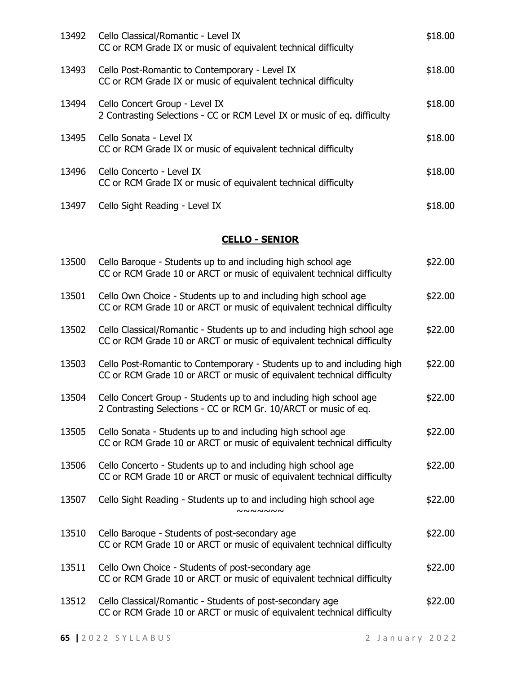| 13492 | Cello Classical/Romantic - Level IX<br>CC or RCM Grade IX or music of equivalent technical difficulty            | \$18.00 |
|-------|------------------------------------------------------------------------------------------------------------------|---------|
| 13493 | Cello Post-Romantic to Contemporary - Level IX<br>CC or RCM Grade IX or music of equivalent technical difficulty | \$18.00 |
| 13494 | Cello Concert Group - Level IX<br>2 Contrasting Selections - CC or RCM Level IX or music of eq. difficulty       | \$18.00 |
| 13495 | Cello Sonata - Level IX<br>CC or RCM Grade IX or music of equivalent technical difficulty                        | \$18.00 |
| 13496 | Cello Concerto - Level IX<br>CC or RCM Grade IX or music of equivalent technical difficulty                      | \$18.00 |
| 13497 | Cello Sight Reading - Level IX                                                                                   | \$18.00 |

## **CELLO - SENIOR**

| 13500 | Cello Baroque - Students up to and including high school age<br>CC or RCM Grade 10 or ARCT or music of equivalent technical difficulty            | \$22.00 |
|-------|---------------------------------------------------------------------------------------------------------------------------------------------------|---------|
| 13501 | Cello Own Choice - Students up to and including high school age<br>CC or RCM Grade 10 or ARCT or music of equivalent technical difficulty         | \$22.00 |
| 13502 | Cello Classical/Romantic - Students up to and including high school age<br>CC or RCM Grade 10 or ARCT or music of equivalent technical difficulty | \$22.00 |
| 13503 | Cello Post-Romantic to Contemporary - Students up to and including high<br>CC or RCM Grade 10 or ARCT or music of equivalent technical difficulty | \$22.00 |
| 13504 | Cello Concert Group - Students up to and including high school age<br>2 Contrasting Selections - CC or RCM Gr. 10/ARCT or music of eq.            | \$22.00 |
| 13505 | Cello Sonata - Students up to and including high school age<br>CC or RCM Grade 10 or ARCT or music of equivalent technical difficulty             | \$22.00 |
| 13506 | Cello Concerto - Students up to and including high school age<br>CC or RCM Grade 10 or ARCT or music of equivalent technical difficulty           | \$22.00 |
| 13507 | Cello Sight Reading - Students up to and including high school age<br>NNNNNN                                                                      | \$22.00 |
| 13510 | Cello Baroque - Students of post-secondary age<br>CC or RCM Grade 10 or ARCT or music of equivalent technical difficulty                          | \$22.00 |
| 13511 | Cello Own Choice - Students of post-secondary age<br>CC or RCM Grade 10 or ARCT or music of equivalent technical difficulty                       | \$22.00 |
| 13512 | Cello Classical/Romantic - Students of post-secondary age<br>CC or RCM Grade 10 or ARCT or music of equivalent technical difficulty               | \$22.00 |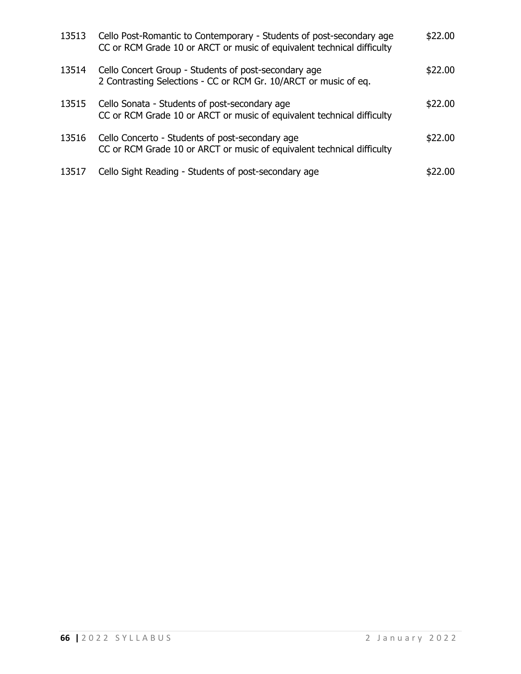| 13513 | Cello Post-Romantic to Contemporary - Students of post-secondary age<br>CC or RCM Grade 10 or ARCT or music of equivalent technical difficulty | \$22.00 |
|-------|------------------------------------------------------------------------------------------------------------------------------------------------|---------|
| 13514 | Cello Concert Group - Students of post-secondary age<br>2 Contrasting Selections - CC or RCM Gr. 10/ARCT or music of eq.                       | \$22.00 |
| 13515 | Cello Sonata - Students of post-secondary age<br>CC or RCM Grade 10 or ARCT or music of equivalent technical difficulty                        | \$22.00 |
| 13516 | Cello Concerto - Students of post-secondary age<br>CC or RCM Grade 10 or ARCT or music of equivalent technical difficulty                      | \$22.00 |
| 13517 | Cello Sight Reading - Students of post-secondary age                                                                                           | 22.00   |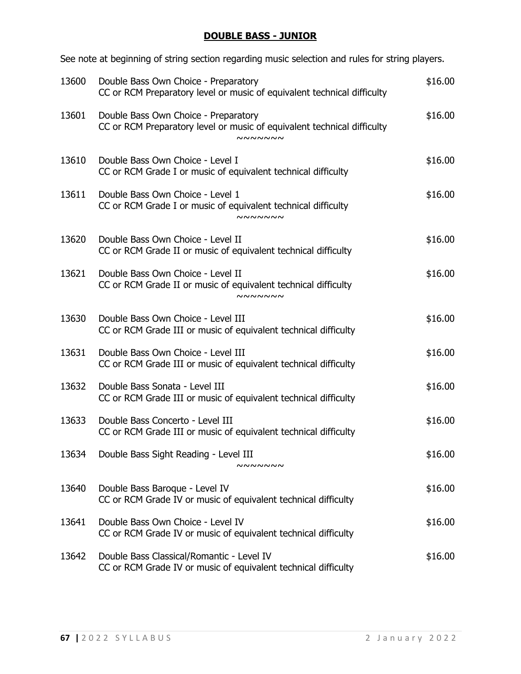# **DOUBLE BASS - JUNIOR**

See note at beginning of string section regarding music selection and rules for string players.

| 13600 | Double Bass Own Choice - Preparatory<br>CC or RCM Preparatory level or music of equivalent technical difficulty                   | \$16.00 |
|-------|-----------------------------------------------------------------------------------------------------------------------------------|---------|
| 13601 | Double Bass Own Choice - Preparatory<br>CC or RCM Preparatory level or music of equivalent technical difficulty<br><b>NNNNNNN</b> | \$16.00 |
| 13610 | Double Bass Own Choice - Level I<br>CC or RCM Grade I or music of equivalent technical difficulty                                 | \$16.00 |
| 13611 | Double Bass Own Choice - Level 1<br>CC or RCM Grade I or music of equivalent technical difficulty<br><b>NNNNNNN</b>               | \$16.00 |
| 13620 | Double Bass Own Choice - Level II<br>CC or RCM Grade II or music of equivalent technical difficulty                               | \$16.00 |
| 13621 | Double Bass Own Choice - Level II<br>CC or RCM Grade II or music of equivalent technical difficulty<br><b>NNNNNNN</b>             | \$16.00 |
| 13630 | Double Bass Own Choice - Level III<br>CC or RCM Grade III or music of equivalent technical difficulty                             | \$16.00 |
| 13631 | Double Bass Own Choice - Level III<br>CC or RCM Grade III or music of equivalent technical difficulty                             | \$16.00 |
| 13632 | Double Bass Sonata - Level III<br>CC or RCM Grade III or music of equivalent technical difficulty                                 | \$16.00 |
| 13633 | Double Bass Concerto - Level III<br>CC or RCM Grade III or music of equivalent technical difficulty                               | \$16.00 |
|       | 13634 Double Bass Sight Reading - Level III<br>nnnnnn                                                                             | \$16.00 |
| 13640 | Double Bass Baroque - Level IV<br>CC or RCM Grade IV or music of equivalent technical difficulty                                  | \$16.00 |
| 13641 | Double Bass Own Choice - Level IV<br>CC or RCM Grade IV or music of equivalent technical difficulty                               | \$16.00 |
| 13642 | Double Bass Classical/Romantic - Level IV<br>CC or RCM Grade IV or music of equivalent technical difficulty                       | \$16.00 |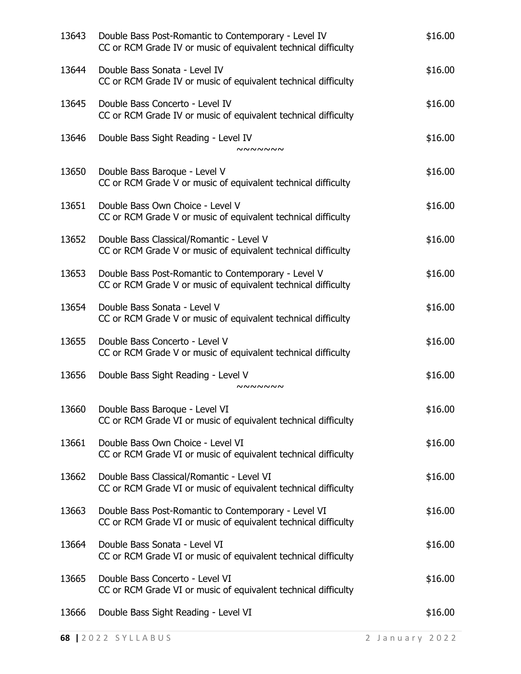| 13643 | Double Bass Post-Romantic to Contemporary - Level IV<br>CC or RCM Grade IV or music of equivalent technical difficulty | \$16.00 |
|-------|------------------------------------------------------------------------------------------------------------------------|---------|
| 13644 | Double Bass Sonata - Level IV<br>CC or RCM Grade IV or music of equivalent technical difficulty                        | \$16.00 |
| 13645 | Double Bass Concerto - Level IV<br>CC or RCM Grade IV or music of equivalent technical difficulty                      | \$16.00 |
| 13646 | Double Bass Sight Reading - Level IV<br>nnnnnn                                                                         | \$16.00 |
| 13650 | Double Bass Baroque - Level V<br>CC or RCM Grade V or music of equivalent technical difficulty                         | \$16.00 |
| 13651 | Double Bass Own Choice - Level V<br>CC or RCM Grade V or music of equivalent technical difficulty                      | \$16.00 |
| 13652 | Double Bass Classical/Romantic - Level V<br>CC or RCM Grade V or music of equivalent technical difficulty              | \$16.00 |
| 13653 | Double Bass Post-Romantic to Contemporary - Level V<br>CC or RCM Grade V or music of equivalent technical difficulty   | \$16.00 |
| 13654 | Double Bass Sonata - Level V<br>CC or RCM Grade V or music of equivalent technical difficulty                          | \$16.00 |
| 13655 | Double Bass Concerto - Level V<br>CC or RCM Grade V or music of equivalent technical difficulty                        | \$16.00 |
| 13656 | Double Bass Sight Reading - Level V<br><b>NNNNNNN</b>                                                                  | \$16.00 |
| 13660 | Double Bass Baroque - Level VI<br>CC or RCM Grade VI or music of equivalent technical difficulty                       | \$16.00 |
| 13661 | Double Bass Own Choice - Level VI<br>CC or RCM Grade VI or music of equivalent technical difficulty                    | \$16.00 |
| 13662 | Double Bass Classical/Romantic - Level VI<br>CC or RCM Grade VI or music of equivalent technical difficulty            | \$16.00 |
| 13663 | Double Bass Post-Romantic to Contemporary - Level VI<br>CC or RCM Grade VI or music of equivalent technical difficulty | \$16.00 |
| 13664 | Double Bass Sonata - Level VI<br>CC or RCM Grade VI or music of equivalent technical difficulty                        | \$16.00 |
| 13665 | Double Bass Concerto - Level VI<br>CC or RCM Grade VI or music of equivalent technical difficulty                      | \$16.00 |
| 13666 | Double Bass Sight Reading - Level VI                                                                                   | \$16.00 |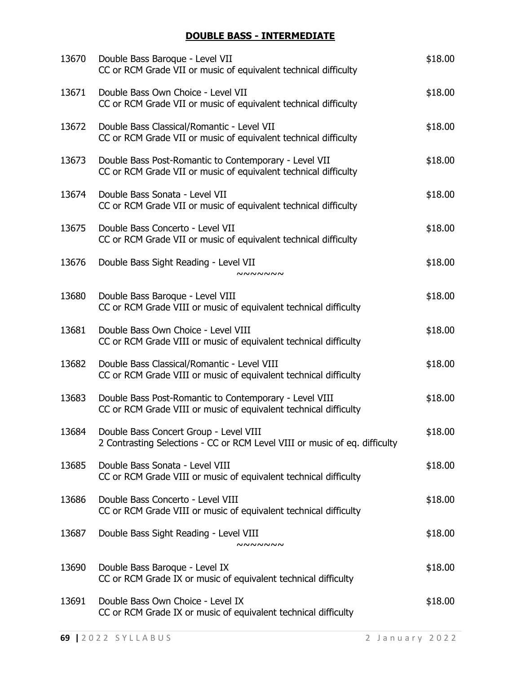# **DOUBLE BASS - INTERMEDIATE**

| 13670 | Double Bass Baroque - Level VII<br>CC or RCM Grade VII or music of equivalent technical difficulty                         | \$18.00 |
|-------|----------------------------------------------------------------------------------------------------------------------------|---------|
| 13671 | Double Bass Own Choice - Level VII<br>CC or RCM Grade VII or music of equivalent technical difficulty                      | \$18.00 |
| 13672 | Double Bass Classical/Romantic - Level VII<br>CC or RCM Grade VII or music of equivalent technical difficulty              | \$18.00 |
| 13673 | Double Bass Post-Romantic to Contemporary - Level VII<br>CC or RCM Grade VII or music of equivalent technical difficulty   | \$18.00 |
| 13674 | Double Bass Sonata - Level VII<br>CC or RCM Grade VII or music of equivalent technical difficulty                          | \$18.00 |
| 13675 | Double Bass Concerto - Level VII<br>CC or RCM Grade VII or music of equivalent technical difficulty                        | \$18.00 |
| 13676 | Double Bass Sight Reading - Level VII<br><b>NNNNNNN</b>                                                                    | \$18.00 |
| 13680 | Double Bass Baroque - Level VIII<br>CC or RCM Grade VIII or music of equivalent technical difficulty                       | \$18.00 |
| 13681 | Double Bass Own Choice - Level VIII<br>CC or RCM Grade VIII or music of equivalent technical difficulty                    | \$18.00 |
| 13682 | Double Bass Classical/Romantic - Level VIII<br>CC or RCM Grade VIII or music of equivalent technical difficulty            | \$18.00 |
| 13683 | Double Bass Post-Romantic to Contemporary - Level VIII<br>CC or RCM Grade VIII or music of equivalent technical difficulty | \$18.00 |
| 13684 | Double Bass Concert Group - Level VIII<br>2 Contrasting Selections - CC or RCM Level VIII or music of eq. difficulty       | \$18.00 |
| 13685 | Double Bass Sonata - Level VIII<br>CC or RCM Grade VIII or music of equivalent technical difficulty                        | \$18.00 |
| 13686 | Double Bass Concerto - Level VIII<br>CC or RCM Grade VIII or music of equivalent technical difficulty                      | \$18.00 |
| 13687 | Double Bass Sight Reading - Level VIII<br><b>NNNNNNN</b>                                                                   | \$18.00 |
| 13690 | Double Bass Baroque - Level IX<br>CC or RCM Grade IX or music of equivalent technical difficulty                           | \$18.00 |
| 13691 | Double Bass Own Choice - Level IX<br>CC or RCM Grade IX or music of equivalent technical difficulty                        | \$18.00 |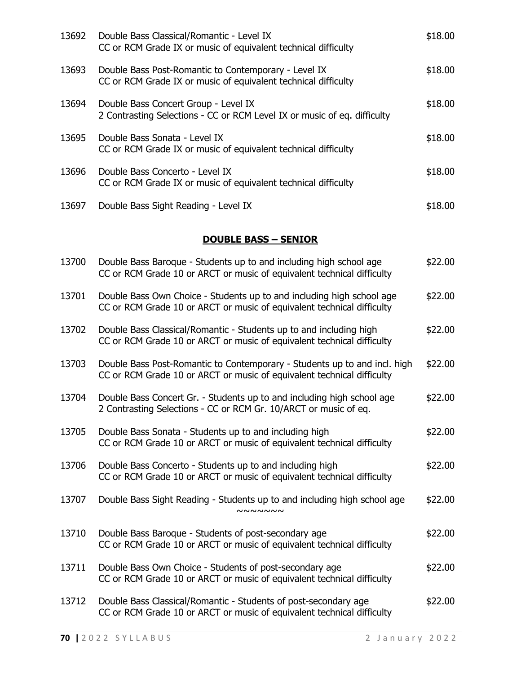| 13692 | Double Bass Classical/Romantic - Level IX<br>CC or RCM Grade IX or music of equivalent technical difficulty            | \$18.00 |
|-------|------------------------------------------------------------------------------------------------------------------------|---------|
| 13693 | Double Bass Post-Romantic to Contemporary - Level IX<br>CC or RCM Grade IX or music of equivalent technical difficulty | \$18.00 |
| 13694 | Double Bass Concert Group - Level IX<br>2 Contrasting Selections - CC or RCM Level IX or music of eq. difficulty       | \$18.00 |
| 13695 | Double Bass Sonata - Level IX<br>CC or RCM Grade IX or music of equivalent technical difficulty                        | \$18.00 |
| 13696 | Double Bass Concerto - Level IX<br>CC or RCM Grade IX or music of equivalent technical difficulty                      | \$18.00 |
| 13697 | Double Bass Sight Reading - Level IX                                                                                   | \$18.00 |

## **DOUBLE BASS – SENIOR**

| 13700 | Double Bass Baroque - Students up to and including high school age<br>CC or RCM Grade 10 or ARCT or music of equivalent technical difficulty        | \$22.00 |
|-------|-----------------------------------------------------------------------------------------------------------------------------------------------------|---------|
| 13701 | Double Bass Own Choice - Students up to and including high school age<br>CC or RCM Grade 10 or ARCT or music of equivalent technical difficulty     | \$22.00 |
| 13702 | Double Bass Classical/Romantic - Students up to and including high<br>CC or RCM Grade 10 or ARCT or music of equivalent technical difficulty        | \$22.00 |
| 13703 | Double Bass Post-Romantic to Contemporary - Students up to and incl. high<br>CC or RCM Grade 10 or ARCT or music of equivalent technical difficulty | \$22.00 |
| 13704 | Double Bass Concert Gr. - Students up to and including high school age<br>2 Contrasting Selections - CC or RCM Gr. 10/ARCT or music of eq.          | \$22.00 |
| 13705 | Double Bass Sonata - Students up to and including high<br>CC or RCM Grade 10 or ARCT or music of equivalent technical difficulty                    | \$22.00 |
| 13706 | Double Bass Concerto - Students up to and including high<br>CC or RCM Grade 10 or ARCT or music of equivalent technical difficulty                  | \$22.00 |
| 13707 | Double Bass Sight Reading - Students up to and including high school age<br><b>NNNNNNN</b>                                                          | \$22.00 |
| 13710 | Double Bass Baroque - Students of post-secondary age<br>CC or RCM Grade 10 or ARCT or music of equivalent technical difficulty                      | \$22.00 |
| 13711 | Double Bass Own Choice - Students of post-secondary age<br>CC or RCM Grade 10 or ARCT or music of equivalent technical difficulty                   | \$22.00 |
| 13712 | Double Bass Classical/Romantic - Students of post-secondary age<br>CC or RCM Grade 10 or ARCT or music of equivalent technical difficulty           | \$22.00 |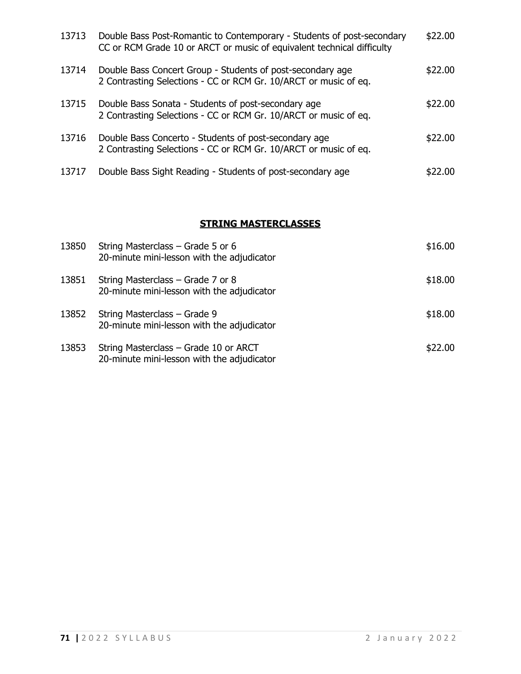| 13713 | Double Bass Post-Romantic to Contemporary - Students of post-secondary<br>CC or RCM Grade 10 or ARCT or music of equivalent technical difficulty | \$22.00 |
|-------|--------------------------------------------------------------------------------------------------------------------------------------------------|---------|
| 13714 | Double Bass Concert Group - Students of post-secondary age<br>2 Contrasting Selections - CC or RCM Gr. 10/ARCT or music of eq.                   | \$22.00 |
| 13715 | Double Bass Sonata - Students of post-secondary age<br>2 Contrasting Selections - CC or RCM Gr. 10/ARCT or music of eq.                          | \$22.00 |
| 13716 | Double Bass Concerto - Students of post-secondary age<br>2 Contrasting Selections - CC or RCM Gr. 10/ARCT or music of eq.                        | \$22.00 |
| 13717 | Double Bass Sight Reading - Students of post-secondary age                                                                                       | \$22.00 |

# **STRING MASTERCLASSES**

| 13850 | String Masterclass – Grade 5 or 6<br>20-minute mini-lesson with the adjudicator     | \$16.00 |
|-------|-------------------------------------------------------------------------------------|---------|
| 13851 | String Masterclass – Grade 7 or 8<br>20-minute mini-lesson with the adjudicator     | \$18.00 |
| 13852 | String Masterclass - Grade 9<br>20-minute mini-lesson with the adjudicator          | \$18.00 |
| 13853 | String Masterclass - Grade 10 or ARCT<br>20-minute mini-lesson with the adjudicator | \$22.00 |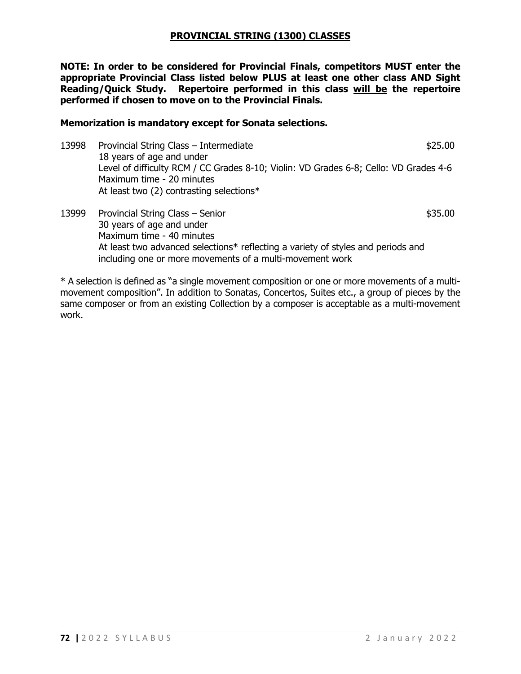#### **PROVINCIAL STRING (1300) CLASSES**

**NOTE: In order to be considered for Provincial Finals, competitors MUST enter the appropriate Provincial Class listed below PLUS at least one other class AND Sight Reading/Quick Study. Repertoire performed in this class will be the repertoire performed if chosen to move on to the Provincial Finals.**

#### **Memorization is mandatory except for Sonata selections.**

- 13998 Provincial String Class Intermediate **12998** Provincial String Class Intermediate 18 years of age and under Level of difficulty RCM / CC Grades 8-10; Violin: VD Grades 6-8; Cello: VD Grades 4-6 Maximum time - 20 minutes At least two (2) contrasting selections\*
- 13999 Provincial String Class Senior **\$35.00 \$35.00** 30 years of age and under Maximum time - 40 minutes At least two advanced selections\* reflecting a variety of styles and periods and including one or more movements of a multi-movement work

\* A selection is defined as "a single movement composition or one or more movements of a multimovement composition". In addition to Sonatas, Concertos, Suites etc., a group of pieces by the same composer or from an existing Collection by a composer is acceptable as a multi-movement work.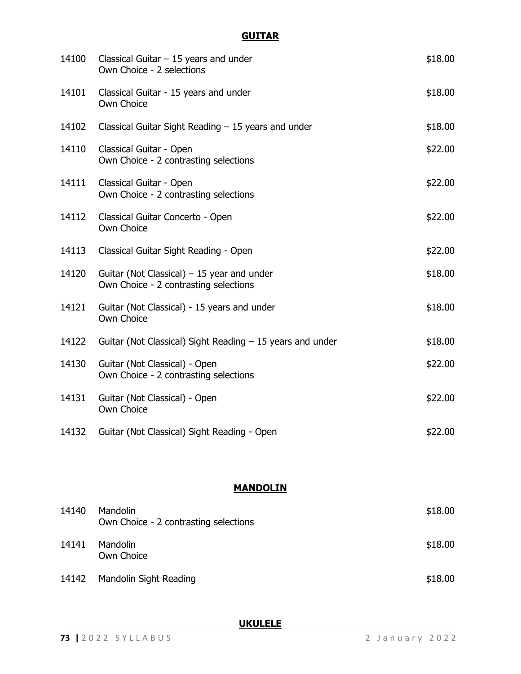# **GUITAR**

| 14100 | Classical Guitar $-15$ years and under<br>Own Choice - 2 selections                  | \$18.00 |
|-------|--------------------------------------------------------------------------------------|---------|
| 14101 | Classical Guitar - 15 years and under<br>Own Choice                                  | \$18.00 |
| 14102 | Classical Guitar Sight Reading $-15$ years and under                                 | \$18.00 |
| 14110 | Classical Guitar - Open<br>Own Choice - 2 contrasting selections                     | \$22.00 |
| 14111 | Classical Guitar - Open<br>Own Choice - 2 contrasting selections                     | \$22.00 |
| 14112 | Classical Guitar Concerto - Open<br>Own Choice                                       | \$22.00 |
| 14113 | Classical Guitar Sight Reading - Open                                                | \$22.00 |
| 14120 | Guitar (Not Classical) $-15$ year and under<br>Own Choice - 2 contrasting selections | \$18.00 |
| 14121 | Guitar (Not Classical) - 15 years and under<br>Own Choice                            | \$18.00 |
| 14122 | Guitar (Not Classical) Sight Reading $-15$ years and under                           | \$18.00 |
| 14130 | Guitar (Not Classical) - Open<br>Own Choice - 2 contrasting selections               | \$22.00 |
| 14131 | Guitar (Not Classical) - Open<br>Own Choice                                          | \$22.00 |
| 14132 | Guitar (Not Classical) Sight Reading - Open                                          | \$22.00 |

# **MANDOLIN**

| 14140 | <b>Mandolin</b><br>Own Choice - 2 contrasting selections | \$18.00 |
|-------|----------------------------------------------------------|---------|
| 14141 | <b>Mandolin</b><br>Own Choice                            | \$18.00 |
| 14142 | Mandolin Sight Reading                                   | \$18.00 |

**UKULELE**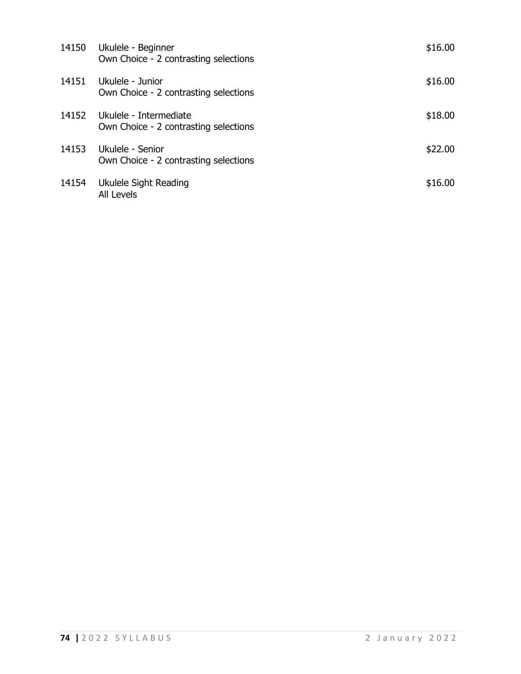| 14150 | Ukulele - Beginner<br>Own Choice - 2 contrasting selections     | \$16.00 |
|-------|-----------------------------------------------------------------|---------|
| 14151 | Ukulele - Junior<br>Own Choice - 2 contrasting selections       | \$16.00 |
| 14152 | Ukulele - Intermediate<br>Own Choice - 2 contrasting selections | \$18.00 |
| 14153 | Ukulele - Senior<br>Own Choice - 2 contrasting selections       | \$22.00 |
| 14154 | Ukulele Sight Reading<br><b>All Levels</b>                      | \$16.00 |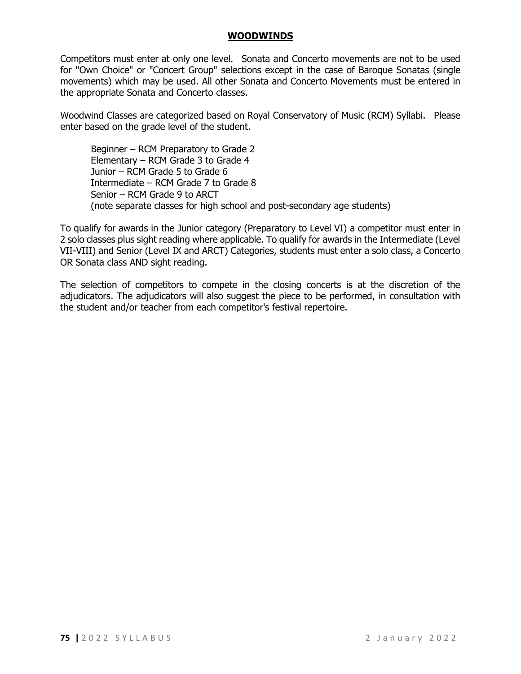#### **WOODWINDS**

Competitors must enter at only one level. Sonata and Concerto movements are not to be used for "Own Choice" or "Concert Group" selections except in the case of Baroque Sonatas (single movements) which may be used. All other Sonata and Concerto Movements must be entered in the appropriate Sonata and Concerto classes.

Woodwind Classes are categorized based on Royal Conservatory of Music (RCM) Syllabi. Please enter based on the grade level of the student.

Beginner – RCM Preparatory to Grade 2 Elementary – RCM Grade 3 to Grade 4 Junior – RCM Grade 5 to Grade 6 Intermediate – RCM Grade 7 to Grade 8 Senior – RCM Grade 9 to ARCT (note separate classes for high school and post-secondary age students)

To qualify for awards in the Junior category (Preparatory to Level VI) a competitor must enter in 2 solo classes plus sight reading where applicable. To qualify for awards in the Intermediate (Level VII-VIII) and Senior (Level IX and ARCT) Categories, students must enter a solo class, a Concerto OR Sonata class AND sight reading.

The selection of competitors to compete in the closing concerts is at the discretion of the adjudicators. The adjudicators will also suggest the piece to be performed, in consultation with the student and/or teacher from each competitor's festival repertoire.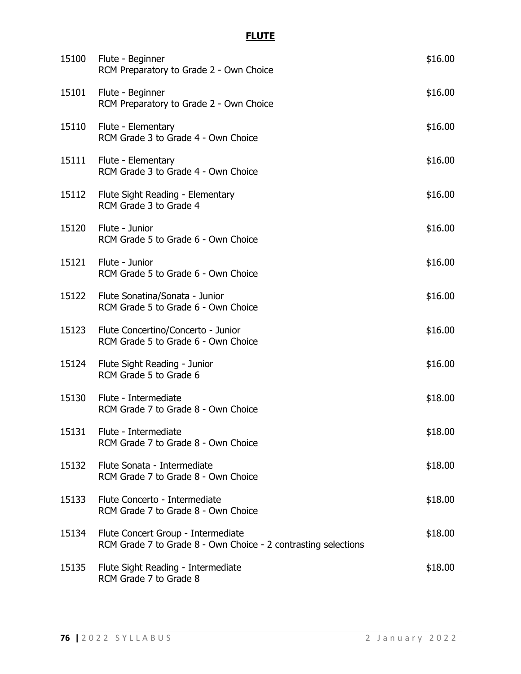# **FLUTE**

| 15100 | Flute - Beginner<br>RCM Preparatory to Grade 2 - Own Choice                                          | \$16.00 |
|-------|------------------------------------------------------------------------------------------------------|---------|
| 15101 | Flute - Beginner<br>RCM Preparatory to Grade 2 - Own Choice                                          | \$16.00 |
| 15110 | Flute - Elementary<br>RCM Grade 3 to Grade 4 - Own Choice                                            | \$16.00 |
| 15111 | Flute - Elementary<br>RCM Grade 3 to Grade 4 - Own Choice                                            | \$16.00 |
| 15112 | Flute Sight Reading - Elementary<br>RCM Grade 3 to Grade 4                                           | \$16.00 |
| 15120 | Flute - Junior<br>RCM Grade 5 to Grade 6 - Own Choice                                                | \$16.00 |
| 15121 | Flute - Junior<br>RCM Grade 5 to Grade 6 - Own Choice                                                | \$16.00 |
|       | 15122 Flute Sonatina/Sonata - Junior<br>RCM Grade 5 to Grade 6 - Own Choice                          | \$16.00 |
| 15123 | Flute Concertino/Concerto - Junior<br>RCM Grade 5 to Grade 6 - Own Choice                            | \$16.00 |
| 15124 | Flute Sight Reading - Junior<br>RCM Grade 5 to Grade 6                                               | \$16.00 |
| 15130 | Flute - Intermediate<br>RCM Grade 7 to Grade 8 - Own Choice                                          | \$18.00 |
| 15131 | Flute - Intermediate<br>RCM Grade 7 to Grade 8 - Own Choice                                          | \$18.00 |
| 15132 | Flute Sonata - Intermediate<br>RCM Grade 7 to Grade 8 - Own Choice                                   | \$18.00 |
| 15133 | Flute Concerto - Intermediate<br>RCM Grade 7 to Grade 8 - Own Choice                                 | \$18.00 |
| 15134 | Flute Concert Group - Intermediate<br>RCM Grade 7 to Grade 8 - Own Choice - 2 contrasting selections | \$18.00 |
| 15135 | Flute Sight Reading - Intermediate<br>RCM Grade 7 to Grade 8                                         | \$18.00 |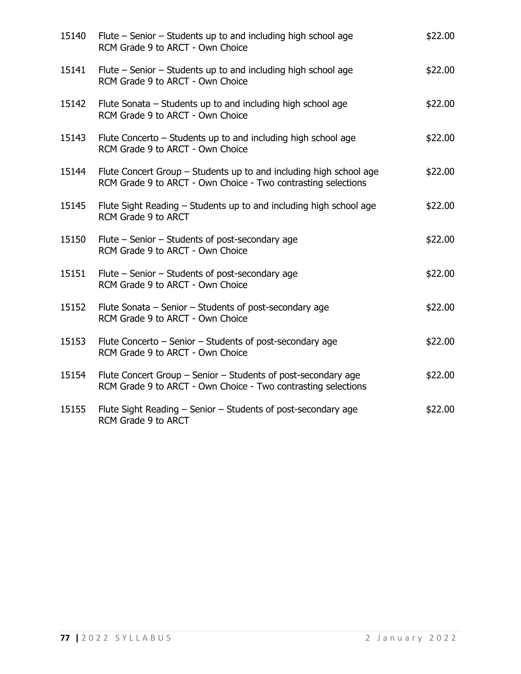| 15140 | Flute – Senior – Students up to and including high school age<br>RCM Grade 9 to ARCT - Own Choice                                   | \$22.00 |
|-------|-------------------------------------------------------------------------------------------------------------------------------------|---------|
| 15141 | Flute $-$ Senior $-$ Students up to and including high school age<br>RCM Grade 9 to ARCT - Own Choice                               | \$22.00 |
| 15142 | Flute Sonata – Students up to and including high school age<br>RCM Grade 9 to ARCT - Own Choice                                     | \$22.00 |
| 15143 | Flute Concerto – Students up to and including high school age<br>RCM Grade 9 to ARCT - Own Choice                                   | \$22.00 |
| 15144 | Flute Concert Group - Students up to and including high school age<br>RCM Grade 9 to ARCT - Own Choice - Two contrasting selections | \$22.00 |
| 15145 | Flute Sight Reading - Students up to and including high school age<br>RCM Grade 9 to ARCT                                           | \$22.00 |
| 15150 | Flute - Senior - Students of post-secondary age<br>RCM Grade 9 to ARCT - Own Choice                                                 | \$22.00 |
| 15151 | Flute – Senior – Students of post-secondary age<br>RCM Grade 9 to ARCT - Own Choice                                                 | \$22.00 |
| 15152 | Flute Sonata – Senior – Students of post-secondary age<br>RCM Grade 9 to ARCT - Own Choice                                          | \$22.00 |
| 15153 | Flute Concerto - Senior - Students of post-secondary age<br>RCM Grade 9 to ARCT - Own Choice                                        | \$22.00 |
| 15154 | Flute Concert Group – Senior – Students of post-secondary age<br>RCM Grade 9 to ARCT - Own Choice - Two contrasting selections      | \$22.00 |
| 15155 | Flute Sight Reading – Senior – Students of post-secondary age<br>RCM Grade 9 to ARCT                                                | \$22.00 |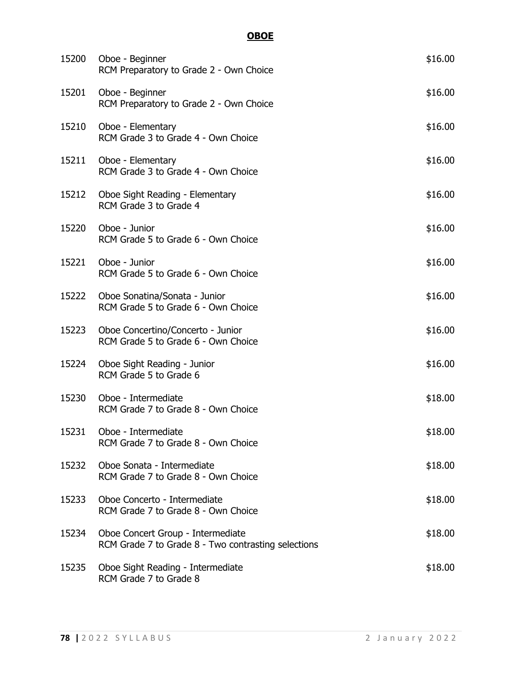# **OBOE**

| 15200 | Oboe - Beginner<br>RCM Preparatory to Grade 2 - Own Choice                               | \$16.00 |
|-------|------------------------------------------------------------------------------------------|---------|
| 15201 | Oboe - Beginner<br>RCM Preparatory to Grade 2 - Own Choice                               | \$16.00 |
| 15210 | Oboe - Elementary<br>RCM Grade 3 to Grade 4 - Own Choice                                 | \$16.00 |
| 15211 | Oboe - Elementary<br>RCM Grade 3 to Grade 4 - Own Choice                                 | \$16.00 |
|       | 15212 Oboe Sight Reading - Elementary<br>RCM Grade 3 to Grade 4                          | \$16.00 |
| 15220 | Oboe - Junior<br>RCM Grade 5 to Grade 6 - Own Choice                                     | \$16.00 |
| 15221 | Oboe - Junior<br>RCM Grade 5 to Grade 6 - Own Choice                                     | \$16.00 |
|       | 15222 Oboe Sonatina/Sonata - Junior<br>RCM Grade 5 to Grade 6 - Own Choice               | \$16.00 |
| 15223 | Oboe Concertino/Concerto - Junior<br>RCM Grade 5 to Grade 6 - Own Choice                 | \$16.00 |
| 15224 | Oboe Sight Reading - Junior<br>RCM Grade 5 to Grade 6                                    | \$16.00 |
| 15230 | Oboe - Intermediate<br>RCM Grade 7 to Grade 8 - Own Choice                               | \$18.00 |
|       | 15231 Oboe - Intermediate<br>RCM Grade 7 to Grade 8 - Own Choice                         | \$18.00 |
| 15232 | Oboe Sonata - Intermediate<br>RCM Grade 7 to Grade 8 - Own Choice                        | \$18.00 |
| 15233 | Oboe Concerto - Intermediate<br>RCM Grade 7 to Grade 8 - Own Choice                      | \$18.00 |
| 15234 | Oboe Concert Group - Intermediate<br>RCM Grade 7 to Grade 8 - Two contrasting selections | \$18.00 |
| 15235 | Oboe Sight Reading - Intermediate<br>RCM Grade 7 to Grade 8                              | \$18.00 |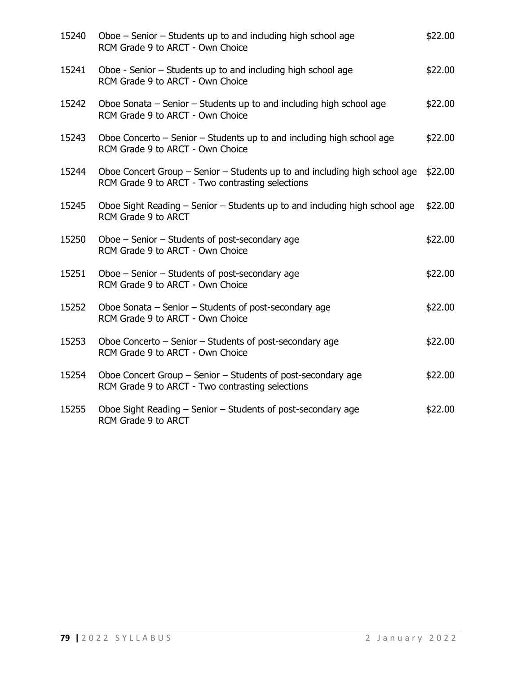| 15240 | Oboe – Senior – Students up to and including high school age<br>RCM Grade 9 to ARCT - Own Choice                               | \$22.00 |
|-------|--------------------------------------------------------------------------------------------------------------------------------|---------|
| 15241 | Oboe - Senior - Students up to and including high school age<br>RCM Grade 9 to ARCT - Own Choice                               | \$22.00 |
| 15242 | Oboe Sonata – Senior – Students up to and including high school age<br>RCM Grade 9 to ARCT - Own Choice                        | \$22.00 |
| 15243 | Oboe Concerto $-$ Senior $-$ Students up to and including high school age<br>RCM Grade 9 to ARCT - Own Choice                  | \$22.00 |
| 15244 | Oboe Concert Group – Senior – Students up to and including high school age<br>RCM Grade 9 to ARCT - Two contrasting selections | \$22.00 |
| 15245 | Oboe Sight Reading – Senior – Students up to and including high school age<br>RCM Grade 9 to ARCT                              | \$22.00 |
| 15250 | Oboe - Senior - Students of post-secondary age<br>RCM Grade 9 to ARCT - Own Choice                                             | \$22.00 |
| 15251 | Oboe - Senior - Students of post-secondary age<br>RCM Grade 9 to ARCT - Own Choice                                             | \$22.00 |
| 15252 | Oboe Sonata - Senior - Students of post-secondary age<br>RCM Grade 9 to ARCT - Own Choice                                      | \$22.00 |
| 15253 | Oboe Concerto $-$ Senior $-$ Students of post-secondary age<br>RCM Grade 9 to ARCT - Own Choice                                | \$22.00 |
| 15254 | Oboe Concert Group – Senior – Students of post-secondary age<br>RCM Grade 9 to ARCT - Two contrasting selections               | \$22.00 |
| 15255 | Oboe Sight Reading – Senior – Students of post-secondary age<br>RCM Grade 9 to ARCT                                            | \$22.00 |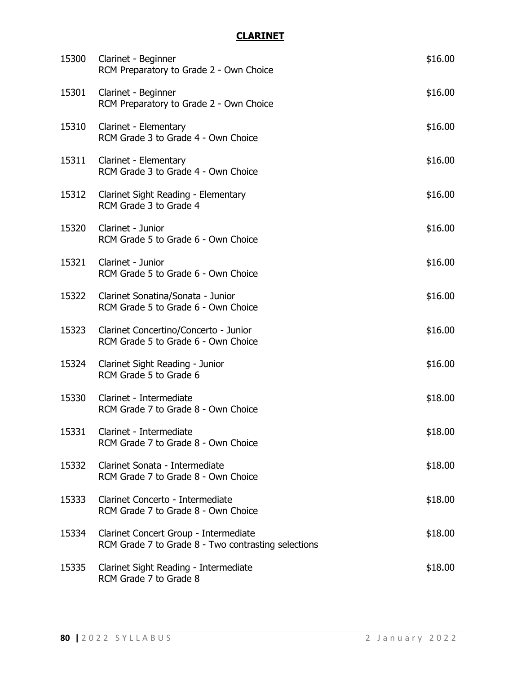# **CLARINET**

| 15300 | Clarinet - Beginner<br>RCM Preparatory to Grade 2 - Own Choice                               | \$16.00 |
|-------|----------------------------------------------------------------------------------------------|---------|
| 15301 | Clarinet - Beginner<br>RCM Preparatory to Grade 2 - Own Choice                               | \$16.00 |
| 15310 | Clarinet - Elementary<br>RCM Grade 3 to Grade 4 - Own Choice                                 | \$16.00 |
| 15311 | Clarinet - Elementary<br>RCM Grade 3 to Grade 4 - Own Choice                                 | \$16.00 |
|       | 15312 Clarinet Sight Reading - Elementary<br>RCM Grade 3 to Grade 4                          | \$16.00 |
| 15320 | Clarinet - Junior<br>RCM Grade 5 to Grade 6 - Own Choice                                     | \$16.00 |
| 15321 | Clarinet - Junior<br>RCM Grade 5 to Grade 6 - Own Choice                                     | \$16.00 |
|       | 15322 Clarinet Sonatina/Sonata - Junior<br>RCM Grade 5 to Grade 6 - Own Choice               | \$16.00 |
| 15323 | Clarinet Concertino/Concerto - Junior<br>RCM Grade 5 to Grade 6 - Own Choice                 | \$16.00 |
| 15324 | Clarinet Sight Reading - Junior<br>RCM Grade 5 to Grade 6                                    | \$16.00 |
| 15330 | Clarinet - Intermediate<br>RCM Grade 7 to Grade 8 - Own Choice                               | \$18.00 |
|       | 15331 Clarinet - Intermediate<br>RCM Grade 7 to Grade 8 - Own Choice                         | \$18.00 |
| 15332 | Clarinet Sonata - Intermediate<br>RCM Grade 7 to Grade 8 - Own Choice                        | \$18.00 |
| 15333 | Clarinet Concerto - Intermediate<br>RCM Grade 7 to Grade 8 - Own Choice                      | \$18.00 |
| 15334 | Clarinet Concert Group - Intermediate<br>RCM Grade 7 to Grade 8 - Two contrasting selections | \$18.00 |
| 15335 | Clarinet Sight Reading - Intermediate<br>RCM Grade 7 to Grade 8                              | \$18.00 |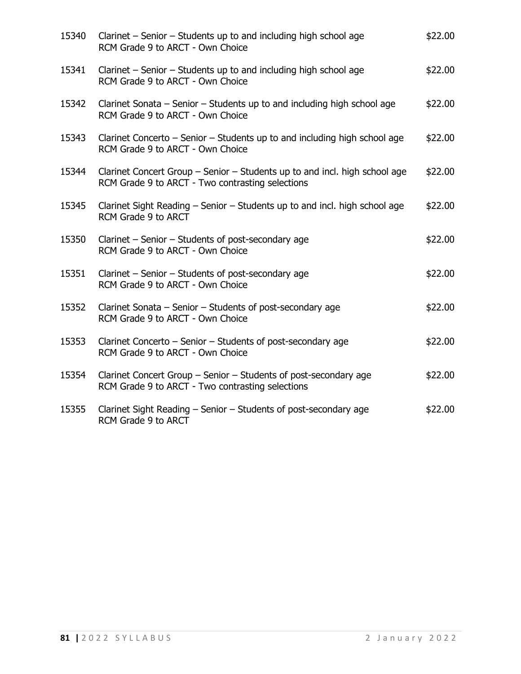| 15340 | Clarinet – Senior – Students up to and including high school age<br>RCM Grade 9 to ARCT - Own Choice                           | \$22.00 |
|-------|--------------------------------------------------------------------------------------------------------------------------------|---------|
| 15341 | Clarinet – Senior – Students up to and including high school age<br>RCM Grade 9 to ARCT - Own Choice                           | \$22.00 |
| 15342 | Clarinet Sonata - Senior - Students up to and including high school age<br>RCM Grade 9 to ARCT - Own Choice                    | \$22.00 |
| 15343 | Clarinet Concerto – Senior – Students up to and including high school age<br>RCM Grade 9 to ARCT - Own Choice                  | \$22.00 |
| 15344 | Clarinet Concert Group – Senior – Students up to and incl. high school age<br>RCM Grade 9 to ARCT - Two contrasting selections | \$22.00 |
| 15345 | Clarinet Sight Reading – Senior – Students up to and incl. high school age<br>RCM Grade 9 to ARCT                              | \$22.00 |
| 15350 | Clarinet - Senior - Students of post-secondary age<br>RCM Grade 9 to ARCT - Own Choice                                         | \$22.00 |
| 15351 | Clarinet - Senior - Students of post-secondary age<br>RCM Grade 9 to ARCT - Own Choice                                         | \$22.00 |
| 15352 | Clarinet Sonata – Senior – Students of post-secondary age<br>RCM Grade 9 to ARCT - Own Choice                                  | \$22.00 |
| 15353 | Clarinet Concerto - Senior - Students of post-secondary age<br>RCM Grade 9 to ARCT - Own Choice                                | \$22.00 |
| 15354 | Clarinet Concert Group - Senior - Students of post-secondary age<br>RCM Grade 9 to ARCT - Two contrasting selections           | \$22.00 |
| 15355 | Clarinet Sight Reading - Senior - Students of post-secondary age<br>RCM Grade 9 to ARCT                                        | \$22.00 |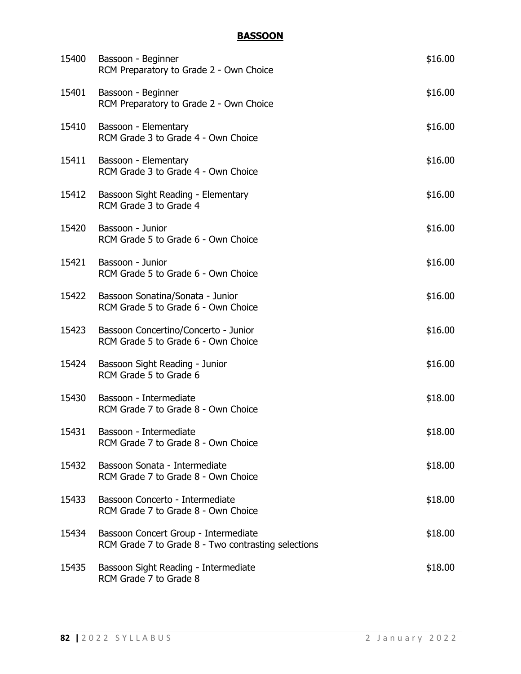# **BASSOON**

| 15400 | Bassoon - Beginner<br>RCM Preparatory to Grade 2 - Own Choice                               | \$16.00 |
|-------|---------------------------------------------------------------------------------------------|---------|
| 15401 | Bassoon - Beginner<br>RCM Preparatory to Grade 2 - Own Choice                               | \$16.00 |
| 15410 | Bassoon - Elementary<br>RCM Grade 3 to Grade 4 - Own Choice                                 | \$16.00 |
| 15411 | Bassoon - Elementary<br>RCM Grade 3 to Grade 4 - Own Choice                                 | \$16.00 |
| 15412 | Bassoon Sight Reading - Elementary<br>RCM Grade 3 to Grade 4                                | \$16.00 |
| 15420 | Bassoon - Junior<br>RCM Grade 5 to Grade 6 - Own Choice                                     | \$16.00 |
| 15421 | Bassoon - Junior<br>RCM Grade 5 to Grade 6 - Own Choice                                     | \$16.00 |
| 15422 | Bassoon Sonatina/Sonata - Junior<br>RCM Grade 5 to Grade 6 - Own Choice                     | \$16.00 |
| 15423 | Bassoon Concertino/Concerto - Junior<br>RCM Grade 5 to Grade 6 - Own Choice                 | \$16.00 |
| 15424 | Bassoon Sight Reading - Junior<br>RCM Grade 5 to Grade 6                                    | \$16.00 |
| 15430 | Bassoon - Intermediate<br>RCM Grade 7 to Grade 8 - Own Choice                               | \$18.00 |
| 15431 | Bassoon - Intermediate<br>RCM Grade 7 to Grade 8 - Own Choice                               | \$18.00 |
| 15432 | Bassoon Sonata - Intermediate<br>RCM Grade 7 to Grade 8 - Own Choice                        | \$18.00 |
| 15433 | Bassoon Concerto - Intermediate<br>RCM Grade 7 to Grade 8 - Own Choice                      | \$18.00 |
| 15434 | Bassoon Concert Group - Intermediate<br>RCM Grade 7 to Grade 8 - Two contrasting selections | \$18.00 |
| 15435 | Bassoon Sight Reading - Intermediate<br>RCM Grade 7 to Grade 8                              | \$18.00 |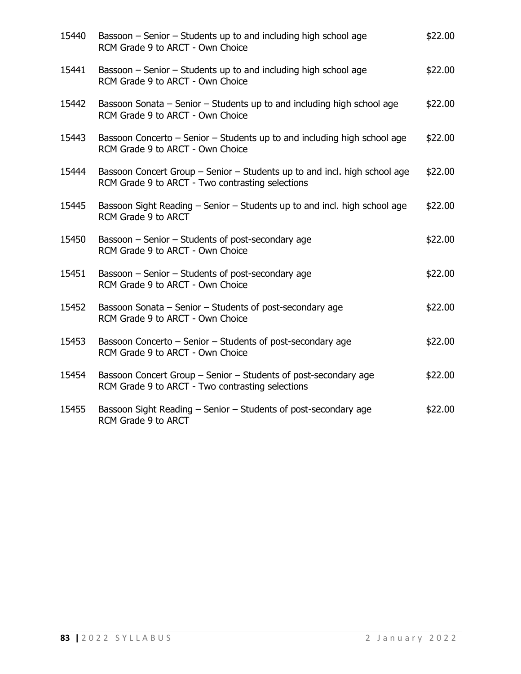| 15440 | Bassoon – Senior – Students up to and including high school age<br>RCM Grade 9 to ARCT - Own Choice                           | \$22.00 |
|-------|-------------------------------------------------------------------------------------------------------------------------------|---------|
| 15441 | Bassoon – Senior – Students up to and including high school age<br>RCM Grade 9 to ARCT - Own Choice                           | \$22.00 |
| 15442 | Bassoon Sonata - Senior - Students up to and including high school age<br>RCM Grade 9 to ARCT - Own Choice                    | \$22.00 |
| 15443 | Bassoon Concerto – Senior – Students up to and including high school age<br>RCM Grade 9 to ARCT - Own Choice                  | \$22.00 |
| 15444 | Bassoon Concert Group – Senior – Students up to and incl. high school age<br>RCM Grade 9 to ARCT - Two contrasting selections | \$22.00 |
| 15445 | Bassoon Sight Reading – Senior – Students up to and incl. high school age<br>RCM Grade 9 to ARCT                              | \$22.00 |
| 15450 | Bassoon - Senior - Students of post-secondary age<br>RCM Grade 9 to ARCT - Own Choice                                         | \$22.00 |
| 15451 | Bassoon - Senior - Students of post-secondary age<br>RCM Grade 9 to ARCT - Own Choice                                         | \$22.00 |
| 15452 | Bassoon Sonata – Senior – Students of post-secondary age<br>RCM Grade 9 to ARCT - Own Choice                                  | \$22.00 |
| 15453 | Bassoon Concerto - Senior - Students of post-secondary age<br>RCM Grade 9 to ARCT - Own Choice                                | \$22.00 |
| 15454 | Bassoon Concert Group – Senior – Students of post-secondary age<br>RCM Grade 9 to ARCT - Two contrasting selections           | \$22.00 |
| 15455 | Bassoon Sight Reading - Senior - Students of post-secondary age<br>RCM Grade 9 to ARCT                                        | \$22.00 |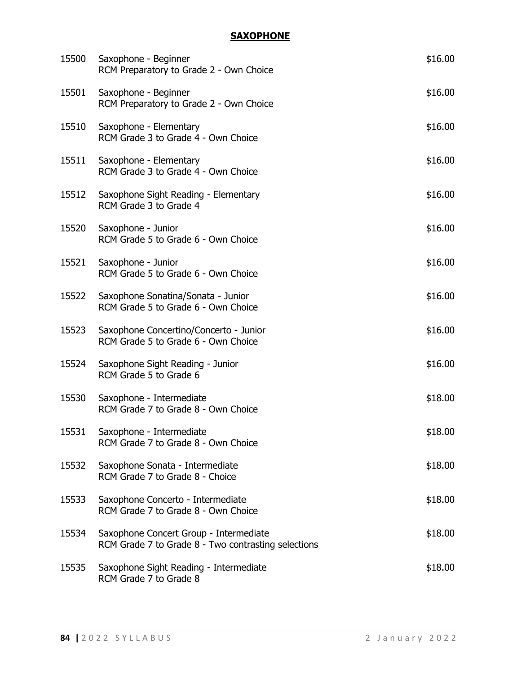## **SAXOPHONE**

| 15500 | Saxophone - Beginner<br>RCM Preparatory to Grade 2 - Own Choice                               | \$16.00 |
|-------|-----------------------------------------------------------------------------------------------|---------|
| 15501 | Saxophone - Beginner<br>RCM Preparatory to Grade 2 - Own Choice                               | \$16.00 |
| 15510 | Saxophone - Elementary<br>RCM Grade 3 to Grade 4 - Own Choice                                 | \$16.00 |
| 15511 | Saxophone - Elementary<br>RCM Grade 3 to Grade 4 - Own Choice                                 | \$16.00 |
| 15512 | Saxophone Sight Reading - Elementary<br>RCM Grade 3 to Grade 4                                | \$16.00 |
| 15520 | Saxophone - Junior<br>RCM Grade 5 to Grade 6 - Own Choice                                     | \$16.00 |
| 15521 | Saxophone - Junior<br>RCM Grade 5 to Grade 6 - Own Choice                                     | \$16.00 |
| 15522 | Saxophone Sonatina/Sonata - Junior<br>RCM Grade 5 to Grade 6 - Own Choice                     | \$16.00 |
| 15523 | Saxophone Concertino/Concerto - Junior<br>RCM Grade 5 to Grade 6 - Own Choice                 | \$16.00 |
| 15524 | Saxophone Sight Reading - Junior<br>RCM Grade 5 to Grade 6                                    | \$16.00 |
| 15530 | Saxophone - Intermediate<br>RCM Grade 7 to Grade 8 - Own Choice                               | \$18.00 |
| 15531 | Saxophone - Intermediate<br>RCM Grade 7 to Grade 8 - Own Choice                               | \$18.00 |
| 15532 | Saxophone Sonata - Intermediate<br>RCM Grade 7 to Grade 8 - Choice                            | \$18.00 |
| 15533 | Saxophone Concerto - Intermediate<br>RCM Grade 7 to Grade 8 - Own Choice                      | \$18.00 |
| 15534 | Saxophone Concert Group - Intermediate<br>RCM Grade 7 to Grade 8 - Two contrasting selections | \$18.00 |
| 15535 | Saxophone Sight Reading - Intermediate<br>RCM Grade 7 to Grade 8                              | \$18.00 |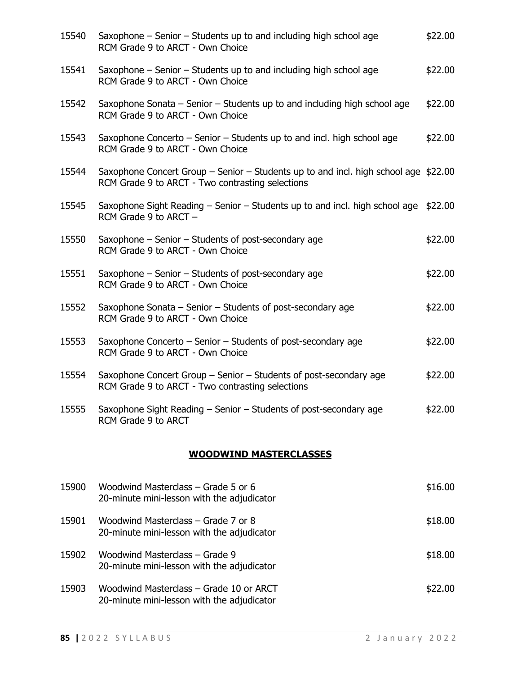| 15540 | Saxophone – Senior – Students up to and including high school age<br>RCM Grade 9 to ARCT - Own Choice                                    | \$22.00 |
|-------|------------------------------------------------------------------------------------------------------------------------------------------|---------|
| 15541 | Saxophone – Senior – Students up to and including high school age<br>RCM Grade 9 to ARCT - Own Choice                                    | \$22.00 |
| 15542 | Saxophone Sonata $-$ Senior $-$ Students up to and including high school age<br>RCM Grade 9 to ARCT - Own Choice                         | \$22.00 |
| 15543 | Saxophone Concerto – Senior – Students up to and incl. high school age<br>RCM Grade 9 to ARCT - Own Choice                               | \$22.00 |
| 15544 | Saxophone Concert Group – Senior – Students up to and incl. high school age $$22.00$<br>RCM Grade 9 to ARCT - Two contrasting selections |         |
| 15545 | Saxophone Sight Reading $-$ Senior $-$ Students up to and incl. high school age \$22.00<br>RCM Grade 9 to ARCT -                         |         |
| 15550 | Saxophone - Senior - Students of post-secondary age<br>RCM Grade 9 to ARCT - Own Choice                                                  | \$22.00 |
| 15551 | Saxophone $-$ Senior $-$ Students of post-secondary age<br>RCM Grade 9 to ARCT - Own Choice                                              | \$22.00 |
| 15552 | Saxophone Sonata - Senior - Students of post-secondary age<br>RCM Grade 9 to ARCT - Own Choice                                           | \$22.00 |
| 15553 | Saxophone Concerto - Senior - Students of post-secondary age<br>RCM Grade 9 to ARCT - Own Choice                                         | \$22.00 |
| 15554 | Saxophone Concert Group – Senior – Students of post-secondary age<br>RCM Grade 9 to ARCT - Two contrasting selections                    | \$22.00 |
|       | 15555 Saxophone Sight Reading – Senior – Students of post-secondary age<br><b>RCM Grade 9 to ARCT</b>                                    | \$22.00 |
|       | <b>WOODWIND MASTERCLASSES</b>                                                                                                            |         |
| 15900 | Woodwind Masterclass - Grade 5 or 6<br>20-minute mini-lesson with the adjudicator                                                        | \$16.00 |

| 15901 | Woodwind Masterclass – Grade 7 or 8<br>20-minute mini-lesson with the adjudicator | \$18.00 |
|-------|-----------------------------------------------------------------------------------|---------|
| 15902 | Woodwind Masterclass – Grade 9<br>20-minute mini-lesson with the adjudicator      | \$18.00 |

15903 Woodwind Masterclass – Grade 10 or ARCT \$22.00 20-minute mini-lesson with the adjudicator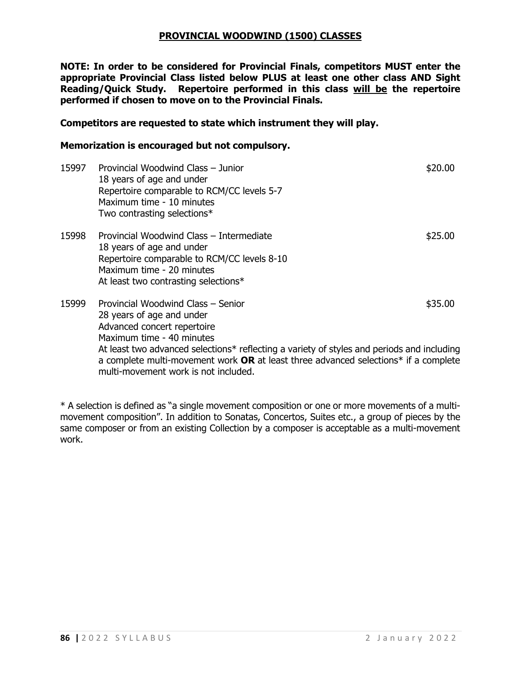#### **PROVINCIAL WOODWIND (1500) CLASSES**

**NOTE: In order to be considered for Provincial Finals, competitors MUST enter the appropriate Provincial Class listed below PLUS at least one other class AND Sight Reading/Quick Study. Repertoire performed in this class will be the repertoire performed if chosen to move on to the Provincial Finals.**

#### **Competitors are requested to state which instrument they will play.**

#### **Memorization is encouraged but not compulsory.**

| 15997 | Provincial Woodwind Class - Junior<br>18 years of age and under<br>Repertoire comparable to RCM/CC levels 5-7<br>Maximum time - 10 minutes<br>Two contrasting selections*                                                                                                                                                                                | \$20.00 |
|-------|----------------------------------------------------------------------------------------------------------------------------------------------------------------------------------------------------------------------------------------------------------------------------------------------------------------------------------------------------------|---------|
| 15998 | Provincial Woodwind Class - Intermediate<br>18 years of age and under<br>Repertoire comparable to RCM/CC levels 8-10<br>Maximum time - 20 minutes<br>At least two contrasting selections*                                                                                                                                                                | \$25.00 |
| 15999 | Provincial Woodwind Class - Senior<br>28 years of age and under<br>Advanced concert repertoire<br>Maximum time - 40 minutes<br>At least two advanced selections* reflecting a variety of styles and periods and including<br>a complete multi-movement work OR at least three advanced selections* if a complete<br>multi-movement work is not included. | \$35.00 |

\* A selection is defined as "a single movement composition or one or more movements of a multimovement composition". In addition to Sonatas, Concertos, Suites etc., a group of pieces by the same composer or from an existing Collection by a composer is acceptable as a multi-movement work.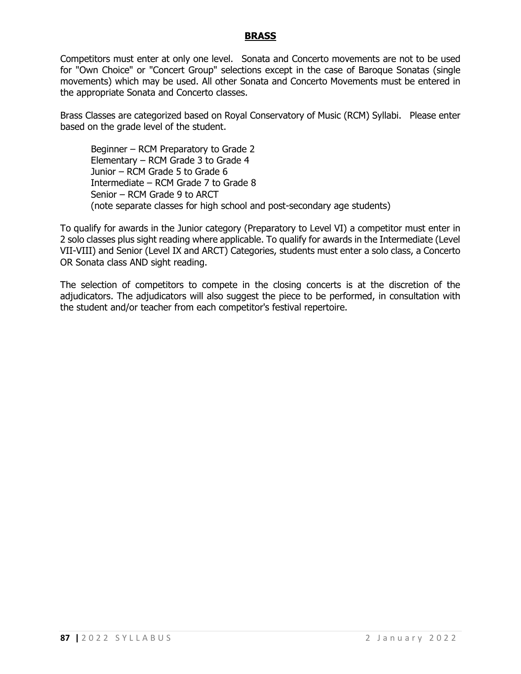#### **BRASS**

Competitors must enter at only one level. Sonata and Concerto movements are not to be used for "Own Choice" or "Concert Group" selections except in the case of Baroque Sonatas (single movements) which may be used. All other Sonata and Concerto Movements must be entered in the appropriate Sonata and Concerto classes.

Brass Classes are categorized based on Royal Conservatory of Music (RCM) Syllabi. Please enter based on the grade level of the student.

Beginner – RCM Preparatory to Grade 2 Elementary – RCM Grade 3 to Grade 4 Junior – RCM Grade 5 to Grade 6 Intermediate – RCM Grade 7 to Grade 8 Senior – RCM Grade 9 to ARCT (note separate classes for high school and post-secondary age students)

To qualify for awards in the Junior category (Preparatory to Level VI) a competitor must enter in 2 solo classes plus sight reading where applicable. To qualify for awards in the Intermediate (Level VII-VIII) and Senior (Level IX and ARCT) Categories, students must enter a solo class, a Concerto OR Sonata class AND sight reading.

The selection of competitors to compete in the closing concerts is at the discretion of the adjudicators. The adjudicators will also suggest the piece to be performed, in consultation with the student and/or teacher from each competitor's festival repertoire.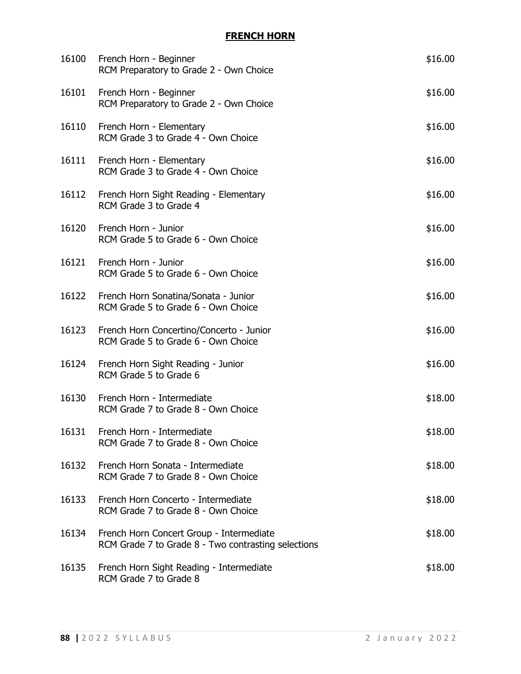## **FRENCH HORN**

| 16100 | French Horn - Beginner<br>RCM Preparatory to Grade 2 - Own Choice                               | \$16.00 |
|-------|-------------------------------------------------------------------------------------------------|---------|
| 16101 | French Horn - Beginner<br>RCM Preparatory to Grade 2 - Own Choice                               | \$16.00 |
| 16110 | French Horn - Elementary<br>RCM Grade 3 to Grade 4 - Own Choice                                 | \$16.00 |
| 16111 | French Horn - Elementary<br>RCM Grade 3 to Grade 4 - Own Choice                                 | \$16.00 |
|       | 16112 French Horn Sight Reading - Elementary<br>RCM Grade 3 to Grade 4                          | \$16.00 |
| 16120 | French Horn - Junior<br>RCM Grade 5 to Grade 6 - Own Choice                                     | \$16.00 |
| 16121 | French Horn - Junior<br>RCM Grade 5 to Grade 6 - Own Choice                                     | \$16.00 |
| 16122 | French Horn Sonatina/Sonata - Junior<br>RCM Grade 5 to Grade 6 - Own Choice                     | \$16.00 |
| 16123 | French Horn Concertino/Concerto - Junior<br>RCM Grade 5 to Grade 6 - Own Choice                 | \$16.00 |
| 16124 | French Horn Sight Reading - Junior<br>RCM Grade 5 to Grade 6                                    | \$16.00 |
| 16130 | French Horn - Intermediate<br>RCM Grade 7 to Grade 8 - Own Choice                               | \$18.00 |
| 16131 | French Horn - Intermediate<br>RCM Grade 7 to Grade 8 - Own Choice                               | \$18.00 |
| 16132 | French Horn Sonata - Intermediate<br>RCM Grade 7 to Grade 8 - Own Choice                        | \$18.00 |
| 16133 | French Horn Concerto - Intermediate<br>RCM Grade 7 to Grade 8 - Own Choice                      | \$18.00 |
| 16134 | French Horn Concert Group - Intermediate<br>RCM Grade 7 to Grade 8 - Two contrasting selections | \$18.00 |
| 16135 | French Horn Sight Reading - Intermediate<br>RCM Grade 7 to Grade 8                              | \$18.00 |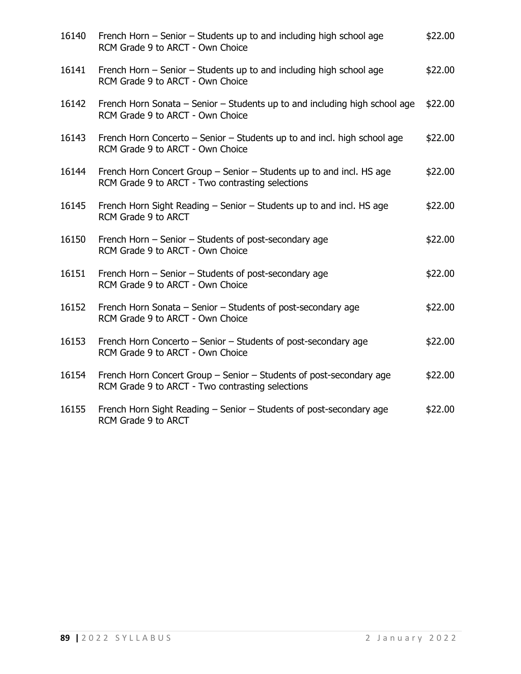| 16140 | French Horn – Senior – Students up to and including high school age<br>RCM Grade 9 to ARCT - Own Choice                  | \$22.00 |
|-------|--------------------------------------------------------------------------------------------------------------------------|---------|
| 16141 | French Horn – Senior – Students up to and including high school age<br>RCM Grade 9 to ARCT - Own Choice                  | \$22.00 |
| 16142 | French Horn Sonata – Senior – Students up to and including high school age<br>RCM Grade 9 to ARCT - Own Choice           | \$22.00 |
| 16143 | French Horn Concerto – Senior – Students up to and incl. high school age<br>RCM Grade 9 to ARCT - Own Choice             | \$22.00 |
| 16144 | French Horn Concert Group - Senior - Students up to and incl. HS age<br>RCM Grade 9 to ARCT - Two contrasting selections | \$22.00 |
| 16145 | French Horn Sight Reading – Senior – Students up to and incl. HS age<br>RCM Grade 9 to ARCT                              | \$22.00 |
| 16150 | French Horn - Senior - Students of post-secondary age<br>RCM Grade 9 to ARCT - Own Choice                                | \$22.00 |
| 16151 | French Horn - Senior - Students of post-secondary age<br>RCM Grade 9 to ARCT - Own Choice                                | \$22.00 |
| 16152 | French Horn Sonata - Senior - Students of post-secondary age<br>RCM Grade 9 to ARCT - Own Choice                         | \$22.00 |
| 16153 | French Horn Concerto - Senior - Students of post-secondary age<br>RCM Grade 9 to ARCT - Own Choice                       | \$22.00 |
| 16154 | French Horn Concert Group - Senior - Students of post-secondary age<br>RCM Grade 9 to ARCT - Two contrasting selections  | \$22.00 |
| 16155 | French Horn Sight Reading - Senior - Students of post-secondary age<br>RCM Grade 9 to ARCT                               | \$22.00 |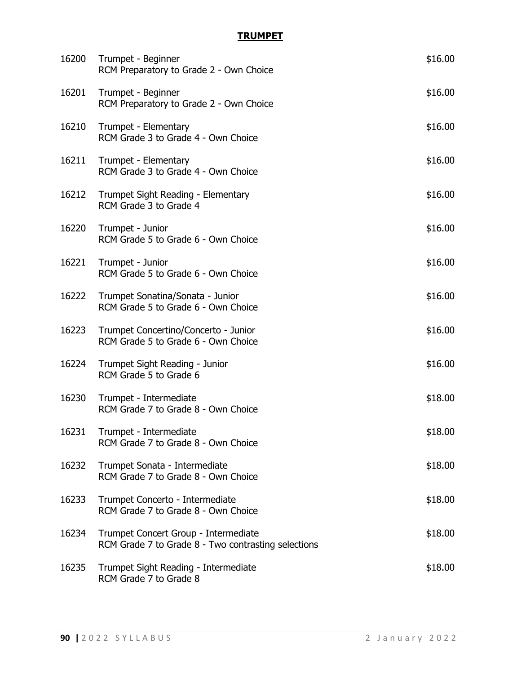## **TRUMPET**

| 16200 | Trumpet - Beginner<br>RCM Preparatory to Grade 2 - Own Choice                               | \$16.00 |
|-------|---------------------------------------------------------------------------------------------|---------|
| 16201 | Trumpet - Beginner<br>RCM Preparatory to Grade 2 - Own Choice                               | \$16.00 |
| 16210 | Trumpet - Elementary<br>RCM Grade 3 to Grade 4 - Own Choice                                 | \$16.00 |
| 16211 | Trumpet - Elementary<br>RCM Grade 3 to Grade 4 - Own Choice                                 | \$16.00 |
| 16212 | Trumpet Sight Reading - Elementary<br>RCM Grade 3 to Grade 4                                | \$16.00 |
| 16220 | Trumpet - Junior<br>RCM Grade 5 to Grade 6 - Own Choice                                     | \$16.00 |
| 16221 | Trumpet - Junior<br>RCM Grade 5 to Grade 6 - Own Choice                                     | \$16.00 |
| 16222 | Trumpet Sonatina/Sonata - Junior<br>RCM Grade 5 to Grade 6 - Own Choice                     | \$16.00 |
| 16223 | Trumpet Concertino/Concerto - Junior<br>RCM Grade 5 to Grade 6 - Own Choice                 | \$16.00 |
| 16224 | Trumpet Sight Reading - Junior<br>RCM Grade 5 to Grade 6                                    | \$16.00 |
| 16230 | Trumpet - Intermediate<br>RCM Grade 7 to Grade 8 - Own Choice                               | \$18.00 |
| 16231 | Trumpet - Intermediate<br>RCM Grade 7 to Grade 8 - Own Choice                               | \$18.00 |
| 16232 | Trumpet Sonata - Intermediate<br>RCM Grade 7 to Grade 8 - Own Choice                        | \$18.00 |
| 16233 | Trumpet Concerto - Intermediate<br>RCM Grade 7 to Grade 8 - Own Choice                      | \$18.00 |
| 16234 | Trumpet Concert Group - Intermediate<br>RCM Grade 7 to Grade 8 - Two contrasting selections | \$18.00 |
| 16235 | Trumpet Sight Reading - Intermediate<br>RCM Grade 7 to Grade 8                              | \$18.00 |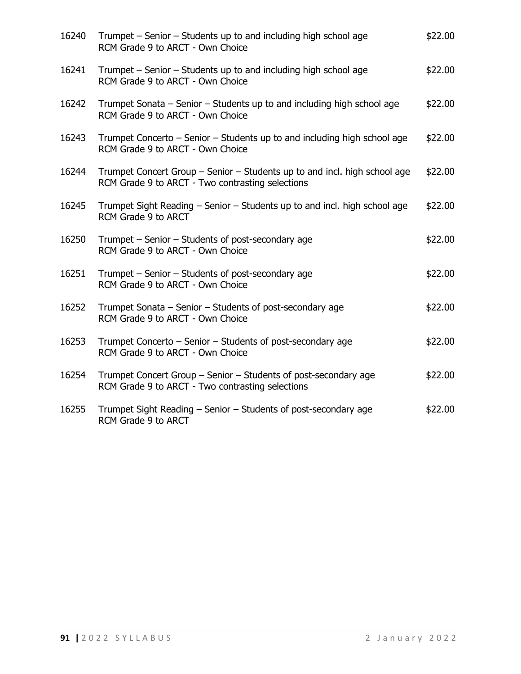| 16240 | Trumpet – Senior – Students up to and including high school age<br>RCM Grade 9 to ARCT - Own Choice                           | \$22.00 |
|-------|-------------------------------------------------------------------------------------------------------------------------------|---------|
| 16241 | Trumpet – Senior – Students up to and including high school age<br>RCM Grade 9 to ARCT - Own Choice                           | \$22.00 |
| 16242 | Trumpet Sonata - Senior - Students up to and including high school age<br>RCM Grade 9 to ARCT - Own Choice                    | \$22.00 |
| 16243 | Trumpet Concerto – Senior – Students up to and including high school age<br>RCM Grade 9 to ARCT - Own Choice                  | \$22.00 |
| 16244 | Trumpet Concert Group – Senior – Students up to and incl. high school age<br>RCM Grade 9 to ARCT - Two contrasting selections | \$22.00 |
| 16245 | Trumpet Sight Reading – Senior – Students up to and incl. high school age<br>RCM Grade 9 to ARCT                              | \$22.00 |
| 16250 | Trumpet - Senior - Students of post-secondary age<br>RCM Grade 9 to ARCT - Own Choice                                         | \$22.00 |
| 16251 | Trumpet – Senior – Students of post-secondary age<br>RCM Grade 9 to ARCT - Own Choice                                         | \$22.00 |
| 16252 | Trumpet Sonata – Senior – Students of post-secondary age<br>RCM Grade 9 to ARCT - Own Choice                                  | \$22.00 |
| 16253 | Trumpet Concerto – Senior – Students of post-secondary age<br>RCM Grade 9 to ARCT - Own Choice                                | \$22.00 |
| 16254 | Trumpet Concert Group - Senior - Students of post-secondary age<br>RCM Grade 9 to ARCT - Two contrasting selections           | \$22.00 |
| 16255 | Trumpet Sight Reading - Senior - Students of post-secondary age<br>RCM Grade 9 to ARCT                                        | \$22.00 |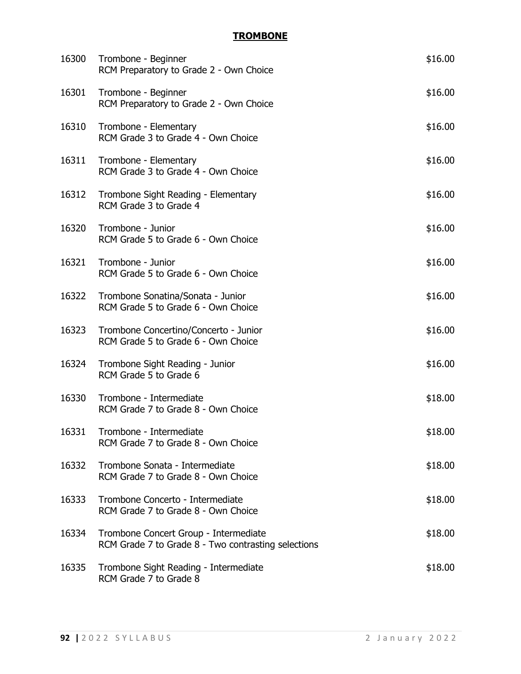## **TROMBONE**

| 16300 | Trombone - Beginner<br>RCM Preparatory to Grade 2 - Own Choice                               | \$16.00 |
|-------|----------------------------------------------------------------------------------------------|---------|
| 16301 | Trombone - Beginner<br>RCM Preparatory to Grade 2 - Own Choice                               | \$16.00 |
| 16310 | Trombone - Elementary<br>RCM Grade 3 to Grade 4 - Own Choice                                 | \$16.00 |
| 16311 | Trombone - Elementary<br>RCM Grade 3 to Grade 4 - Own Choice                                 | \$16.00 |
| 16312 | Trombone Sight Reading - Elementary<br>RCM Grade 3 to Grade 4                                | \$16.00 |
| 16320 | Trombone - Junior<br>RCM Grade 5 to Grade 6 - Own Choice                                     | \$16.00 |
| 16321 | Trombone - Junior<br>RCM Grade 5 to Grade 6 - Own Choice                                     | \$16.00 |
| 16322 | Trombone Sonatina/Sonata - Junior<br>RCM Grade 5 to Grade 6 - Own Choice                     | \$16.00 |
| 16323 | Trombone Concertino/Concerto - Junior<br>RCM Grade 5 to Grade 6 - Own Choice                 | \$16.00 |
| 16324 | Trombone Sight Reading - Junior<br>RCM Grade 5 to Grade 6                                    | \$16.00 |
| 16330 | Trombone - Intermediate<br>RCM Grade 7 to Grade 8 - Own Choice                               | \$18.00 |
| 16331 | Trombone - Intermediate<br>RCM Grade 7 to Grade 8 - Own Choice                               | \$18.00 |
| 16332 | Trombone Sonata - Intermediate<br>RCM Grade 7 to Grade 8 - Own Choice                        | \$18.00 |
| 16333 | Trombone Concerto - Intermediate<br>RCM Grade 7 to Grade 8 - Own Choice                      | \$18.00 |
| 16334 | Trombone Concert Group - Intermediate<br>RCM Grade 7 to Grade 8 - Two contrasting selections | \$18.00 |
| 16335 | Trombone Sight Reading - Intermediate<br>RCM Grade 7 to Grade 8                              | \$18.00 |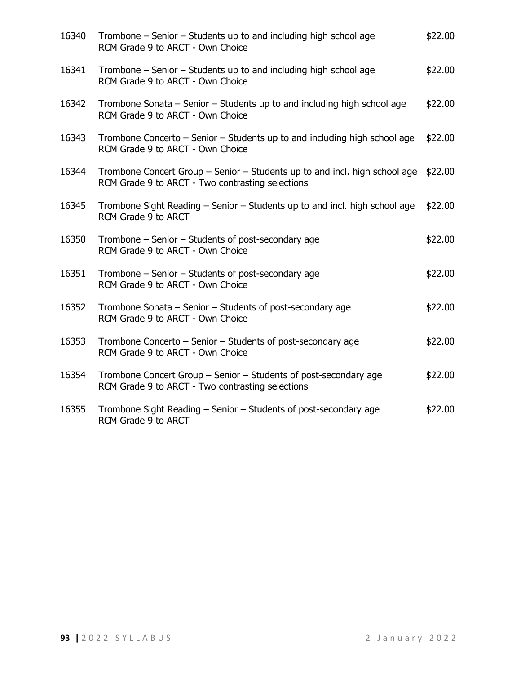| 16340 | Trombone – Senior – Students up to and including high school age<br>RCM Grade 9 to ARCT - Own Choice                           | \$22.00 |
|-------|--------------------------------------------------------------------------------------------------------------------------------|---------|
| 16341 | Trombone – Senior – Students up to and including high school age<br>RCM Grade 9 to ARCT - Own Choice                           | \$22.00 |
| 16342 | Trombone Sonata - Senior - Students up to and including high school age<br>RCM Grade 9 to ARCT - Own Choice                    | \$22.00 |
| 16343 | Trombone Concerto – Senior – Students up to and including high school age<br>RCM Grade 9 to ARCT - Own Choice                  | \$22.00 |
| 16344 | Trombone Concert Group – Senior – Students up to and incl. high school age<br>RCM Grade 9 to ARCT - Two contrasting selections | \$22.00 |
| 16345 | Trombone Sight Reading – Senior – Students up to and incl. high school age<br>RCM Grade 9 to ARCT                              | \$22.00 |
| 16350 | Trombone - Senior - Students of post-secondary age<br>RCM Grade 9 to ARCT - Own Choice                                         | \$22.00 |
| 16351 | Trombone – Senior – Students of post-secondary age<br>RCM Grade 9 to ARCT - Own Choice                                         | \$22.00 |
| 16352 | Trombone Sonata - Senior - Students of post-secondary age<br>RCM Grade 9 to ARCT - Own Choice                                  | \$22.00 |
| 16353 | Trombone Concerto - Senior - Students of post-secondary age<br>RCM Grade 9 to ARCT - Own Choice                                | \$22.00 |
| 16354 | Trombone Concert Group - Senior - Students of post-secondary age<br>RCM Grade 9 to ARCT - Two contrasting selections           | \$22.00 |
| 16355 | Trombone Sight Reading - Senior - Students of post-secondary age<br>RCM Grade 9 to ARCT                                        | \$22.00 |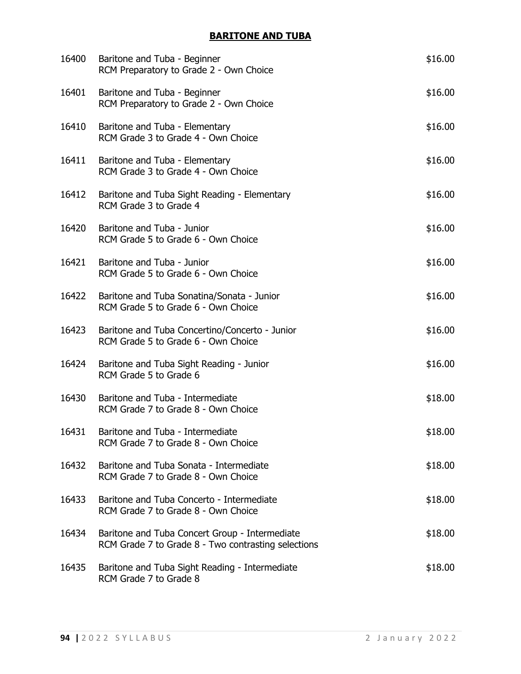## **BARITONE AND TUBA**

| 16400 | Baritone and Tuba - Beginner<br>RCM Preparatory to Grade 2 - Own Choice                               | \$16.00 |
|-------|-------------------------------------------------------------------------------------------------------|---------|
| 16401 | Baritone and Tuba - Beginner<br>RCM Preparatory to Grade 2 - Own Choice                               | \$16.00 |
| 16410 | Baritone and Tuba - Elementary<br>RCM Grade 3 to Grade 4 - Own Choice                                 | \$16.00 |
| 16411 | Baritone and Tuba - Elementary<br>RCM Grade 3 to Grade 4 - Own Choice                                 | \$16.00 |
| 16412 | Baritone and Tuba Sight Reading - Elementary<br>RCM Grade 3 to Grade 4                                | \$16.00 |
| 16420 | Baritone and Tuba - Junior<br>RCM Grade 5 to Grade 6 - Own Choice                                     | \$16.00 |
| 16421 | Baritone and Tuba - Junior<br>RCM Grade 5 to Grade 6 - Own Choice                                     | \$16.00 |
| 16422 | Baritone and Tuba Sonatina/Sonata - Junior<br>RCM Grade 5 to Grade 6 - Own Choice                     | \$16.00 |
| 16423 | Baritone and Tuba Concertino/Concerto - Junior<br>RCM Grade 5 to Grade 6 - Own Choice                 | \$16.00 |
| 16424 | Baritone and Tuba Sight Reading - Junior<br>RCM Grade 5 to Grade 6                                    | \$16.00 |
| 16430 | Baritone and Tuba - Intermediate<br>RCM Grade 7 to Grade 8 - Own Choice                               | \$18.00 |
| 16431 | Baritone and Tuba - Intermediate<br>RCM Grade 7 to Grade 8 - Own Choice                               | \$18.00 |
| 16432 | Baritone and Tuba Sonata - Intermediate<br>RCM Grade 7 to Grade 8 - Own Choice                        | \$18.00 |
| 16433 | Baritone and Tuba Concerto - Intermediate<br>RCM Grade 7 to Grade 8 - Own Choice                      | \$18.00 |
| 16434 | Baritone and Tuba Concert Group - Intermediate<br>RCM Grade 7 to Grade 8 - Two contrasting selections | \$18.00 |
| 16435 | Baritone and Tuba Sight Reading - Intermediate<br>RCM Grade 7 to Grade 8                              | \$18.00 |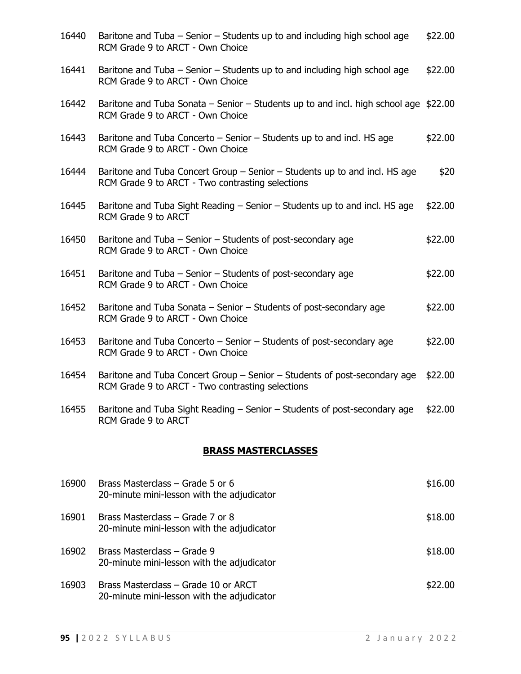| 16440 | Baritone and Tuba – Senior – Students up to and including high school age<br>RCM Grade 9 to ARCT - Own Choice                  | \$22.00 |
|-------|--------------------------------------------------------------------------------------------------------------------------------|---------|
| 16441 | Baritone and Tuba - Senior - Students up to and including high school age<br>RCM Grade 9 to ARCT - Own Choice                  | \$22.00 |
| 16442 | Baritone and Tuba Sonata – Senior – Students up to and incl. high school age $$22.00$<br>RCM Grade 9 to ARCT - Own Choice      |         |
| 16443 | Baritone and Tuba Concerto – Senior – Students up to and incl. HS age<br>RCM Grade 9 to ARCT - Own Choice                      | \$22.00 |
| 16444 | Baritone and Tuba Concert Group – Senior – Students up to and incl. HS age<br>RCM Grade 9 to ARCT - Two contrasting selections | \$20    |
| 16445 | Baritone and Tuba Sight Reading - Senior - Students up to and incl. HS age<br>RCM Grade 9 to ARCT                              | \$22.00 |
| 16450 | Baritone and Tuba - Senior - Students of post-secondary age<br>RCM Grade 9 to ARCT - Own Choice                                | \$22.00 |
| 16451 | Baritone and Tuba – Senior – Students of post-secondary age<br>RCM Grade 9 to ARCT - Own Choice                                | \$22.00 |
| 16452 | Baritone and Tuba Sonata – Senior – Students of post-secondary age<br>RCM Grade 9 to ARCT - Own Choice                         | \$22.00 |
| 16453 | Baritone and Tuba Concerto – Senior – Students of post-secondary age<br>RCM Grade 9 to ARCT - Own Choice                       | \$22.00 |
| 16454 | Baritone and Tuba Concert Group – Senior – Students of post-secondary age<br>RCM Grade 9 to ARCT - Two contrasting selections  | \$22.00 |
| 16455 | Baritone and Tuba Sight Reading – Senior – Students of post-secondary age \$22.00<br>RCM Grade 9 to ARCT                       |         |
|       | <b>BRASS MASTERCLASSES</b>                                                                                                     |         |
| 16900 | Brass Masterclass - Grade 5 or 6<br>20-minute mini-lesson with the adjudicator                                                 | \$16.00 |
| 16901 | Brass Masterclass - Grade 7 or 8<br>20-minute mini-lesson with the adjudicator                                                 | \$18.00 |

16902 Brass Masterclass – Grade 9  $$18.00$ 20-minute mini-lesson with the adjudicator

16903 Brass Masterclass – Grade 10 or ARCT \$22.00 20-minute mini-lesson with the adjudicator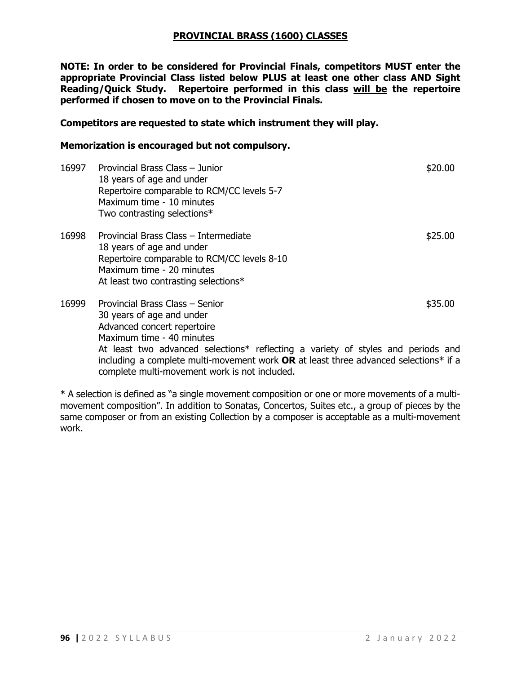#### **PROVINCIAL BRASS (1600) CLASSES**

**NOTE: In order to be considered for Provincial Finals, competitors MUST enter the appropriate Provincial Class listed below PLUS at least one other class AND Sight Reading/Quick Study. Repertoire performed in this class will be the repertoire performed if chosen to move on to the Provincial Finals.**

#### **Competitors are requested to state which instrument they will play.**

#### **Memorization is encouraged but not compulsory.**

| 16997 | Provincial Brass Class - Junior<br>18 years of age and under<br>Repertoire comparable to RCM/CC levels 5-7<br>Maximum time - 10 minutes<br>Two contrasting selections*                                       | \$20.00 |
|-------|--------------------------------------------------------------------------------------------------------------------------------------------------------------------------------------------------------------|---------|
| 16998 | Provincial Brass Class – Intermediate<br>18 years of age and under<br>Repertoire comparable to RCM/CC levels 8-10<br>Maximum time - 20 minutes<br>At least two contrasting selections*                       | \$25.00 |
| 16999 | Provincial Brass Class - Senior<br>30 years of age and under<br>Advanced concert repertoire<br>Maximum time - 40 minutes<br>At least two advanced selections* reflecting a variety of styles and periods and | \$35.00 |
|       | including a complete multi-movement work <b>OR</b> at least three advanced selections* if a                                                                                                                  |         |

complete multi-movement work is not included.

\* A selection is defined as "a single movement composition or one or more movements of a multimovement composition". In addition to Sonatas, Concertos, Suites etc., a group of pieces by the same composer or from an existing Collection by a composer is acceptable as a multi-movement work.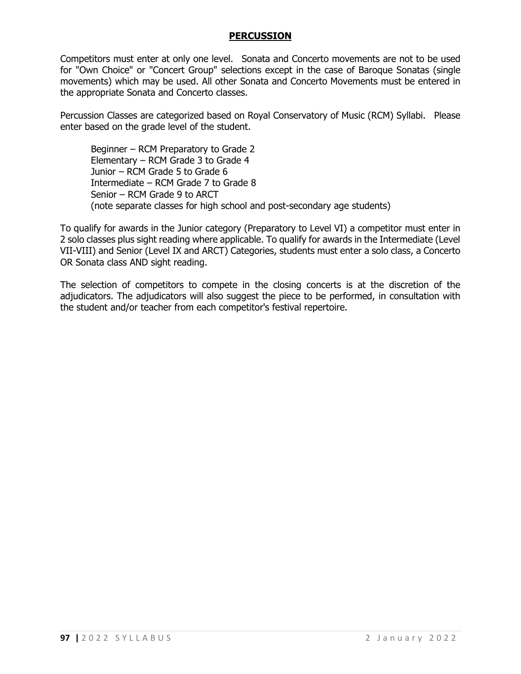#### **PERCUSSION**

Competitors must enter at only one level. Sonata and Concerto movements are not to be used for "Own Choice" or "Concert Group" selections except in the case of Baroque Sonatas (single movements) which may be used. All other Sonata and Concerto Movements must be entered in the appropriate Sonata and Concerto classes.

Percussion Classes are categorized based on Royal Conservatory of Music (RCM) Syllabi. Please enter based on the grade level of the student.

Beginner – RCM Preparatory to Grade 2 Elementary – RCM Grade 3 to Grade 4 Junior – RCM Grade 5 to Grade 6 Intermediate – RCM Grade 7 to Grade 8 Senior – RCM Grade 9 to ARCT (note separate classes for high school and post-secondary age students)

To qualify for awards in the Junior category (Preparatory to Level VI) a competitor must enter in 2 solo classes plus sight reading where applicable. To qualify for awards in the Intermediate (Level VII-VIII) and Senior (Level IX and ARCT) Categories, students must enter a solo class, a Concerto OR Sonata class AND sight reading.

The selection of competitors to compete in the closing concerts is at the discretion of the adjudicators. The adjudicators will also suggest the piece to be performed, in consultation with the student and/or teacher from each competitor's festival repertoire.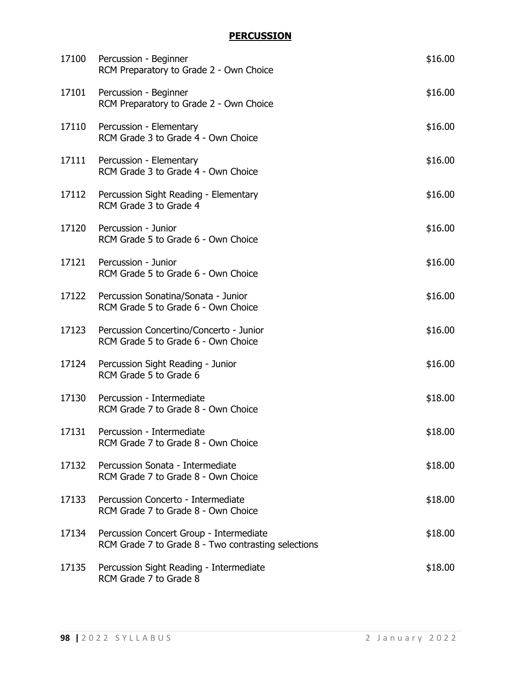## **PERCUSSION**

| 17100 | Percussion - Beginner<br>RCM Preparatory to Grade 2 - Own Choice                               | \$16.00 |
|-------|------------------------------------------------------------------------------------------------|---------|
| 17101 | Percussion - Beginner<br>RCM Preparatory to Grade 2 - Own Choice                               | \$16.00 |
| 17110 | Percussion - Elementary<br>RCM Grade 3 to Grade 4 - Own Choice                                 | \$16.00 |
| 17111 | Percussion - Elementary<br>RCM Grade 3 to Grade 4 - Own Choice                                 | \$16.00 |
| 17112 | Percussion Sight Reading - Elementary<br>RCM Grade 3 to Grade 4                                | \$16.00 |
| 17120 | Percussion - Junior<br>RCM Grade 5 to Grade 6 - Own Choice                                     | \$16.00 |
| 17121 | Percussion - Junior<br>RCM Grade 5 to Grade 6 - Own Choice                                     | \$16.00 |
| 17122 | Percussion Sonatina/Sonata - Junior<br>RCM Grade 5 to Grade 6 - Own Choice                     | \$16.00 |
| 17123 | Percussion Concertino/Concerto - Junior<br>RCM Grade 5 to Grade 6 - Own Choice                 | \$16.00 |
| 17124 | Percussion Sight Reading - Junior<br>RCM Grade 5 to Grade 6                                    | \$16.00 |
| 17130 | Percussion - Intermediate<br>RCM Grade 7 to Grade 8 - Own Choice                               | \$18.00 |
| 17131 | Percussion - Intermediate<br>RCM Grade 7 to Grade 8 - Own Choice                               | \$18.00 |
| 17132 | Percussion Sonata - Intermediate<br>RCM Grade 7 to Grade 8 - Own Choice                        | \$18.00 |
| 17133 | Percussion Concerto - Intermediate<br>RCM Grade 7 to Grade 8 - Own Choice                      | \$18.00 |
| 17134 | Percussion Concert Group - Intermediate<br>RCM Grade 7 to Grade 8 - Two contrasting selections | \$18.00 |
| 17135 | Percussion Sight Reading - Intermediate<br>RCM Grade 7 to Grade 8                              | \$18.00 |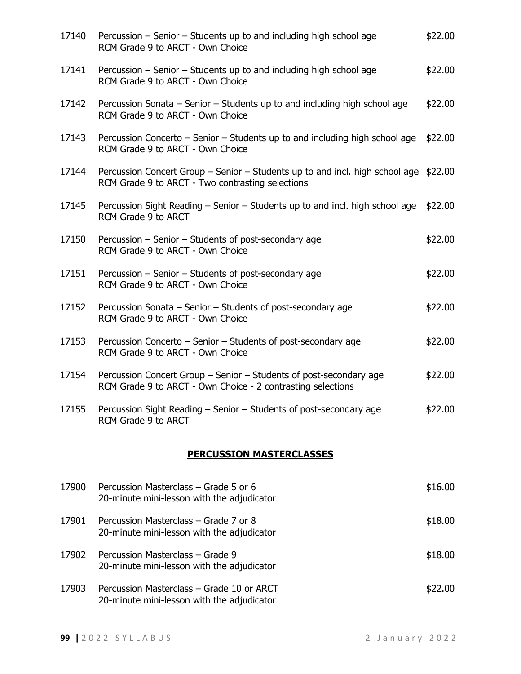| 17140 | Percussion – Senior – Students up to and including high school age<br>RCM Grade 9 to ARCT - Own Choice                                   | \$22.00 |  |
|-------|------------------------------------------------------------------------------------------------------------------------------------------|---------|--|
| 17141 | Percussion – Senior – Students up to and including high school age<br>RCM Grade 9 to ARCT - Own Choice                                   | \$22.00 |  |
| 17142 | Percussion Sonata – Senior – Students up to and including high school age<br>RCM Grade 9 to ARCT - Own Choice                            | \$22.00 |  |
| 17143 | Percussion Concerto – Senior – Students up to and including high school age<br>RCM Grade 9 to ARCT - Own Choice                          | \$22.00 |  |
| 17144 | Percussion Concert Group – Senior – Students up to and incl. high school age \$22.00<br>RCM Grade 9 to ARCT - Two contrasting selections |         |  |
| 17145 | Percussion Sight Reading – Senior – Students up to and incl. high school age<br>RCM Grade 9 to ARCT                                      | \$22.00 |  |
| 17150 | Percussion – Senior – Students of post-secondary age<br>RCM Grade 9 to ARCT - Own Choice                                                 | \$22.00 |  |
| 17151 | Percussion – Senior – Students of post-secondary age<br>RCM Grade 9 to ARCT - Own Choice                                                 | \$22.00 |  |
| 17152 | Percussion Sonata – Senior – Students of post-secondary age<br>RCM Grade 9 to ARCT - Own Choice                                          | \$22.00 |  |
| 17153 | Percussion Concerto - Senior - Students of post-secondary age<br>RCM Grade 9 to ARCT - Own Choice                                        | \$22.00 |  |
| 17154 | Percussion Concert Group - Senior - Students of post-secondary age<br>RCM Grade 9 to ARCT - Own Choice - 2 contrasting selections        | \$22.00 |  |
| 17155 | Percussion Sight Reading - Senior - Students of post-secondary age<br>RCM Grade 9 to ARCT                                                | \$22.00 |  |
|       | <b>PERCUSSION MASTERCLASSES</b>                                                                                                          |         |  |
| 17900 | Percussion Masterclass - Grade 5 or 6<br>20-minute mini-lesson with the adjudicator                                                      | \$16.00 |  |

| 17901 | Percussion Masterclass – Grade 7 or 8<br>20-minute mini-lesson with the adjudicator | \$18.00 |
|-------|-------------------------------------------------------------------------------------|---------|
| 17902 | Percussion Masterclass – Grade 9<br>20-minute mini-lesson with the adjudicator      | \$18.00 |
| 17002 | Deverse is Mostevelses Cuade 10 av ADCT                                             | _ הה    |

17903 Percussion Masterclass – Grade 10 or ARCT \$22.00 20-minute mini-lesson with the adjudicator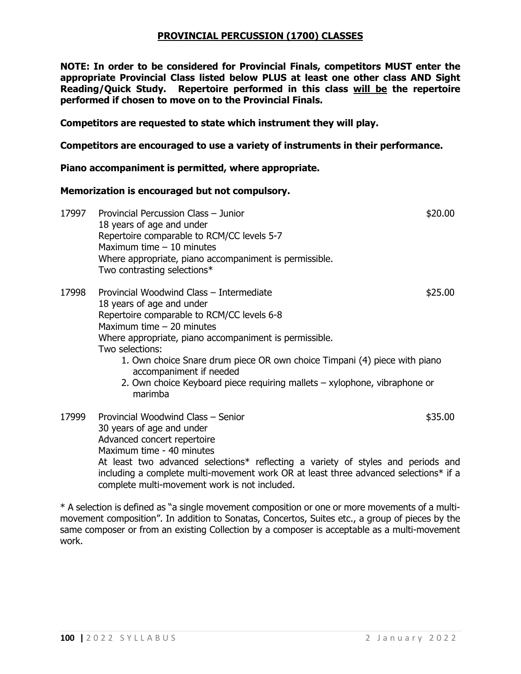#### **PROVINCIAL PERCUSSION (1700) CLASSES**

**NOTE: In order to be considered for Provincial Finals, competitors MUST enter the appropriate Provincial Class listed below PLUS at least one other class AND Sight Reading/Quick Study. Repertoire performed in this class will be the repertoire performed if chosen to move on to the Provincial Finals.**

**Competitors are requested to state which instrument they will play.**

**Competitors are encouraged to use a variety of instruments in their performance.** 

**Piano accompaniment is permitted, where appropriate.**

#### **Memorization is encouraged but not compulsory.**

17997 Provincial Percussion Class – Junior **17997** Provincial Percussion Class – Junior 18 years of age and under Repertoire comparable to RCM/CC levels 5-7 Maximum time – 10 minutes Where appropriate, piano accompaniment is permissible. Two contrasting selections\* 17998 Provincial Woodwind Class – Intermediate **17998** Provincial Woodwind Class – Intermediate 18 years of age and under Repertoire comparable to RCM/CC levels 6-8 Maximum time – 20 minutes Where appropriate, piano accompaniment is permissible. Two selections: 1. Own choice Snare drum piece OR own choice Timpani (4) piece with piano accompaniment if needed 2. Own choice Keyboard piece requiring mallets – xylophone, vibraphone or marimba 17999 Provincial Woodwind Class – Senior **\$35.00** \$35.00 30 years of age and under Advanced concert repertoire Maximum time - 40 minutes

At least two advanced selections\* reflecting a variety of styles and periods and including a complete multi-movement work OR at least three advanced selections\* if a complete multi-movement work is not included.

\* A selection is defined as "a single movement composition or one or more movements of a multimovement composition". In addition to Sonatas, Concertos, Suites etc., a group of pieces by the same composer or from an existing Collection by a composer is acceptable as a multi-movement work.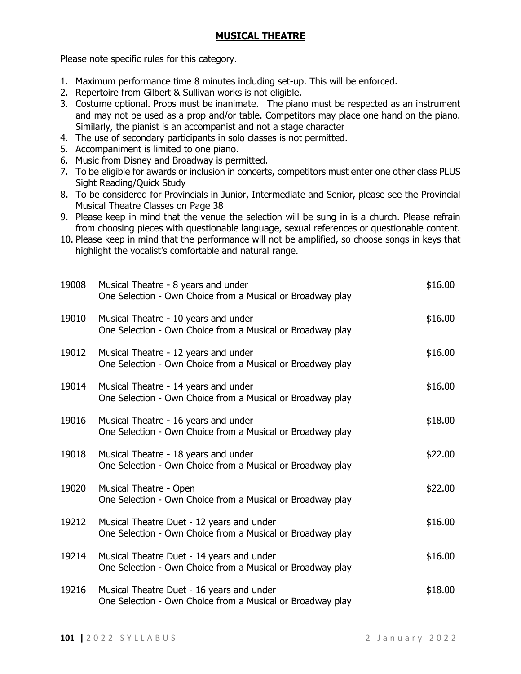## **MUSICAL THEATRE**

Please note specific rules for this category.

- 1. Maximum performance time 8 minutes including set-up. This will be enforced.
- 2. Repertoire from Gilbert & Sullivan works is not eligible.
- 3. Costume optional. Props must be inanimate. The piano must be respected as an instrument and may not be used as a prop and/or table. Competitors may place one hand on the piano. Similarly, the pianist is an accompanist and not a stage character
- 4. The use of secondary participants in solo classes is not permitted.
- 5. Accompaniment is limited to one piano.
- 6. Music from Disney and Broadway is permitted.
- 7. To be eligible for awards or inclusion in concerts, competitors must enter one other class PLUS Sight Reading/Quick Study
- 8. To be considered for Provincials in Junior, Intermediate and Senior, please see the Provincial Musical Theatre Classes on Page 38
- 9. Please keep in mind that the venue the selection will be sung in is a church. Please refrain from choosing pieces with questionable language, sexual references or questionable content.
- 10. Please keep in mind that the performance will not be amplified, so choose songs in keys that highlight the vocalist's comfortable and natural range.

| 19008 | Musical Theatre - 8 years and under<br>One Selection - Own Choice from a Musical or Broadway play       | \$16.00 |
|-------|---------------------------------------------------------------------------------------------------------|---------|
| 19010 | Musical Theatre - 10 years and under<br>One Selection - Own Choice from a Musical or Broadway play      | \$16.00 |
| 19012 | Musical Theatre - 12 years and under<br>One Selection - Own Choice from a Musical or Broadway play      | \$16.00 |
| 19014 | Musical Theatre - 14 years and under<br>One Selection - Own Choice from a Musical or Broadway play      | \$16.00 |
| 19016 | Musical Theatre - 16 years and under<br>One Selection - Own Choice from a Musical or Broadway play      | \$18.00 |
| 19018 | Musical Theatre - 18 years and under<br>One Selection - Own Choice from a Musical or Broadway play      | \$22.00 |
| 19020 | Musical Theatre - Open<br>One Selection - Own Choice from a Musical or Broadway play                    | \$22.00 |
| 19212 | Musical Theatre Duet - 12 years and under<br>One Selection - Own Choice from a Musical or Broadway play | \$16.00 |
| 19214 | Musical Theatre Duet - 14 years and under<br>One Selection - Own Choice from a Musical or Broadway play | \$16.00 |
| 19216 | Musical Theatre Duet - 16 years and under<br>One Selection - Own Choice from a Musical or Broadway play | \$18.00 |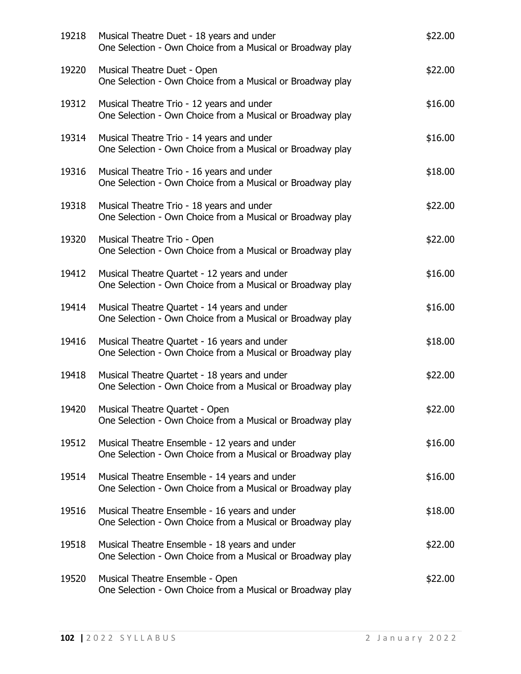| 19218 | Musical Theatre Duet - 18 years and under<br>One Selection - Own Choice from a Musical or Broadway play     | \$22.00 |
|-------|-------------------------------------------------------------------------------------------------------------|---------|
| 19220 | Musical Theatre Duet - Open<br>One Selection - Own Choice from a Musical or Broadway play                   | \$22.00 |
| 19312 | Musical Theatre Trio - 12 years and under<br>One Selection - Own Choice from a Musical or Broadway play     | \$16.00 |
| 19314 | Musical Theatre Trio - 14 years and under<br>One Selection - Own Choice from a Musical or Broadway play     | \$16.00 |
| 19316 | Musical Theatre Trio - 16 years and under<br>One Selection - Own Choice from a Musical or Broadway play     | \$18.00 |
| 19318 | Musical Theatre Trio - 18 years and under<br>One Selection - Own Choice from a Musical or Broadway play     | \$22.00 |
| 19320 | Musical Theatre Trio - Open<br>One Selection - Own Choice from a Musical or Broadway play                   | \$22.00 |
| 19412 | Musical Theatre Quartet - 12 years and under<br>One Selection - Own Choice from a Musical or Broadway play  | \$16.00 |
| 19414 | Musical Theatre Quartet - 14 years and under<br>One Selection - Own Choice from a Musical or Broadway play  | \$16.00 |
| 19416 | Musical Theatre Quartet - 16 years and under<br>One Selection - Own Choice from a Musical or Broadway play  | \$18.00 |
| 19418 | Musical Theatre Quartet - 18 years and under<br>One Selection - Own Choice from a Musical or Broadway play  | \$22.00 |
| 19420 | Musical Theatre Quartet - Open<br>One Selection - Own Choice from a Musical or Broadway play                | \$22.00 |
| 19512 | Musical Theatre Ensemble - 12 years and under<br>One Selection - Own Choice from a Musical or Broadway play | \$16.00 |
| 19514 | Musical Theatre Ensemble - 14 years and under<br>One Selection - Own Choice from a Musical or Broadway play | \$16.00 |
| 19516 | Musical Theatre Ensemble - 16 years and under<br>One Selection - Own Choice from a Musical or Broadway play | \$18.00 |
| 19518 | Musical Theatre Ensemble - 18 years and under<br>One Selection - Own Choice from a Musical or Broadway play | \$22.00 |
| 19520 | Musical Theatre Ensemble - Open<br>One Selection - Own Choice from a Musical or Broadway play               | \$22.00 |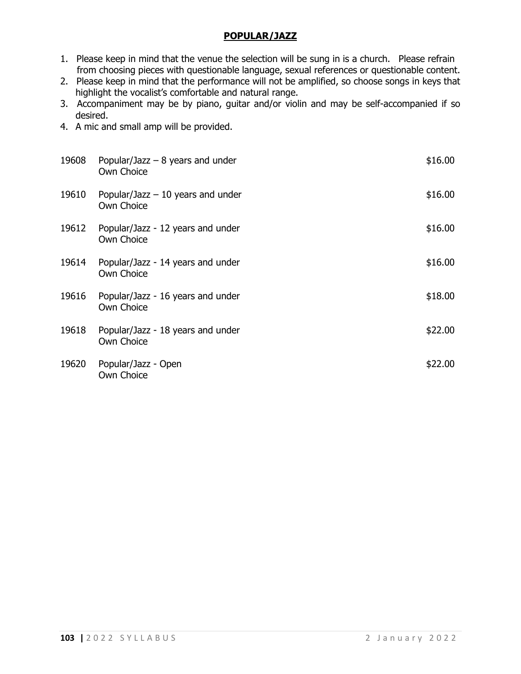## **POPULAR/JAZZ**

- 1. Please keep in mind that the venue the selection will be sung in is a church. Please refrain from choosing pieces with questionable language, sexual references or questionable content.
- 2. Please keep in mind that the performance will not be amplified, so choose songs in keys that highlight the vocalist's comfortable and natural range.
- 3. Accompaniment may be by piano, guitar and/or violin and may be self-accompanied if so desired.
- 4. A mic and small amp will be provided.

| 19608 | Popular/Jazz $-8$ years and under<br>Own Choice  | \$16.00 |
|-------|--------------------------------------------------|---------|
| 19610 | Popular/Jazz $-10$ years and under<br>Own Choice | \$16.00 |
| 19612 | Popular/Jazz - 12 years and under<br>Own Choice  | \$16.00 |
| 19614 | Popular/Jazz - 14 years and under<br>Own Choice  | \$16.00 |
| 19616 | Popular/Jazz - 16 years and under<br>Own Choice  | \$18.00 |
| 19618 | Popular/Jazz - 18 years and under<br>Own Choice  | \$22.00 |
| 19620 | Popular/Jazz - Open<br>Own Choice                | \$22.00 |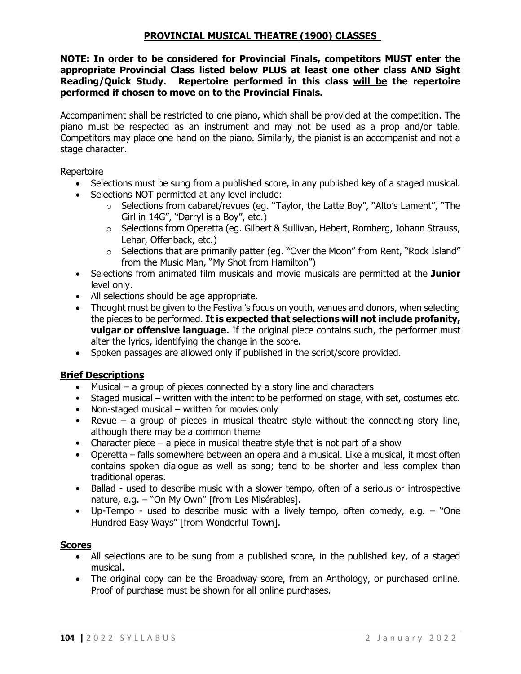### **PROVINCIAL MUSICAL THEATRE (1900) CLASSES**

**NOTE: In order to be considered for Provincial Finals, competitors MUST enter the appropriate Provincial Class listed below PLUS at least one other class AND Sight Reading/Quick Study. Repertoire performed in this class will be the repertoire performed if chosen to move on to the Provincial Finals.**

Accompaniment shall be restricted to one piano, which shall be provided at the competition. The piano must be respected as an instrument and may not be used as a prop and/or table. Competitors may place one hand on the piano. Similarly, the pianist is an accompanist and not a stage character.

Repertoire

- Selections must be sung from a published score, in any published key of a staged musical.
- Selections NOT permitted at any level include:
	- o Selections from cabaret/revues (eg. "Taylor, the Latte Boy", "Alto's Lament", "The Girl in 14G", "Darryl is a Boy", etc.)
	- $\circ$  Selections from Operetta (eg. Gilbert & Sullivan, Hebert, Romberg, Johann Strauss, Lehar, Offenback, etc.)
	- o Selections that are primarily patter (eg. "Over the Moon" from Rent, "Rock Island" from the Music Man, "My Shot from Hamilton")
- Selections from animated film musicals and movie musicals are permitted at the **Junior** level only.
- All selections should be age appropriate.
- Thought must be given to the Festival's focus on youth, venues and donors, when selecting the pieces to be performed. **It is expected that selections will not include profanity, vulgar or offensive language.** If the original piece contains such, the performer must alter the lyrics, identifying the change in the score.
- Spoken passages are allowed only if published in the script/score provided.

### **Brief Descriptions**

- Musical a group of pieces connected by a story line and characters
- Staged musical written with the intent to be performed on stage, with set, costumes etc.
- Non-staged musical written for movies only
- Revue a group of pieces in musical theatre style without the connecting story line, although there may be a common theme
- Character piece a piece in musical theatre style that is not part of a show
- Operetta falls somewhere between an opera and a musical. Like a musical, it most often contains spoken dialogue as well as song; tend to be shorter and less complex than traditional operas.
- Ballad used to describe music with a slower tempo, often of a serious or introspective nature, e.g. – "On My Own" [from Les Misérables].
- Up-Tempo used to describe music with a lively tempo, often comedy, e.g. "One Hundred Easy Ways" [from Wonderful Town].

### **Scores**

- All selections are to be sung from a published score, in the published key, of a staged musical.
- The original copy can be the Broadway score, from an Anthology, or purchased online. Proof of purchase must be shown for all online purchases.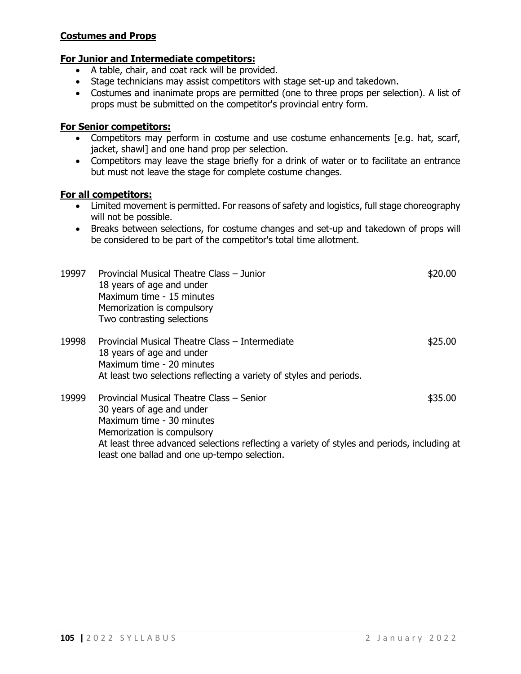#### **Costumes and Props**

### **For Junior and Intermediate competitors:**

- A table, chair, and coat rack will be provided.
- Stage technicians may assist competitors with stage set-up and takedown.
- Costumes and inanimate props are permitted (one to three props per selection). A list of props must be submitted on the competitor's provincial entry form.

#### **For Senior competitors:**

- Competitors may perform in costume and use costume enhancements [e.g. hat, scarf, jacket, shawl] and one hand prop per selection.
- Competitors may leave the stage briefly for a drink of water or to facilitate an entrance but must not leave the stage for complete costume changes.

#### **For all competitors:**

- Limited movement is permitted. For reasons of safety and logistics, full stage choreography will not be possible.
- Breaks between selections, for costume changes and set-up and takedown of props will be considered to be part of the competitor's total time allotment.

| 19997 | Provincial Musical Theatre Class - Junior<br>18 years of age and under<br>Maximum time - 15 minutes<br>Memorization is compulsory<br>Two contrasting selections                                                                                                                  | \$20.00 |
|-------|----------------------------------------------------------------------------------------------------------------------------------------------------------------------------------------------------------------------------------------------------------------------------------|---------|
| 19998 | Provincial Musical Theatre Class – Intermediate<br>18 years of age and under<br>Maximum time - 20 minutes<br>At least two selections reflecting a variety of styles and periods.                                                                                                 | \$25.00 |
| 19999 | Provincial Musical Theatre Class - Senior<br>30 years of age and under<br>Maximum time - 30 minutes<br>Memorization is compulsory<br>At least three advanced selections reflecting a variety of styles and periods, including at<br>least one ballad and one up-tempo selection. | \$35.00 |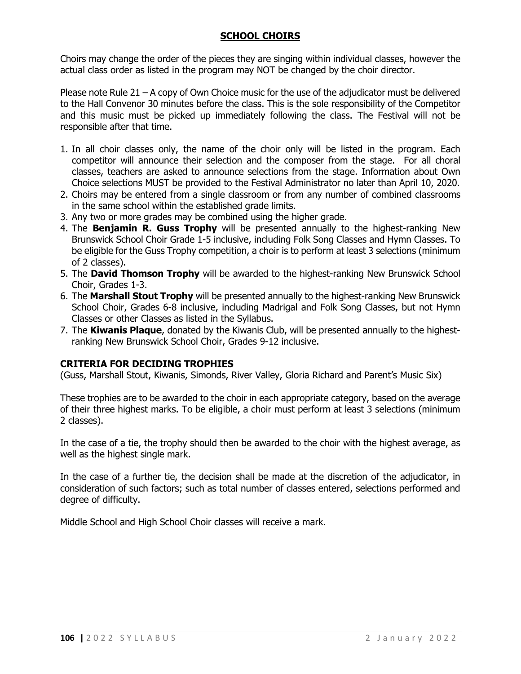## **SCHOOL CHOIRS**

Choirs may change the order of the pieces they are singing within individual classes, however the actual class order as listed in the program may NOT be changed by the choir director.

Please note Rule 21 – A copy of Own Choice music for the use of the adjudicator must be delivered to the Hall Convenor 30 minutes before the class. This is the sole responsibility of the Competitor and this music must be picked up immediately following the class. The Festival will not be responsible after that time.

- 1. In all choir classes only, the name of the choir only will be listed in the program. Each competitor will announce their selection and the composer from the stage. For all choral classes, teachers are asked to announce selections from the stage. Information about Own Choice selections MUST be provided to the Festival Administrator no later than April 10, 2020.
- 2. Choirs may be entered from a single classroom or from any number of combined classrooms in the same school within the established grade limits.
- 3. Any two or more grades may be combined using the higher grade.
- 4. The **Benjamin R. Guss Trophy** will be presented annually to the highest-ranking New Brunswick School Choir Grade 1-5 inclusive, including Folk Song Classes and Hymn Classes. To be eligible for the Guss Trophy competition, a choir is to perform at least 3 selections (minimum of 2 classes).
- 5. The **David Thomson Trophy** will be awarded to the highest-ranking New Brunswick School Choir, Grades 1-3.
- 6. The **Marshall Stout Trophy** will be presented annually to the highest-ranking New Brunswick School Choir, Grades 6-8 inclusive, including Madrigal and Folk Song Classes, but not Hymn Classes or other Classes as listed in the Syllabus.
- 7. The **Kiwanis Plaque**, donated by the Kiwanis Club, will be presented annually to the highestranking New Brunswick School Choir, Grades 9-12 inclusive.

#### **CRITERIA FOR DECIDING TROPHIES**

(Guss, Marshall Stout, Kiwanis, Simonds, River Valley, Gloria Richard and Parent's Music Six)

These trophies are to be awarded to the choir in each appropriate category, based on the average of their three highest marks. To be eligible, a choir must perform at least 3 selections (minimum 2 classes).

In the case of a tie, the trophy should then be awarded to the choir with the highest average, as well as the highest single mark.

In the case of a further tie, the decision shall be made at the discretion of the adjudicator, in consideration of such factors; such as total number of classes entered, selections performed and degree of difficulty.

Middle School and High School Choir classes will receive a mark.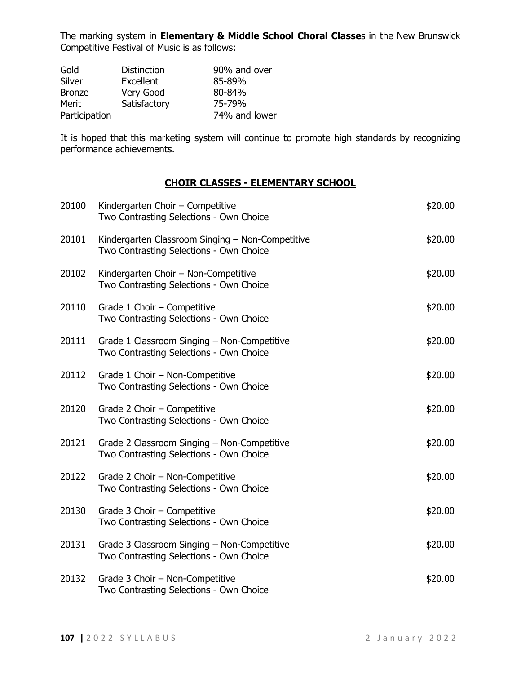The marking system in **Elementary & Middle School Choral Classe**s in the New Brunswick Competitive Festival of Music is as follows:

| Gold          | <b>Distinction</b> | 90% and over  |
|---------------|--------------------|---------------|
| <b>Silver</b> | Excellent          | 85-89%        |
| <b>Bronze</b> | Very Good          | 80-84%        |
| Merit         | Satisfactory       | 75-79%        |
| Participation |                    | 74% and lower |

It is hoped that this marketing system will continue to promote high standards by recognizing performance achievements.

#### **CHOIR CLASSES - ELEMENTARY SCHOOL**

| 20100 | Kindergarten Choir - Competitive<br>Two Contrasting Selections - Own Choice                 | \$20.00 |
|-------|---------------------------------------------------------------------------------------------|---------|
| 20101 | Kindergarten Classroom Singing - Non-Competitive<br>Two Contrasting Selections - Own Choice | \$20.00 |
| 20102 | Kindergarten Choir - Non-Competitive<br>Two Contrasting Selections - Own Choice             | \$20.00 |
| 20110 | Grade 1 Choir - Competitive<br>Two Contrasting Selections - Own Choice                      | \$20.00 |
| 20111 | Grade 1 Classroom Singing - Non-Competitive<br>Two Contrasting Selections - Own Choice      | \$20.00 |
| 20112 | Grade 1 Choir - Non-Competitive<br>Two Contrasting Selections - Own Choice                  | \$20.00 |
| 20120 | Grade 2 Choir - Competitive<br>Two Contrasting Selections - Own Choice                      | \$20.00 |
| 20121 | Grade 2 Classroom Singing - Non-Competitive<br>Two Contrasting Selections - Own Choice      | \$20.00 |
| 20122 | Grade 2 Choir - Non-Competitive<br>Two Contrasting Selections - Own Choice                  | \$20.00 |
| 20130 | Grade 3 Choir - Competitive<br>Two Contrasting Selections - Own Choice                      | \$20.00 |
| 20131 | Grade 3 Classroom Singing - Non-Competitive<br>Two Contrasting Selections - Own Choice      | \$20.00 |
| 20132 | Grade 3 Choir - Non-Competitive<br>Two Contrasting Selections - Own Choice                  | \$20.00 |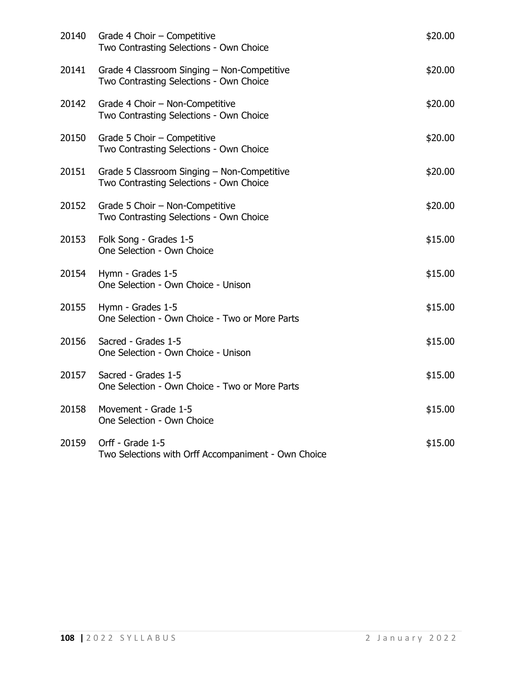| 20140 | Grade 4 Choir - Competitive<br>Two Contrasting Selections - Own Choice                 | \$20.00 |
|-------|----------------------------------------------------------------------------------------|---------|
| 20141 | Grade 4 Classroom Singing - Non-Competitive<br>Two Contrasting Selections - Own Choice | \$20.00 |
| 20142 | Grade 4 Choir - Non-Competitive<br>Two Contrasting Selections - Own Choice             | \$20.00 |
| 20150 | Grade 5 Choir - Competitive<br>Two Contrasting Selections - Own Choice                 | \$20.00 |
| 20151 | Grade 5 Classroom Singing - Non-Competitive<br>Two Contrasting Selections - Own Choice | \$20.00 |
|       | 20152 Grade 5 Choir - Non-Competitive<br>Two Contrasting Selections - Own Choice       | \$20.00 |
| 20153 | Folk Song - Grades 1-5<br>One Selection - Own Choice                                   | \$15.00 |
| 20154 | Hymn - Grades 1-5<br>One Selection - Own Choice - Unison                               | \$15.00 |
| 20155 | Hymn - Grades 1-5<br>One Selection - Own Choice - Two or More Parts                    | \$15.00 |
| 20156 | Sacred - Grades 1-5<br>One Selection - Own Choice - Unison                             | \$15.00 |
| 20157 | Sacred - Grades 1-5<br>One Selection - Own Choice - Two or More Parts                  | \$15.00 |
| 20158 | Movement - Grade 1-5<br>One Selection - Own Choice                                     | \$15.00 |
| 20159 | Orff - Grade 1-5<br>Two Selections with Orff Accompaniment - Own Choice                | \$15.00 |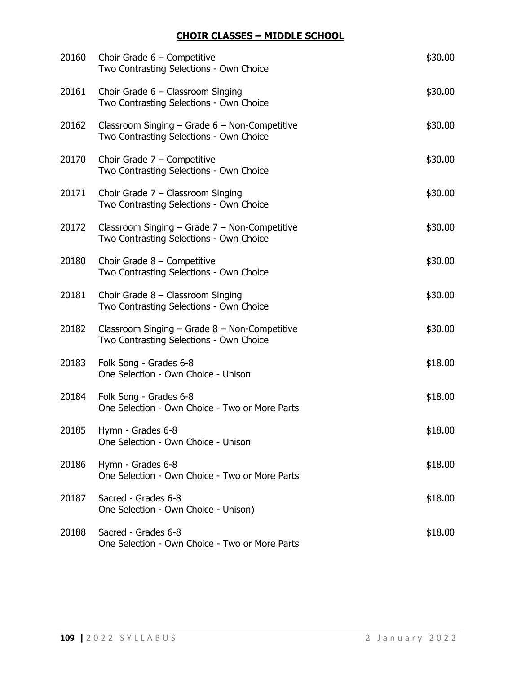## **CHOIR CLASSES – MIDDLE SCHOOL**

| 20160 | Choir Grade $6$ – Competitive<br>Two Contrasting Selections - Own Choice                     | \$30.00 |
|-------|----------------------------------------------------------------------------------------------|---------|
| 20161 | Choir Grade $6$ – Classroom Singing<br>Two Contrasting Selections - Own Choice               | \$30.00 |
| 20162 | Classroom Singing $-$ Grade 6 $-$ Non-Competitive<br>Two Contrasting Selections - Own Choice | \$30.00 |
| 20170 | Choir Grade $7$ – Competitive<br>Two Contrasting Selections - Own Choice                     | \$30.00 |
| 20171 | Choir Grade $7$ – Classroom Singing<br>Two Contrasting Selections - Own Choice               | \$30.00 |
| 20172 | Classroom Singing - Grade 7 - Non-Competitive<br>Two Contrasting Selections - Own Choice     | \$30.00 |
| 20180 | Choir Grade $8$ – Competitive<br>Two Contrasting Selections - Own Choice                     | \$30.00 |
| 20181 | Choir Grade $8$ – Classroom Singing<br>Two Contrasting Selections - Own Choice               | \$30.00 |
| 20182 | Classroom Singing $-$ Grade $8 -$ Non-Competitive<br>Two Contrasting Selections - Own Choice | \$30.00 |
| 20183 | Folk Song - Grades 6-8<br>One Selection - Own Choice - Unison                                | \$18.00 |
| 20184 | Folk Song - Grades 6-8<br>One Selection - Own Choice - Two or More Parts                     | \$18.00 |
| 20185 | Hymn - Grades 6-8<br>One Selection - Own Choice - Unison                                     | \$18.00 |
| 20186 | Hymn - Grades 6-8<br>One Selection - Own Choice - Two or More Parts                          | \$18.00 |
| 20187 | Sacred - Grades 6-8<br>One Selection - Own Choice - Unison)                                  | \$18.00 |
| 20188 | Sacred - Grades 6-8<br>One Selection - Own Choice - Two or More Parts                        | \$18.00 |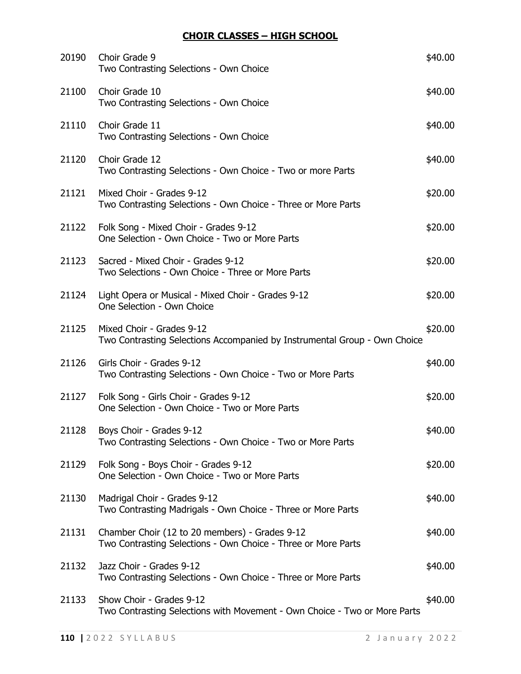## **CHOIR CLASSES – HIGH SCHOOL**

| 20190 | Choir Grade 9<br>Two Contrasting Selections - Own Choice                                                        | \$40.00 |
|-------|-----------------------------------------------------------------------------------------------------------------|---------|
| 21100 | Choir Grade 10<br>Two Contrasting Selections - Own Choice                                                       | \$40.00 |
| 21110 | Choir Grade 11<br>Two Contrasting Selections - Own Choice                                                       | \$40.00 |
| 21120 | Choir Grade 12<br>Two Contrasting Selections - Own Choice - Two or more Parts                                   | \$40.00 |
| 21121 | Mixed Choir - Grades 9-12<br>Two Contrasting Selections - Own Choice - Three or More Parts                      | \$20.00 |
| 21122 | Folk Song - Mixed Choir - Grades 9-12<br>One Selection - Own Choice - Two or More Parts                         | \$20.00 |
| 21123 | Sacred - Mixed Choir - Grades 9-12<br>Two Selections - Own Choice - Three or More Parts                         | \$20.00 |
| 21124 | Light Opera or Musical - Mixed Choir - Grades 9-12<br>One Selection - Own Choice                                | \$20.00 |
| 21125 | Mixed Choir - Grades 9-12<br>Two Contrasting Selections Accompanied by Instrumental Group - Own Choice          | \$20.00 |
| 21126 | Girls Choir - Grades 9-12<br>Two Contrasting Selections - Own Choice - Two or More Parts                        | \$40.00 |
| 21127 | Folk Song - Girls Choir - Grades 9-12<br>One Selection - Own Choice - Two or More Parts                         | \$20.00 |
|       | 21128 Boys Choir - Grades 9-12<br>Two Contrasting Selections - Own Choice - Two or More Parts                   | \$40.00 |
| 21129 | Folk Song - Boys Choir - Grades 9-12<br>One Selection - Own Choice - Two or More Parts                          | \$20.00 |
| 21130 | Madrigal Choir - Grades 9-12<br>Two Contrasting Madrigals - Own Choice - Three or More Parts                    | \$40.00 |
| 21131 | Chamber Choir (12 to 20 members) - Grades 9-12<br>Two Contrasting Selections - Own Choice - Three or More Parts | \$40.00 |
| 21132 | Jazz Choir - Grades 9-12<br>Two Contrasting Selections - Own Choice - Three or More Parts                       | \$40.00 |
| 21133 | Show Choir - Grades 9-12<br>Two Contrasting Selections with Movement - Own Choice - Two or More Parts           | \$40.00 |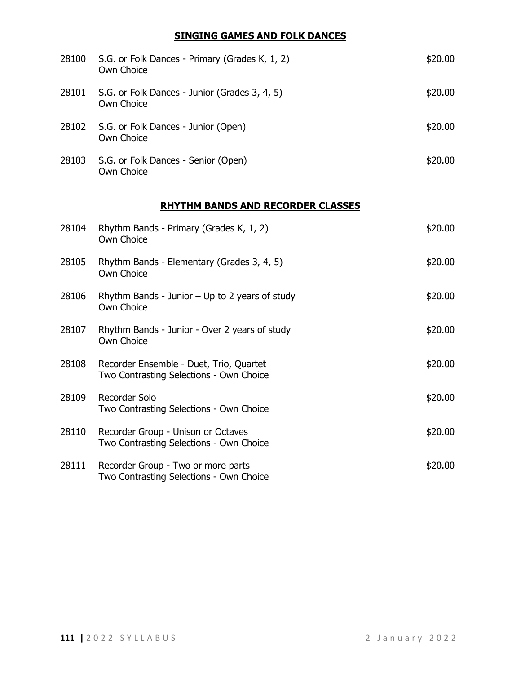## **SINGING GAMES AND FOLK DANCES**

| 28100 | S.G. or Folk Dances - Primary (Grades K, 1, 2)<br>Own Choice | \$20.00 |
|-------|--------------------------------------------------------------|---------|
| 28101 | S.G. or Folk Dances - Junior (Grades 3, 4, 5)<br>Own Choice  | \$20.00 |
|       | 28102 S.G. or Folk Dances - Junior (Open)<br>Own Choice      | \$20.00 |
| 28103 | S.G. or Folk Dances - Senior (Open)<br>Own Choice            | \$20.00 |

# **RHYTHM BANDS AND RECORDER CLASSES**

| 28104 | Rhythm Bands - Primary (Grades K, 1, 2)<br>Own Choice                              | \$20.00 |
|-------|------------------------------------------------------------------------------------|---------|
| 28105 | Rhythm Bands - Elementary (Grades 3, 4, 5)<br>Own Choice                           | \$20.00 |
| 28106 | Rhythm Bands - Junior $-$ Up to 2 years of study<br>Own Choice                     | \$20.00 |
| 28107 | Rhythm Bands - Junior - Over 2 years of study<br>Own Choice                        | \$20.00 |
| 28108 | Recorder Ensemble - Duet, Trio, Quartet<br>Two Contrasting Selections - Own Choice | \$20.00 |
| 28109 | Recorder Solo<br>Two Contrasting Selections - Own Choice                           | \$20.00 |
| 28110 | Recorder Group - Unison or Octaves<br>Two Contrasting Selections - Own Choice      | \$20.00 |
| 28111 | Recorder Group - Two or more parts<br>Two Contrasting Selections - Own Choice      | \$20.00 |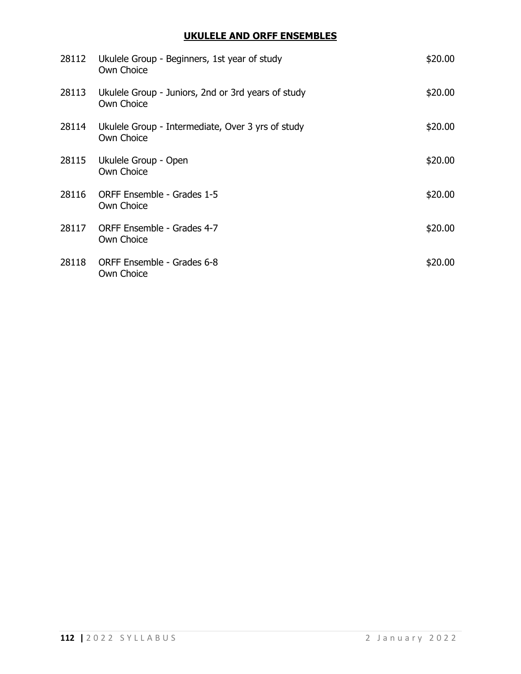## **UKULELE AND ORFF ENSEMBLES**

| 28112 | Ukulele Group - Beginners, 1st year of study<br>Own Choice       | \$20.00 |
|-------|------------------------------------------------------------------|---------|
| 28113 | Ukulele Group - Juniors, 2nd or 3rd years of study<br>Own Choice | \$20.00 |
| 28114 | Ukulele Group - Intermediate, Over 3 yrs of study<br>Own Choice  | \$20.00 |
| 28115 | Ukulele Group - Open<br>Own Choice                               | \$20.00 |
| 28116 | ORFF Ensemble - Grades 1-5<br>Own Choice                         | \$20.00 |
| 28117 | ORFF Ensemble - Grades 4-7<br>Own Choice                         | \$20.00 |
| 28118 | ORFF Ensemble - Grades 6-8<br>Own Choice                         | \$20.00 |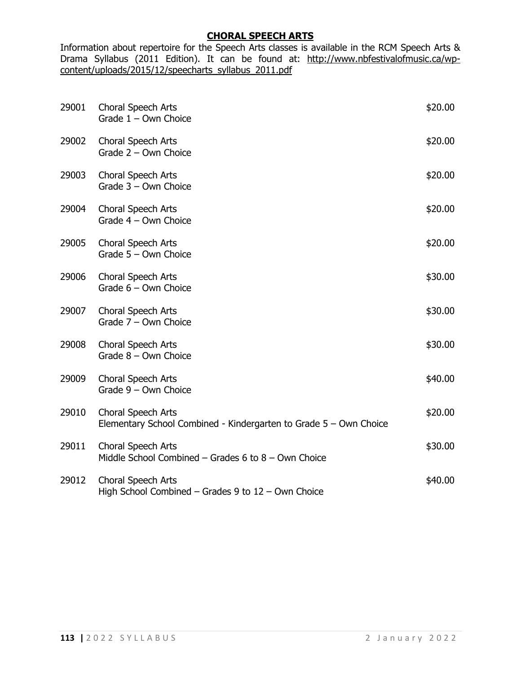### **CHORAL SPEECH ARTS**

Information about repertoire for the Speech Arts classes is available in the RCM Speech Arts & Drama Syllabus (2011 Edition). It can be found at: [http://www.nbfestivalofmusic.ca/wp](http://www.nbfestivalofmusic.ca/wp-content/uploads/2015/12/speecharts_syllabus_2011.pdf)[content/uploads/2015/12/speecharts\\_syllabus\\_2011.pdf](http://www.nbfestivalofmusic.ca/wp-content/uploads/2015/12/speecharts_syllabus_2011.pdf)

| 29001 | Choral Speech Arts<br>Grade $1 -$ Own Choice                                            | \$20.00 |
|-------|-----------------------------------------------------------------------------------------|---------|
| 29002 | Choral Speech Arts<br>Grade $2 - Own Choice$                                            | \$20.00 |
| 29003 | Choral Speech Arts<br>Grade $3 -$ Own Choice                                            | \$20.00 |
| 29004 | Choral Speech Arts<br>Grade $4 -$ Own Choice                                            | \$20.00 |
| 29005 | Choral Speech Arts<br>Grade $5 -$ Own Choice                                            | \$20.00 |
| 29006 | Choral Speech Arts<br>Grade $6 - Own$ Choice                                            | \$30.00 |
| 29007 | Choral Speech Arts<br>Grade $7 - Own$ Choice                                            | \$30.00 |
| 29008 | Choral Speech Arts<br>Grade $8 -$ Own Choice                                            | \$30.00 |
| 29009 | Choral Speech Arts<br>Grade $9 - Own$ Choice                                            | \$40.00 |
| 29010 | Choral Speech Arts<br>Elementary School Combined - Kindergarten to Grade 5 - Own Choice | \$20.00 |
| 29011 | Choral Speech Arts<br>Middle School Combined - Grades 6 to $8 -$ Own Choice             | \$30.00 |
| 29012 | Choral Speech Arts<br>High School Combined $-$ Grades 9 to $12 -$ Own Choice            | \$40.00 |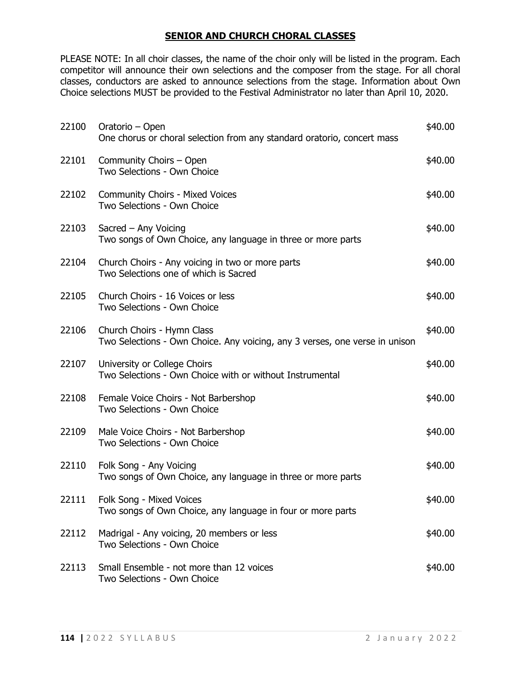### **SENIOR AND CHURCH CHORAL CLASSES**

PLEASE NOTE: In all choir classes, the name of the choir only will be listed in the program. Each competitor will announce their own selections and the composer from the stage. For all choral classes, conductors are asked to announce selections from the stage. Information about Own Choice selections MUST be provided to the Festival Administrator no later than April 10, 2020.

| 22100 | Oratorio – Open<br>One chorus or choral selection from any standard oratorio, concert mass                | \$40.00 |
|-------|-----------------------------------------------------------------------------------------------------------|---------|
| 22101 | Community Choirs - Open<br>Two Selections - Own Choice                                                    | \$40.00 |
| 22102 | <b>Community Choirs - Mixed Voices</b><br>Two Selections - Own Choice                                     | \$40.00 |
| 22103 | Sacred - Any Voicing<br>Two songs of Own Choice, any language in three or more parts                      | \$40.00 |
|       | 22104 Church Choirs - Any voicing in two or more parts<br>Two Selections one of which is Sacred           | \$40.00 |
| 22105 | Church Choirs - 16 Voices or less<br>Two Selections - Own Choice                                          | \$40.00 |
| 22106 | Church Choirs - Hymn Class<br>Two Selections - Own Choice. Any voicing, any 3 verses, one verse in unison | \$40.00 |
|       | 22107 University or College Choirs<br>Two Selections - Own Choice with or without Instrumental            | \$40.00 |
| 22108 | Female Voice Choirs - Not Barbershop<br>Two Selections - Own Choice                                       | \$40.00 |
| 22109 | Male Voice Choirs - Not Barbershop<br>Two Selections - Own Choice                                         | \$40.00 |
| 22110 | Folk Song - Any Voicing<br>Two songs of Own Choice, any language in three or more parts                   | \$40.00 |
| 22111 | Folk Song - Mixed Voices<br>Two songs of Own Choice, any language in four or more parts                   | \$40.00 |
| 22112 | Madrigal - Any voicing, 20 members or less<br>Two Selections - Own Choice                                 | \$40.00 |
| 22113 | Small Ensemble - not more than 12 voices<br>Two Selections - Own Choice                                   | \$40.00 |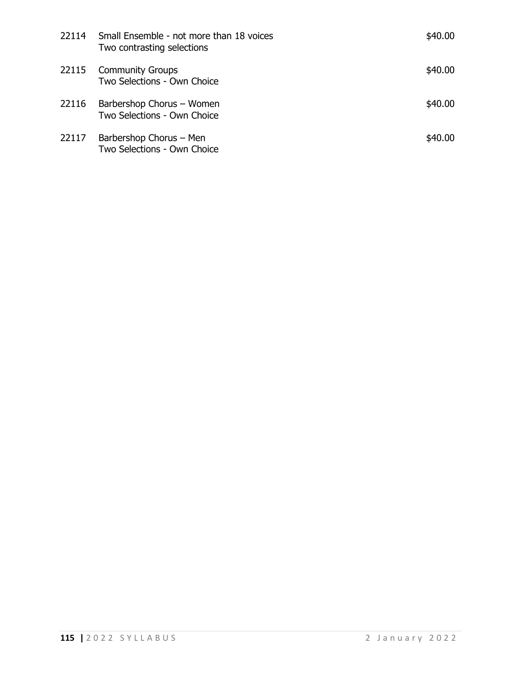|       | 22114 Small Ensemble - not more than 18 voices<br>Two contrasting selections | \$40.00 |
|-------|------------------------------------------------------------------------------|---------|
|       | 22115 Community Groups<br>Two Selections - Own Choice                        | \$40.00 |
| 22116 | Barbershop Chorus - Women<br>Two Selections - Own Choice                     | \$40.00 |
| 22117 | Barbershop Chorus - Men<br>Two Selections - Own Choice                       | \$40.00 |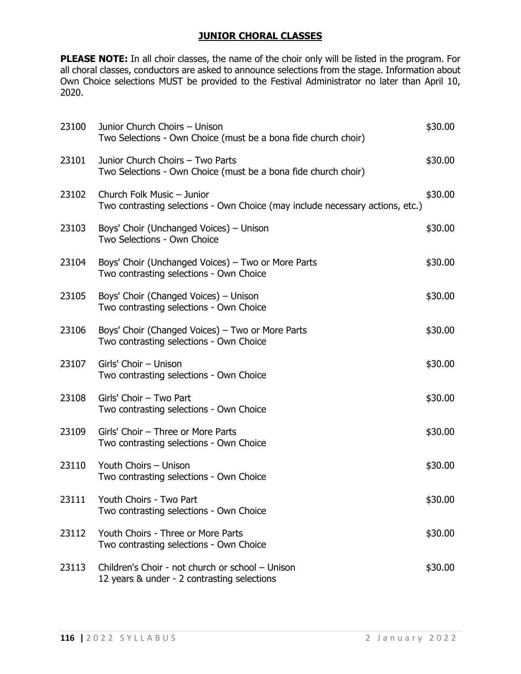### **JUNIOR CHORAL CLASSES**

**PLEASE NOTE:** In all choir classes, the name of the choir only will be listed in the program. For all choral classes, conductors are asked to announce selections from the stage. Information about Own Choice selections MUST be provided to the Festival Administrator no later than April 10, 2020.

| 23100 | Junior Church Choirs - Unison<br>Two Selections - Own Choice (must be a bona fide church choir)             | \$30.00 |
|-------|-------------------------------------------------------------------------------------------------------------|---------|
| 23101 | Junior Church Choirs - Two Parts<br>Two Selections - Own Choice (must be a bona fide church choir)          | \$30.00 |
| 23102 | Church Folk Music - Junior<br>Two contrasting selections - Own Choice (may include necessary actions, etc.) | \$30.00 |
| 23103 | Boys' Choir (Unchanged Voices) – Unison<br>Two Selections - Own Choice                                      | \$30.00 |
| 23104 | Boys' Choir (Unchanged Voices) – Two or More Parts<br>Two contrasting selections - Own Choice               | \$30.00 |
| 23105 | Boys' Choir (Changed Voices) - Unison<br>Two contrasting selections - Own Choice                            | \$30.00 |
| 23106 | Boys' Choir (Changed Voices) – Two or More Parts<br>Two contrasting selections - Own Choice                 | \$30.00 |
| 23107 | Girls' Choir - Unison<br>Two contrasting selections - Own Choice                                            | \$30.00 |
| 23108 | Girls' Choir - Two Part<br>Two contrasting selections - Own Choice                                          | \$30.00 |
| 23109 | Girls' Choir - Three or More Parts<br>Two contrasting selections - Own Choice                               | \$30.00 |
| 23110 | Youth Choirs - Unison<br>Two contrasting selections - Own Choice                                            | \$30.00 |
| 23111 | Youth Choirs - Two Part<br>Two contrasting selections - Own Choice                                          | \$30.00 |
| 23112 | Youth Choirs - Three or More Parts<br>Two contrasting selections - Own Choice                               | \$30.00 |
| 23113 | Children's Choir - not church or school - Unison<br>12 years & under - 2 contrasting selections             | \$30.00 |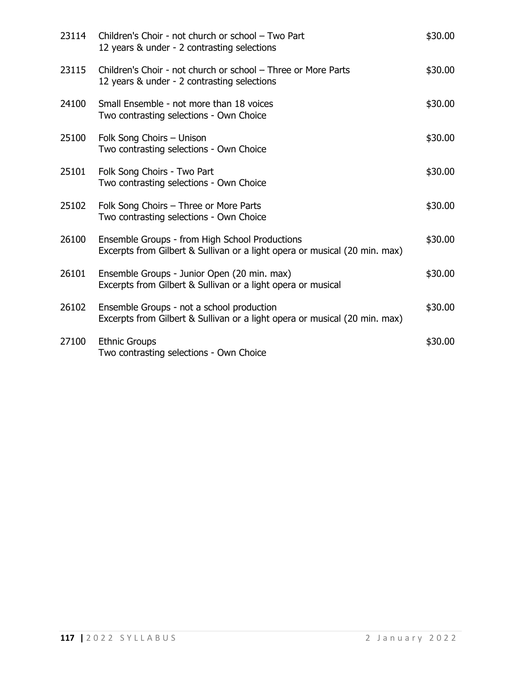| 23114 | Children's Choir - not church or school - Two Part<br>12 years & under - 2 contrasting selections                            | \$30.00 |
|-------|------------------------------------------------------------------------------------------------------------------------------|---------|
| 23115 | Children's Choir - not church or school - Three or More Parts<br>12 years & under - 2 contrasting selections                 | \$30.00 |
| 24100 | Small Ensemble - not more than 18 voices<br>Two contrasting selections - Own Choice                                          | \$30.00 |
| 25100 | Folk Song Choirs - Unison<br>Two contrasting selections - Own Choice                                                         | \$30.00 |
| 25101 | Folk Song Choirs - Two Part<br>Two contrasting selections - Own Choice                                                       | \$30.00 |
| 25102 | Folk Song Choirs - Three or More Parts<br>Two contrasting selections - Own Choice                                            | \$30.00 |
| 26100 | Ensemble Groups - from High School Productions<br>Excerpts from Gilbert & Sullivan or a light opera or musical (20 min. max) | \$30.00 |
| 26101 | Ensemble Groups - Junior Open (20 min. max)<br>Excerpts from Gilbert & Sullivan or a light opera or musical                  | \$30.00 |
| 26102 | Ensemble Groups - not a school production<br>Excerpts from Gilbert & Sullivan or a light opera or musical (20 min. max)      | \$30.00 |
| 27100 | <b>Ethnic Groups</b><br>Two contrasting selections - Own Choice                                                              | \$30.00 |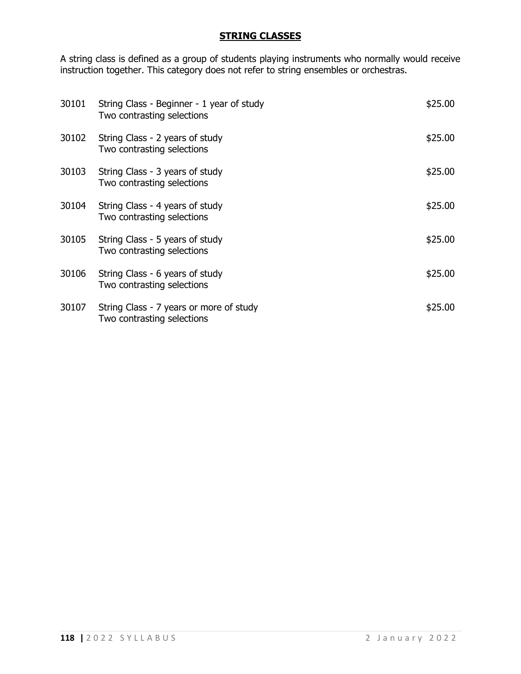## **STRING CLASSES**

A string class is defined as a group of students playing instruments who normally would receive instruction together. This category does not refer to string ensembles or orchestras.

| 30101 | String Class - Beginner - 1 year of study<br>Two contrasting selections | \$25.00 |
|-------|-------------------------------------------------------------------------|---------|
| 30102 | String Class - 2 years of study<br>Two contrasting selections           | \$25.00 |
| 30103 | String Class - 3 years of study<br>Two contrasting selections           | \$25.00 |
| 30104 | String Class - 4 years of study<br>Two contrasting selections           | \$25.00 |
| 30105 | String Class - 5 years of study<br>Two contrasting selections           | \$25.00 |
| 30106 | String Class - 6 years of study<br>Two contrasting selections           | \$25.00 |
| 30107 | String Class - 7 years or more of study<br>Two contrasting selections   | \$25.00 |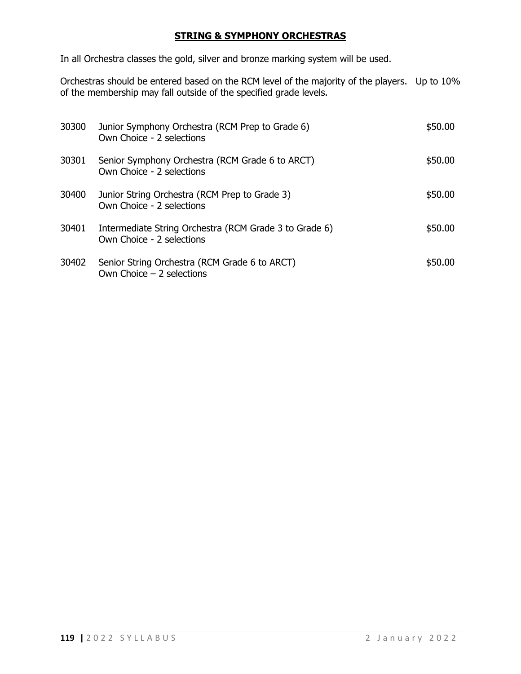### **STRING & SYMPHONY ORCHESTRAS**

In all Orchestra classes the gold, silver and bronze marking system will be used.

Orchestras should be entered based on the RCM level of the majority of the players. Up to 10% of the membership may fall outside of the specified grade levels.

| 30300 | Junior Symphony Orchestra (RCM Prep to Grade 6)<br>Own Choice - 2 selections        | \$50.00 |
|-------|-------------------------------------------------------------------------------------|---------|
| 30301 | Senior Symphony Orchestra (RCM Grade 6 to ARCT)<br>Own Choice - 2 selections        | \$50.00 |
| 30400 | Junior String Orchestra (RCM Prep to Grade 3)<br>Own Choice - 2 selections          | \$50.00 |
| 30401 | Intermediate String Orchestra (RCM Grade 3 to Grade 6)<br>Own Choice - 2 selections | \$50.00 |
| 30402 | Senior String Orchestra (RCM Grade 6 to ARCT)<br>Own Choice $-2$ selections         | \$50.00 |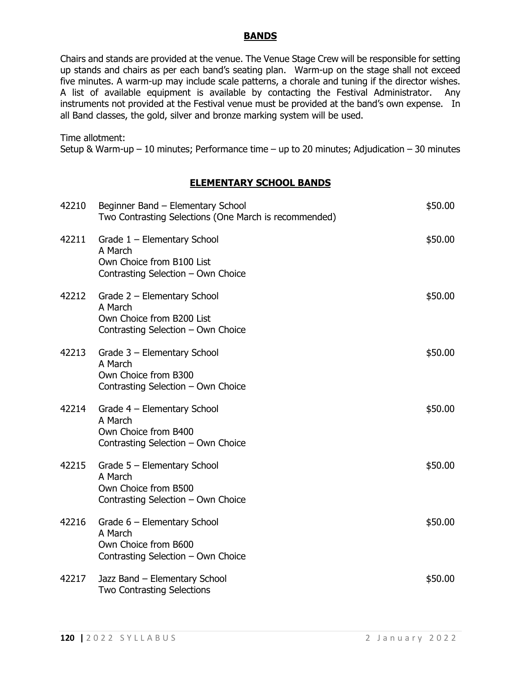### **BANDS**

Chairs and stands are provided at the venue. The Venue Stage Crew will be responsible for setting up stands and chairs as per each band's seating plan. Warm-up on the stage shall not exceed five minutes. A warm-up may include scale patterns, a chorale and tuning if the director wishes. A list of available equipment is available by contacting the Festival Administrator. Any instruments not provided at the Festival venue must be provided at the band's own expense. In all Band classes, the gold, silver and bronze marking system will be used.

Time allotment:

Setup & Warm-up – 10 minutes; Performance time – up to 20 minutes; Adjudication – 30 minutes

#### **ELEMENTARY SCHOOL BANDS**

| 42210 | Beginner Band - Elementary School<br>Two Contrasting Selections (One March is recommended)                  | \$50.00 |
|-------|-------------------------------------------------------------------------------------------------------------|---------|
| 42211 | Grade $1$ – Elementary School<br>A March<br>Own Choice from B100 List<br>Contrasting Selection - Own Choice | \$50.00 |
| 42212 | Grade 2 - Elementary School<br>A March<br>Own Choice from B200 List<br>Contrasting Selection - Own Choice   | \$50.00 |
| 42213 | Grade 3 - Elementary School<br>A March<br>Own Choice from B300<br>Contrasting Selection - Own Choice        | \$50.00 |
| 42214 | Grade $4$ – Elementary School<br>A March<br>Own Choice from B400<br>Contrasting Selection - Own Choice      | \$50.00 |
| 42215 | Grade 5 - Elementary School<br>A March<br>Own Choice from B500<br>Contrasting Selection - Own Choice        | \$50.00 |
| 42216 | Grade 6 - Elementary School<br>A March<br>Own Choice from B600<br>Contrasting Selection - Own Choice        | \$50.00 |
| 42217 | Jazz Band - Elementary School<br><b>Two Contrasting Selections</b>                                          | \$50.00 |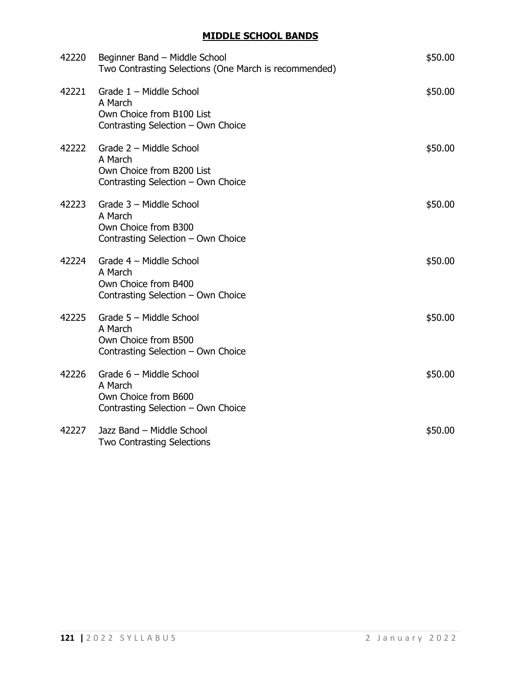## **MIDDLE SCHOOL BANDS**

| 42220 | Beginner Band - Middle School<br>Two Contrasting Selections (One March is recommended)                | \$50.00 |
|-------|-------------------------------------------------------------------------------------------------------|---------|
| 42221 | Grade 1 - Middle School<br>A March<br>Own Choice from B100 List<br>Contrasting Selection - Own Choice | \$50.00 |
| 42222 | Grade 2 - Middle School<br>A March<br>Own Choice from B200 List<br>Contrasting Selection - Own Choice | \$50.00 |
| 42223 | Grade 3 - Middle School<br>A March<br>Own Choice from B300<br>Contrasting Selection - Own Choice      | \$50.00 |
| 42224 | Grade 4 - Middle School<br>A March<br>Own Choice from B400<br>Contrasting Selection - Own Choice      | \$50.00 |
| 42225 | Grade 5 - Middle School<br>A March<br>Own Choice from B500<br>Contrasting Selection - Own Choice      | \$50.00 |
| 42226 | Grade 6 - Middle School<br>A March<br>Own Choice from B600<br>Contrasting Selection - Own Choice      | \$50.00 |
| 42227 | Jazz Band - Middle School<br><b>Two Contrasting Selections</b>                                        | \$50.00 |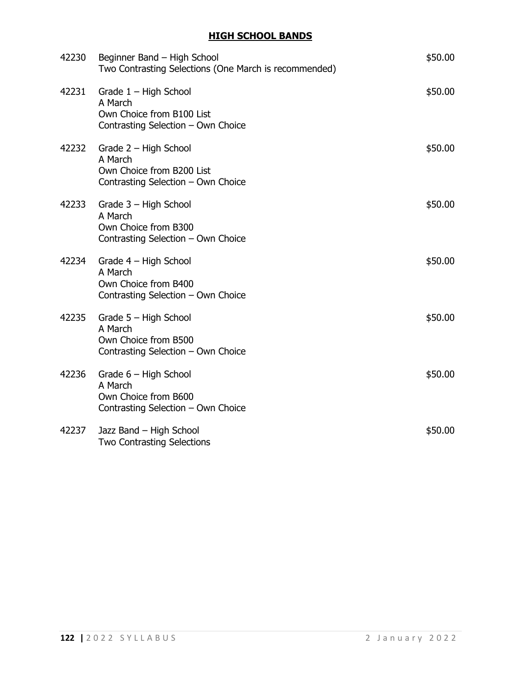## **HIGH SCHOOL BANDS**

|       | 42230 Beginner Band - High School<br>Two Contrasting Selections (One March is recommended)            | \$50.00 |
|-------|-------------------------------------------------------------------------------------------------------|---------|
| 42231 | Grade $1 -$ High School<br>A March<br>Own Choice from B100 List<br>Contrasting Selection - Own Choice | \$50.00 |
| 42232 | Grade 2 - High School<br>A March<br>Own Choice from B200 List<br>Contrasting Selection - Own Choice   | \$50.00 |
| 42233 | Grade 3 - High School<br>A March<br>Own Choice from B300<br>Contrasting Selection - Own Choice        | \$50.00 |
| 42234 | Grade $4$ – High School<br>A March<br>Own Choice from B400<br>Contrasting Selection - Own Choice      | \$50.00 |
|       | 42235 Grade 5 - High School<br>A March<br>Own Choice from B500<br>Contrasting Selection - Own Choice  | \$50.00 |
| 42236 | Grade 6 - High School<br>A March<br>Own Choice from B600<br>Contrasting Selection - Own Choice        | \$50.00 |
| 42237 | Jazz Band - High School<br><b>Two Contrasting Selections</b>                                          | \$50.00 |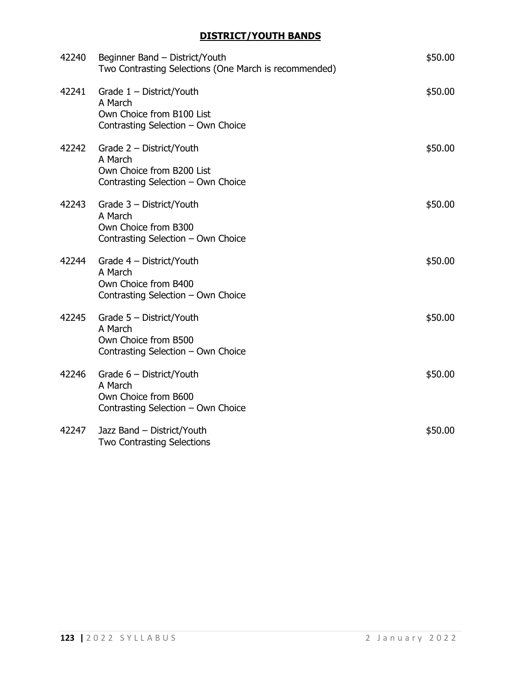# **DISTRICT/YOUTH BANDS**

| 42240 | Beginner Band - District/Youth<br>Two Contrasting Selections (One March is recommended)                      | \$50.00 |
|-------|--------------------------------------------------------------------------------------------------------------|---------|
| 42241 | Grade $1 -$ District/Youth<br>A March<br>Own Choice from B100 List<br>Contrasting Selection - Own Choice     | \$50.00 |
|       | 42242 Grade 2 - District/Youth<br>A March<br>Own Choice from B200 List<br>Contrasting Selection - Own Choice | \$50.00 |
| 42243 | Grade 3 - District/Youth<br>A March<br>Own Choice from B300<br>Contrasting Selection - Own Choice            | \$50.00 |
| 42244 | Grade 4 - District/Youth<br>A March<br>Own Choice from B400<br>Contrasting Selection - Own Choice            | \$50.00 |
|       | 42245 Grade 5 - District/Youth<br>A March<br>Own Choice from B500<br>Contrasting Selection - Own Choice      | \$50.00 |
| 42246 | Grade $6$ – District/Youth<br>A March<br>Own Choice from B600<br>Contrasting Selection - Own Choice          | \$50.00 |
| 42247 | Jazz Band - District/Youth<br><b>Two Contrasting Selections</b>                                              | \$50.00 |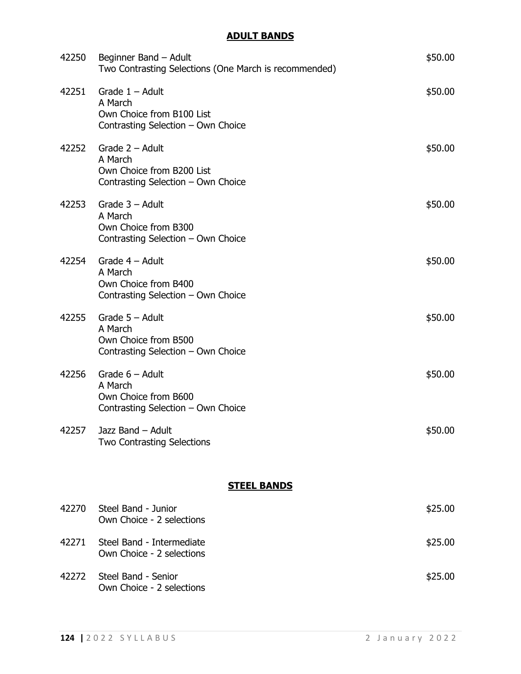# **ADULT BANDS**

| 42250              | Beginner Band – Adult<br>Two Contrasting Selections (One March is recommended)                          | \$50.00 |
|--------------------|---------------------------------------------------------------------------------------------------------|---------|
| 42251              | Grade $1 -$ Adult<br>A March<br>Own Choice from B100 List<br>Contrasting Selection - Own Choice         | \$50.00 |
|                    | $42252$ Grade $2 -$ Adult<br>A March<br>Own Choice from B200 List<br>Contrasting Selection - Own Choice | \$50.00 |
| 42253              | Grade $3 -$ Adult<br>A March<br>Own Choice from B300<br>Contrasting Selection - Own Choice              | \$50.00 |
| 42254              | Grade $4 -$ Adult<br>A March<br>Own Choice from B400<br>Contrasting Selection - Own Choice              | \$50.00 |
| 42255              | Grade $5 -$ Adult<br>A March<br>Own Choice from B500<br>Contrasting Selection - Own Choice              | \$50.00 |
| 42256              | Grade $6 -$ Adult<br>A March<br>Own Choice from B600<br>Contrasting Selection - Own Choice              | \$50.00 |
|                    | 42257 Jazz Band - Adult<br>Two Contrasting Selections                                                   | \$50.00 |
| <b>STEEL BANDS</b> |                                                                                                         |         |
| 42270              | Steel Band - Junior<br>Own Choice - 2 selections                                                        | \$25.00 |
| 42271              | Steel Band - Intermediate<br>Own Choice - 2 selections                                                  | \$25.00 |
| 42272              | Steel Band - Senior<br>Own Choice - 2 selections                                                        | \$25.00 |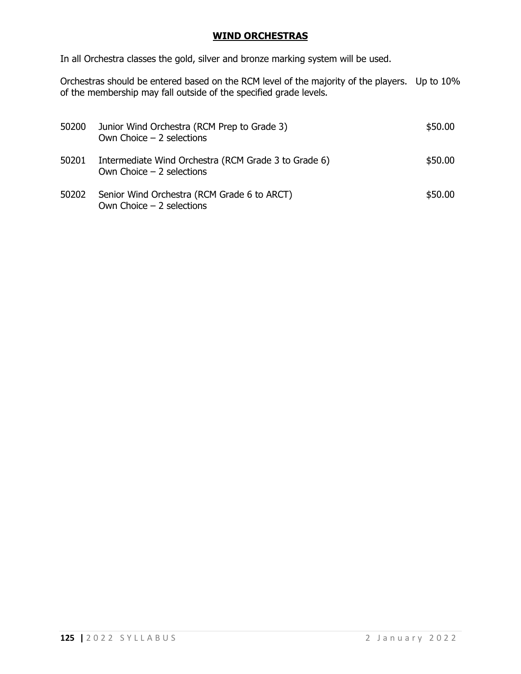### **WIND ORCHESTRAS**

In all Orchestra classes the gold, silver and bronze marking system will be used.

Orchestras should be entered based on the RCM level of the majority of the players. Up to 10% of the membership may fall outside of the specified grade levels.

| 50200 | Junior Wind Orchestra (RCM Prep to Grade 3)<br>Own Choice $-2$ selections          | \$50.00 |
|-------|------------------------------------------------------------------------------------|---------|
| 50201 | Intermediate Wind Orchestra (RCM Grade 3 to Grade 6)<br>Own Choice $-2$ selections | \$50.00 |
| 50202 | Senior Wind Orchestra (RCM Grade 6 to ARCT)<br>Own Choice $-2$ selections          | \$50.00 |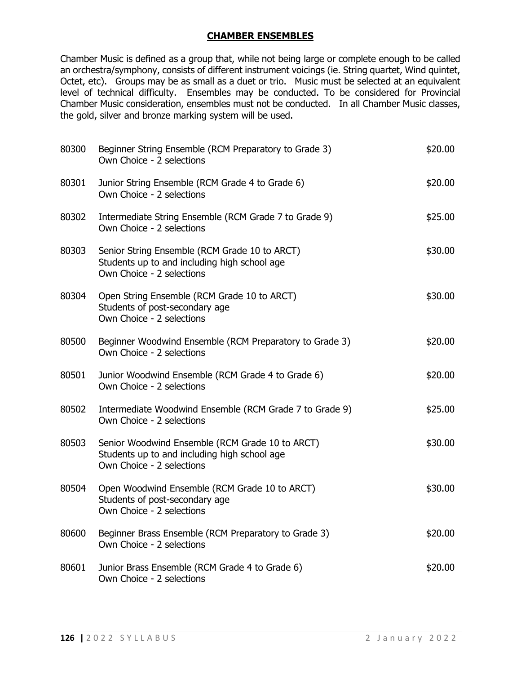### **CHAMBER ENSEMBLES**

Chamber Music is defined as a group that, while not being large or complete enough to be called an orchestra/symphony, consists of different instrument voicings (ie. String quartet, Wind quintet, Octet, etc). Groups may be as small as a duet or trio. Music must be selected at an equivalent level of technical difficulty. Ensembles may be conducted. To be considered for Provincial Chamber Music consideration, ensembles must not be conducted. In all Chamber Music classes, the gold, silver and bronze marking system will be used.

| 80300 | Beginner String Ensemble (RCM Preparatory to Grade 3)<br>Own Choice - 2 selections                                           | \$20.00 |
|-------|------------------------------------------------------------------------------------------------------------------------------|---------|
| 80301 | Junior String Ensemble (RCM Grade 4 to Grade 6)<br>Own Choice - 2 selections                                                 | \$20.00 |
| 80302 | Intermediate String Ensemble (RCM Grade 7 to Grade 9)<br>Own Choice - 2 selections                                           | \$25.00 |
| 80303 | Senior String Ensemble (RCM Grade 10 to ARCT)<br>Students up to and including high school age<br>Own Choice - 2 selections   | \$30.00 |
| 80304 | Open String Ensemble (RCM Grade 10 to ARCT)<br>Students of post-secondary age<br>Own Choice - 2 selections                   | \$30.00 |
| 80500 | Beginner Woodwind Ensemble (RCM Preparatory to Grade 3)<br>Own Choice - 2 selections                                         | \$20.00 |
| 80501 | Junior Woodwind Ensemble (RCM Grade 4 to Grade 6)<br>Own Choice - 2 selections                                               | \$20.00 |
| 80502 | Intermediate Woodwind Ensemble (RCM Grade 7 to Grade 9)<br>Own Choice - 2 selections                                         | \$25.00 |
| 80503 | Senior Woodwind Ensemble (RCM Grade 10 to ARCT)<br>Students up to and including high school age<br>Own Choice - 2 selections | \$30.00 |
| 80504 | Open Woodwind Ensemble (RCM Grade 10 to ARCT)<br>Students of post-secondary age<br>Own Choice - 2 selections                 | \$30.00 |
| 80600 | Beginner Brass Ensemble (RCM Preparatory to Grade 3)<br>Own Choice - 2 selections                                            | \$20.00 |
| 80601 | Junior Brass Ensemble (RCM Grade 4 to Grade 6)<br>Own Choice - 2 selections                                                  | \$20.00 |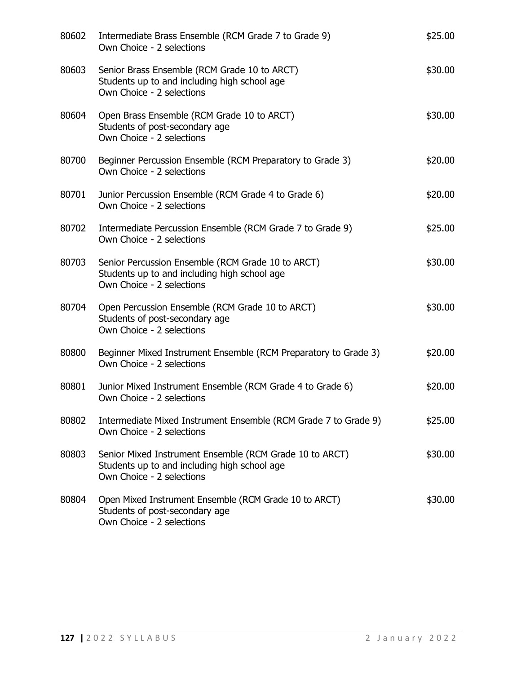| 80602 | Intermediate Brass Ensemble (RCM Grade 7 to Grade 9)<br>Own Choice - 2 selections                                                    | \$25.00 |
|-------|--------------------------------------------------------------------------------------------------------------------------------------|---------|
| 80603 | Senior Brass Ensemble (RCM Grade 10 to ARCT)<br>Students up to and including high school age<br>Own Choice - 2 selections            | \$30.00 |
| 80604 | Open Brass Ensemble (RCM Grade 10 to ARCT)<br>Students of post-secondary age<br>Own Choice - 2 selections                            | \$30.00 |
| 80700 | Beginner Percussion Ensemble (RCM Preparatory to Grade 3)<br>Own Choice - 2 selections                                               | \$20.00 |
| 80701 | Junior Percussion Ensemble (RCM Grade 4 to Grade 6)<br>Own Choice - 2 selections                                                     | \$20.00 |
| 80702 | Intermediate Percussion Ensemble (RCM Grade 7 to Grade 9)<br>Own Choice - 2 selections                                               | \$25.00 |
| 80703 | Senior Percussion Ensemble (RCM Grade 10 to ARCT)<br>Students up to and including high school age<br>Own Choice - 2 selections       | \$30.00 |
| 80704 | Open Percussion Ensemble (RCM Grade 10 to ARCT)<br>Students of post-secondary age<br>Own Choice - 2 selections                       | \$30.00 |
| 80800 | Beginner Mixed Instrument Ensemble (RCM Preparatory to Grade 3)<br>Own Choice - 2 selections                                         | \$20.00 |
| 80801 | Junior Mixed Instrument Ensemble (RCM Grade 4 to Grade 6)<br>Own Choice - 2 selections                                               | \$20.00 |
| 80802 | Intermediate Mixed Instrument Ensemble (RCM Grade 7 to Grade 9)<br>Own Choice - 2 selections                                         | \$25.00 |
| 80803 | Senior Mixed Instrument Ensemble (RCM Grade 10 to ARCT)<br>Students up to and including high school age<br>Own Choice - 2 selections | \$30.00 |
| 80804 | Open Mixed Instrument Ensemble (RCM Grade 10 to ARCT)<br>Students of post-secondary age<br>Own Choice - 2 selections                 | \$30.00 |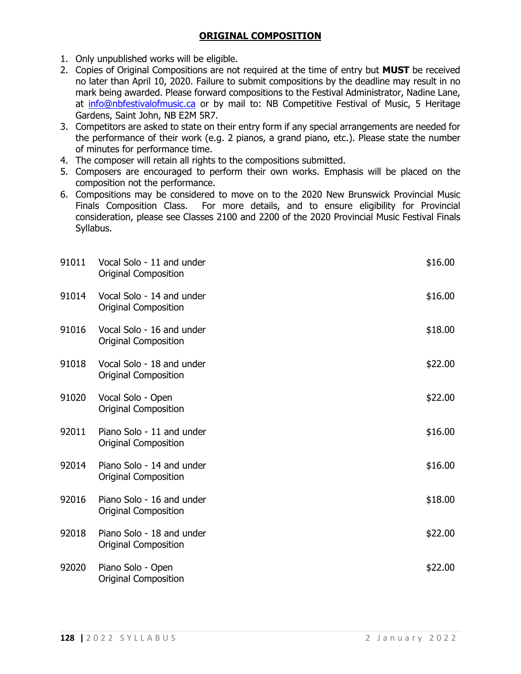### **ORIGINAL COMPOSITION**

- 1. Only unpublished works will be eligible.
- 2. Copies of Original Compositions are not required at the time of entry but **MUST** be received no later than April 10, 2020. Failure to submit compositions by the deadline may result in no mark being awarded. Please forward compositions to the Festival Administrator, Nadine Lane, at [info@nbfestivalofmusic.ca](mailto:info@nbfestivalofmusic.ca) or by mail to: NB Competitive Festival of Music, 5 Heritage Gardens, Saint John, NB E2M 5R7.
- 3. Competitors are asked to state on their entry form if any special arrangements are needed for the performance of their work (e.g. 2 pianos, a grand piano, etc.). Please state the number of minutes for performance time.
- 4. The composer will retain all rights to the compositions submitted.
- 5. Composers are encouraged to perform their own works. Emphasis will be placed on the composition not the performance.
- 6. Compositions may be considered to move on to the 2020 New Brunswick Provincial Music Finals Composition Class. For more details, and to ensure eligibility for Provincial consideration, please see Classes 2100 and 2200 of the 2020 Provincial Music Festival Finals Syllabus.

| 91011 | Vocal Solo - 11 and under<br><b>Original Composition</b> | \$16.00 |
|-------|----------------------------------------------------------|---------|
| 91014 | Vocal Solo - 14 and under<br>Original Composition        | \$16.00 |
| 91016 | Vocal Solo - 16 and under<br><b>Original Composition</b> | \$18.00 |
| 91018 | Vocal Solo - 18 and under<br><b>Original Composition</b> | \$22.00 |
| 91020 | Vocal Solo - Open<br><b>Original Composition</b>         | \$22.00 |
| 92011 | Piano Solo - 11 and under<br><b>Original Composition</b> | \$16.00 |
| 92014 | Piano Solo - 14 and under<br><b>Original Composition</b> | \$16.00 |
| 92016 | Piano Solo - 16 and under<br><b>Original Composition</b> | \$18.00 |
| 92018 | Piano Solo - 18 and under<br><b>Original Composition</b> | \$22.00 |
| 92020 | Piano Solo - Open<br><b>Original Composition</b>         | \$22.00 |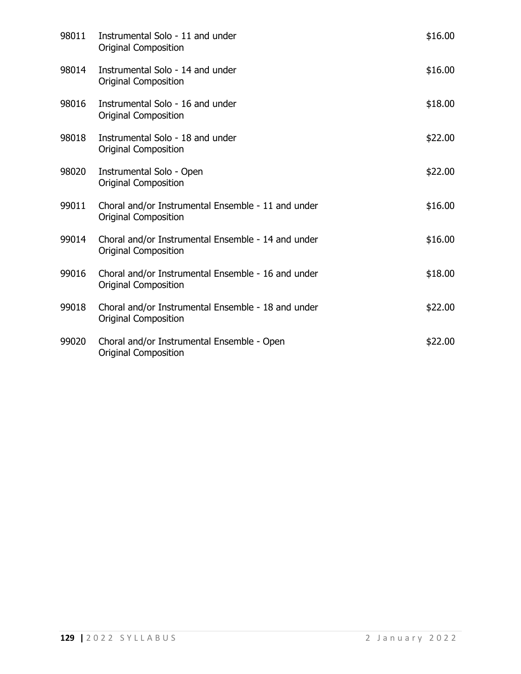| 98011 | Instrumental Solo - 11 and under<br><b>Original Composition</b>                   | \$16.00 |
|-------|-----------------------------------------------------------------------------------|---------|
| 98014 | Instrumental Solo - 14 and under<br><b>Original Composition</b>                   | \$16.00 |
| 98016 | Instrumental Solo - 16 and under<br>Original Composition                          | \$18.00 |
| 98018 | Instrumental Solo - 18 and under<br><b>Original Composition</b>                   | \$22.00 |
| 98020 | Instrumental Solo - Open<br><b>Original Composition</b>                           | \$22.00 |
| 99011 | Choral and/or Instrumental Ensemble - 11 and under<br><b>Original Composition</b> | \$16.00 |
| 99014 | Choral and/or Instrumental Ensemble - 14 and under<br><b>Original Composition</b> | \$16.00 |
| 99016 | Choral and/or Instrumental Ensemble - 16 and under<br><b>Original Composition</b> | \$18.00 |
| 99018 | Choral and/or Instrumental Ensemble - 18 and under<br><b>Original Composition</b> | \$22.00 |
| 99020 | Choral and/or Instrumental Ensemble - Open<br><b>Original Composition</b>         | \$22.00 |